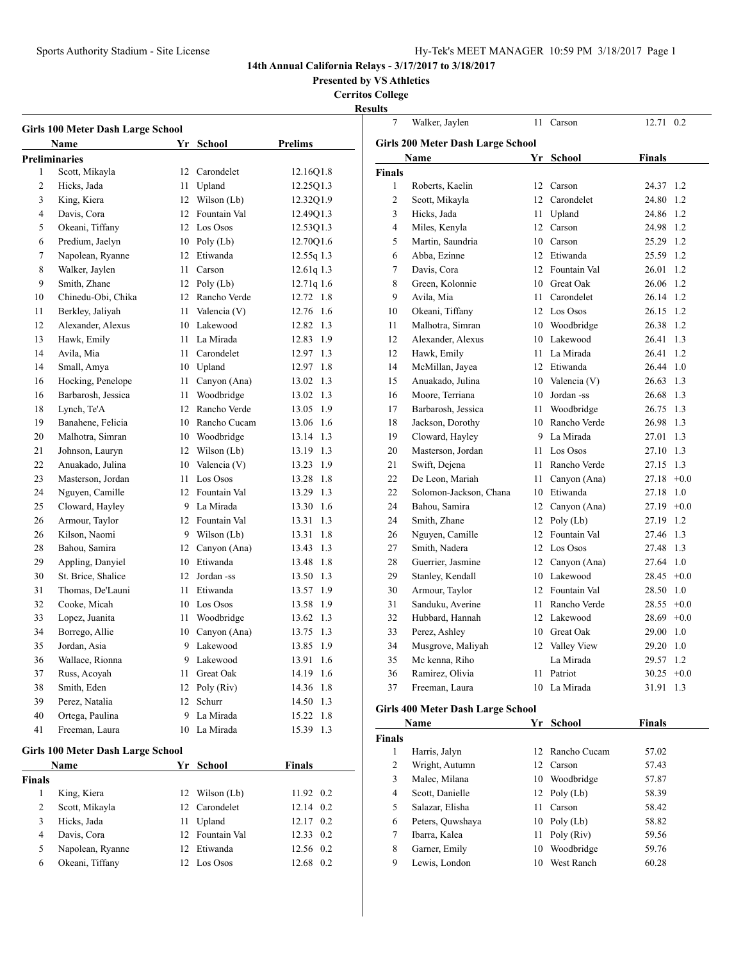# Sports Authority Stadium - Site License Hy-Tek's MEET MANAGER 10:59 PM 3/18/2017 Page 1

# **14th Annual California Relays - 3/17/2017 to 3/18/2017**

**Presented by VS Athletics**

**Cerritos College**

**Results** Walker, Jaylen 11 Carson 12.71 0.2

|               | <b>Girls 100 Meter Dash Large School</b>         |      |                 |                |
|---------------|--------------------------------------------------|------|-----------------|----------------|
|               | Name                                             | Yr   | School          | <b>Prelims</b> |
|               | <b>Preliminaries</b>                             |      |                 |                |
| 1             | Scott, Mikayla                                   |      | 12 Carondelet   | 12.16Q1.8      |
| 2             | Hicks, Jada                                      | 11   | Upland          | 12.25Q1.3      |
| 3             | King, Kiera                                      | 12   | Wilson (Lb)     | 12.32Q1.9      |
| 4             | Davis, Cora                                      |      | 12 Fountain Val | 12.49Q1.3      |
| 5             | Okeani, Tiffany                                  |      | 12 Los Osos     | 12.53Q1.3      |
| 6             | Predium, Jaelyn                                  |      | $10$ Poly (Lb)  | 12.70Q1.6      |
| 7             | Napolean, Ryanne                                 |      | 12 Etiwanda     | 12.55q 1.3     |
| 8             | Walker, Jaylen                                   |      | 11 Carson       | 12.61q 1.3     |
| 9             | Smith, Zhane                                     |      | $12$ Poly (Lb)  | 12.71q 1.6     |
| 10            | Chinedu-Obi, Chika                               |      | 12 Rancho Verde | 12.72 1.8      |
| 11            | Berkley, Jaliyah                                 |      | 11 Valencia (V) | 12.76 1.6      |
| 12            | Alexander, Alexus                                |      | 10 Lakewood     | 12.82 1.3      |
| 13            | Hawk, Emily                                      | 11   | La Mirada       | 12.83 1.9      |
| 14            | Avila, Mia                                       |      | 11 Carondelet   | 12.97<br>1.3   |
| 14            | Small, Amya                                      |      | 10 Upland       | 12.97 1.8      |
| 16            | Hocking, Penelope                                | 11 - | Canyon (Ana)    | 13.02 1.3      |
| 16            | Barbarosh, Jessica                               | 11   | Woodbridge      | 13.02 1.3      |
| 18            | Lynch, Te'A                                      |      | 12 Rancho Verde | 13.05 1.9      |
| 19            | Banahene, Felicia                                |      | 10 Rancho Cucam | 13.06 1.6      |
| 20            | Malhotra, Simran                                 |      | 10 Woodbridge   | 13.14<br>1.3   |
| 21            | Johnson, Lauryn                                  |      | 12 Wilson (Lb)  | 13.19 1.3      |
| 22            | Anuakado, Julina                                 |      | 10 Valencia (V) | 13.23 1.9      |
| 23            | Masterson, Jordan                                | 11   | Los Osos        | 13.28 1.8      |
| 24            | Nguyen, Camille                                  |      | 12 Fountain Val | 13.29 1.3      |
| 25            | Cloward, Hayley                                  |      | 9 La Mirada     | 13.30 1.6      |
| 26            | Armour, Taylor                                   |      | 12 Fountain Val | 13.31<br>1.3   |
| 26            | Kilson, Naomi                                    |      | 9 Wilson (Lb)   | 13.31<br>1.8   |
| 28            | Bahou, Samira                                    | 12   | Canyon (Ana)    | 13.43<br>1.3   |
| 29            | Appling, Danyiel                                 |      | 10 Etiwanda     | 13.48<br>1.8   |
| 30            | St. Brice, Shalice                               |      | 12 Jordan -ss   | 13.50 1.3      |
| 31            | Thomas, De'Launi                                 | 11   | Etiwanda        | 13.57<br>1.9   |
| 32            | Cooke, Micah                                     |      | 10 Los Osos     | 13.58 1.9      |
| 33            | Lopez, Juanita                                   |      | 11 Woodbridge   | 13.62 1.3      |
| 34            | Borrego, Allie                                   |      | 10 Canyon (Ana) | 1.3<br>13.75   |
| 35            | Jordan, Asia                                     | 9    | Lakewood        | 13.85<br>1.9   |
| 36            | Wallace, Rionna                                  |      | 9 Lakewood      | 13.91 1.6      |
| 37            | Russ, Acoyah                                     |      | 11 Great Oak    | 14.19 1.6      |
| 38            | Smith, Eden                                      | 12   | Poly (Riv)      | 14.36<br>1.8   |
| 39            | Perez, Natalia                                   | 12   | Schurr          | 14.50 1.3      |
| 40            | Ortega, Paulina                                  | 9    | La Mirada       | 15.22<br>1.8   |
| 41            | Freeman, Laura                                   | 10   | La Mirada       | 15.39 1.3      |
|               |                                                  |      |                 |                |
|               | <b>Girls 100 Meter Dash Large School</b><br>Name |      | Yr School       | <b>Finals</b>  |
| <b>Finals</b> |                                                  |      |                 |                |
| 1             | King, Kiera                                      | 12   | Wilson (Lb)     | 11.92<br>0.2   |
| 2             | Scott, Mikayla                                   |      | 12 Carondelet   | 12.14<br>0.2   |
| 3             | Hicks, Jada                                      | 11   | Upland          | 0.2<br>12.17   |
| 4             | Davis, Cora                                      |      | 12 Fountain Val | 12.33 0.2      |
| 5             | Napolean, Ryanne                                 |      | 12 Etiwanda     | 12.56 0.2      |
| 6             | Okeani, Tiffany                                  |      | 12 Los Osos     | 12.68 0.2      |
|               |                                                  |      |                 |                |

| Girls 200 Meter Dash Large School |                                   |      |                     |               |  |
|-----------------------------------|-----------------------------------|------|---------------------|---------------|--|
|                                   | Name                              | Yr   | School              | <b>Finals</b> |  |
| <b>Finals</b>                     |                                   |      |                     |               |  |
| 1                                 | Roberts, Kaelin                   |      | 12 Carson           | 24.37<br>1.2  |  |
| $\overline{c}$                    | Scott, Mikayla                    |      | 12 Carondelet       | 1.2<br>24.80  |  |
| 3                                 | Hicks, Jada                       | 11 - | Upland              | 1.2<br>24.86  |  |
| $\overline{4}$                    | Miles, Kenyla                     |      | 12 Carson           | 1.2<br>24.98  |  |
| 5                                 | Martin, Saundria                  |      | 10 Carson           | 25.29 1.2     |  |
| 6                                 | Abba, Ezinne                      |      | 12 Etiwanda         | 25.59 1.2     |  |
| 7                                 | Davis, Cora                       |      | 12 Fountain Val     | 1.2<br>26.01  |  |
| 8                                 | Green, Kolonnie                   |      | 10 Great Oak        | 26.06 1.2     |  |
| 9                                 | Avila, Mia                        | 11   | Carondelet          | 1.2<br>26.14  |  |
| 10                                | Okeani, Tiffany                   |      | 12 Los Osos         | 26.15<br>1.2  |  |
| 11                                | Malhotra, Simran                  |      | 10 Woodbridge       | 1.2<br>26.38  |  |
| 12                                | Alexander, Alexus                 |      | 10 Lakewood         | 1.3<br>26.41  |  |
| 12                                | Hawk, Emily                       |      | 11 La Mirada        | 1.2<br>26.41  |  |
| 14                                | McMillan, Jayea                   |      | 12 Etiwanda         | 26.44<br>1.0  |  |
| 15                                | Anuakado, Julina                  |      | 10 Valencia (V)     | 26.63<br>1.3  |  |
| 16                                | Moore, Terriana                   |      | 10 Jordan -ss       | 1.3<br>26.68  |  |
| 17                                | Barbarosh, Jessica                | 11 - | Woodbridge          | 26.75<br>1.3  |  |
| 18                                | Jackson, Dorothy                  |      | 10 Rancho Verde     | 1.3<br>26.98  |  |
| 19                                | Cloward, Hayley                   |      | 9 La Mirada         | 1.3<br>27.01  |  |
| 20                                | Masterson, Jordan                 |      | 11 Los Osos         | 27.10 1.3     |  |
| 21                                | Swift, Dejena                     | 11 - | Rancho Verde        | 1.3<br>27.15  |  |
| 22                                | De Leon, Mariah                   |      | 11 Canyon (Ana)     | $27.18 + 0.0$ |  |
| 22                                | Solomon-Jackson, Chana            |      | 10 Etiwanda         | 27.18<br>1.0  |  |
| 24                                | Bahou, Samira                     |      | 12 Canyon (Ana)     | $27.19 +0.0$  |  |
| 24                                | Smith, Zhane                      |      | $12$ Poly (Lb)      | 1.2<br>27.19  |  |
| 26                                | Nguyen, Camille                   |      | 12 Fountain Val     | 1.3<br>27.46  |  |
| 27                                | Smith, Nadera                     |      | 12 Los Osos         | 27.48<br>1.3  |  |
| 28                                | Guerrier, Jasmine                 |      | 12 Canyon (Ana)     | 27.64<br>1.0  |  |
| 29                                | Stanley, Kendall                  |      | 10 Lakewood         | $28.45 +0.0$  |  |
| 30                                | Armour, Taylor                    |      | 12 Fountain Val     | 28.50<br>1.0  |  |
| 31                                | Sanduku, Averine                  |      | 11 Rancho Verde     | $28.55 + 0.0$ |  |
| 32                                | Hubbard, Hannah                   |      | 12 Lakewood         | $28.69 + 0.0$ |  |
| 33                                | Perez, Ashley                     |      | 10 Great Oak        | 29.00 1.0     |  |
| 34                                | Musgrove, Maliyah                 |      | 12 Valley View      | 29.20 1.0     |  |
| 35                                | Mc kenna, Riho                    |      | La Mirada           | 1.2<br>29.57  |  |
| 36                                | Ramirez, Olivia                   |      | 11 Patriot          | $30.25 +0.0$  |  |
| 37                                | Freeman, Laura                    |      | 10 La Mirada        | 1.3<br>31.91  |  |
|                                   | Girls 400 Meter Dash Large School |      |                     |               |  |
|                                   | Name                              |      | Yr School           | Finals        |  |
| <b>Finals</b>                     |                                   |      |                     |               |  |
| 1                                 | Harris, Jalyn                     |      | 12 Rancho Cucam     | 57.02         |  |
| C                                 | $Wmod$ Autumn                     |      | $12 \text{ Corson}$ | 57/12         |  |

| $\overline{c}$ | Wright, Autumn   | 12. | Carson         | 57.43 |
|----------------|------------------|-----|----------------|-------|
| 3              | Malec, Milana    |     | 10 Woodbridge  | 57.87 |
| 4              | Scott, Danielle  |     | $12$ Poly (Lb) | 58.39 |
| 5              | Salazar, Elisha  | 11  | Carson         | 58.42 |
| 6              | Peters, Ouwshaya |     | $10$ Poly (Lb) | 58.82 |
|                | Ibarra, Kalea    |     | 11 Poly (Riv)  | 59.56 |
| 8              | Garner, Emily    |     | 10 Woodbridge  | 59.76 |
| 9              | Lewis, London    | 10  | West Ranch     | 60.28 |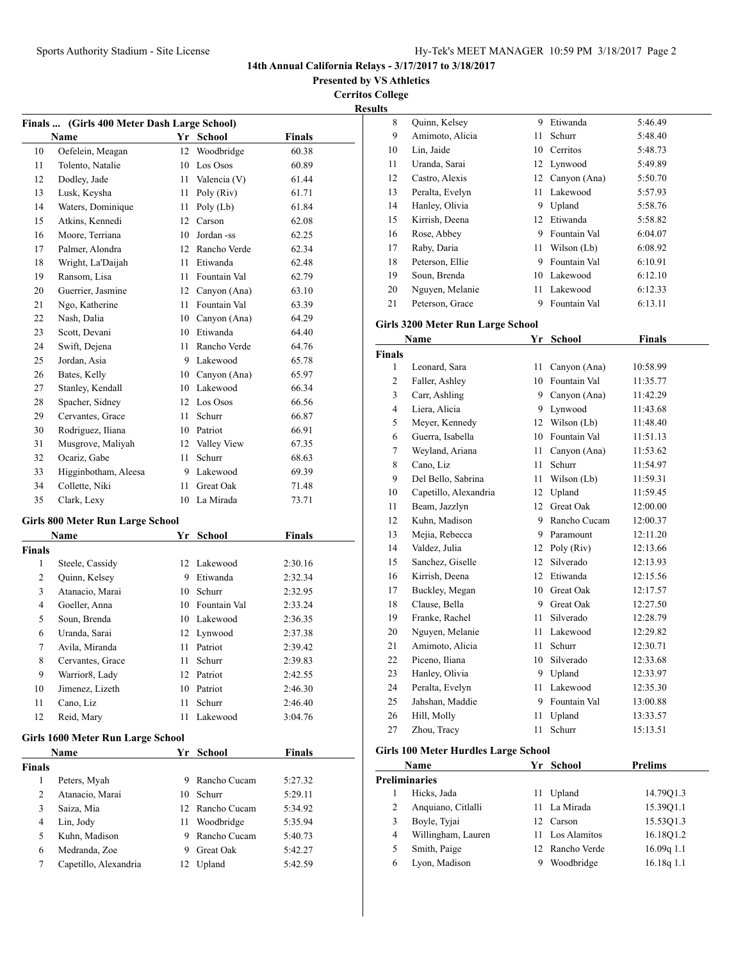**Presented by VS Athletics**

**Cerritos College**

| 'sun<br>∽ |
|-----------|
|-----------|

| Finals  (Girls 400 Meter Dash Large School) |                                         |      |                 |               |  |
|---------------------------------------------|-----------------------------------------|------|-----------------|---------------|--|
|                                             | Name                                    |      | Yr School       | <b>Finals</b> |  |
| 10                                          | Oefelein, Meagan                        | 12   | Woodbridge      | 60.38         |  |
| 11                                          | Tolento, Natalie                        |      | 10 Los Osos     | 60.89         |  |
| 12                                          | Dodley, Jade                            |      | 11 Valencia (V) | 61.44         |  |
| 13                                          | Lusk, Keysha                            | 11   | Poly (Riv)      | 61.71         |  |
| 14                                          | Waters, Dominique                       |      | 11 Poly $(Lb)$  | 61.84         |  |
| 15                                          | Atkins, Kennedi                         |      | 12 Carson       | 62.08         |  |
| 16                                          | Moore, Terriana                         |      | 10 Jordan -ss   | 62.25         |  |
| 17                                          | Palmer, Alondra                         |      | 12 Rancho Verde | 62.34         |  |
| 18                                          | Wright, La'Daijah                       |      | 11 Etiwanda     | 62.48         |  |
| 19                                          | Ransom, Lisa                            |      | 11 Fountain Val | 62.79         |  |
| 20                                          | Guerrier, Jasmine                       |      | 12 Canyon (Ana) | 63.10         |  |
| 21                                          | Ngo, Katherine                          |      | 11 Fountain Val | 63.39         |  |
| 22                                          | Nash, Dalia                             |      | 10 Canyon (Ana) | 64.29         |  |
| 23                                          | Scott, Devani                           |      | 10 Etiwanda     | 64.40         |  |
| 24                                          | Swift, Dejena                           |      | 11 Rancho Verde | 64.76         |  |
| 25                                          | Jordan, Asia                            |      | 9 Lakewood      | 65.78         |  |
| 26                                          | Bates, Kelly                            |      | 10 Canyon (Ana) | 65.97         |  |
| 27                                          | Stanley, Kendall                        |      | 10 Lakewood     | 66.34         |  |
| 28                                          | Spacher, Sidney                         |      | 12 Los Osos     | 66.56         |  |
| 29                                          | Cervantes, Grace                        | 11 - | Schurr          | 66.87         |  |
| 30                                          | Rodriguez, Iliana                       |      | 10 Patriot      | 66.91         |  |
| 31                                          | Musgrove, Maliyah                       |      | 12 Valley View  | 67.35         |  |
| 32                                          | Ocariz. Gabe                            | 11   | Schurr          | 68.63         |  |
| 33                                          | Higginbotham, Aleesa                    |      | 9 Lakewood      | 69.39         |  |
| 34                                          | Collette, Niki                          |      | 11 Great Oak    | 71.48         |  |
| 35                                          | Clark, Lexy                             | 10   | La Mirada       | 73.71         |  |
|                                             | <b>Girls 800 Meter Run Large School</b> |      |                 |               |  |
|                                             | Name                                    | Yr   | <b>School</b>   | Finals        |  |
| <b>Finals</b>                               |                                         |      |                 |               |  |
| 1                                           | Steele, Cassidy                         |      | 12 Lakewood     | 2:30.16       |  |
| 2                                           | Quinn, Kelsey                           |      | 9 Etiwanda      | 2:32.34       |  |
| 3                                           | Atanacio, Marai                         |      | 10 Schurr       | 2:32.95       |  |
| $\overline{4}$                              | Goeller, Anna                           |      | 10 Fountain Val | 2:33.24       |  |
| 5                                           | Soun, Brenda                            |      | 10 Lakewood     | 2:36.35       |  |
| 6                                           | Uranda, Sarai                           | 12   | Lynwood         | 2:37.38       |  |
| 7                                           | Avila, Miranda                          | 11   | Patriot         | 2:39.42       |  |
| 8                                           | Cervantes, Grace                        | 11   | Schurr          | 2:39.83       |  |
| 9                                           | Warrior8, Lady                          |      | 12 Patriot      | 2:42.55       |  |
| 10                                          | Jimenez, Lizeth                         |      | 10 Patriot      | 2:46.30       |  |
| 11                                          | Cano, Liz                               | 11   | Schurr          | 2:46.40       |  |
| 12                                          | Reid, Mary                              | 11   | Lakewood        | 3:04.76       |  |
|                                             | Girls 1600 Meter Run Large School       |      |                 |               |  |
|                                             | Name                                    |      | Yr School       | <b>Finals</b> |  |
| <b>Finals</b>                               |                                         |      |                 |               |  |
| 1                                           | Peters, Myah                            | 9    | Rancho Cucam    | 5:27.32       |  |
| 2                                           | Atanacio, Marai                         | 10   | Schurr          | 5:29.11       |  |
| 3                                           | Saiza, Mia                              |      | 12 Rancho Cucam | 5:34.92       |  |
| 4                                           | Lin, Jody                               | 11   | Woodbridge      | 5:35.94       |  |
| 5                                           | Kuhn, Madison                           | 9.   | Rancho Cucam    | 5:40.73       |  |
| 6                                           | Medranda, Zoe                           | 9    | Great Oak       | 5:42.27       |  |
| 7                                           | Capetillo, Alexandria                   | 12   | Upland          | 5:42.59       |  |
|                                             |                                         |      |                 |               |  |

| LS. |                 |    |              |         |  |
|-----|-----------------|----|--------------|---------|--|
| 8   | Quinn, Kelsey   | 9  | Etiwanda     | 5:46.49 |  |
| 9   | Amimoto, Alicia | 11 | Schurr       | 5:48.40 |  |
| 10  | Lin, Jaide      | 10 | Cerritos     | 5:48.73 |  |
| 11  | Uranda, Sarai   |    | 12 Lynwood   | 5:49.89 |  |
| 12  | Castro, Alexis  | 12 | Canyon (Ana) | 5:50.70 |  |
| 13  | Peralta, Evelyn | 11 | Lakewood     | 5:57.93 |  |
| 14  | Hanley, Olivia  | 9  | Upland       | 5:58.76 |  |
| 15  | Kirrish, Deena  | 12 | Etiwanda     | 5:58.82 |  |
| 16  | Rose, Abbey     | 9  | Fountain Val | 6:04.07 |  |
| 17  | Raby, Daria     | 11 | Wilson (Lb)  | 6:08.92 |  |
| 18  | Peterson, Ellie | 9  | Fountain Val | 6:10.91 |  |
| 19  | Soun, Brenda    | 10 | Lakewood     | 6:12.10 |  |
| 20  | Nguyen, Melanie | 11 | Lakewood     | 6:12.33 |  |
| 21  | Peterson, Grace | 9  | Fountain Val | 6:13.11 |  |

## **Girls 3200 Meter Run Large School**

|                | Name                  | Yr              | <b>School</b>    | <b>Finals</b> |  |
|----------------|-----------------------|-----------------|------------------|---------------|--|
| Finals         |                       |                 |                  |               |  |
| $\mathbf{1}$   | Leonard, Sara         | 11              | Canyon (Ana)     | 10:58.99      |  |
| 2              | Faller, Ashley        | 10              | Fountain Val     | 11:35.77      |  |
| 3              | Carr, Ashling         | 9.              | Canyon (Ana)     | 11:42.29      |  |
| $\overline{4}$ | Liera, Alicia         | 9               | Lynwood          | 11:43.68      |  |
| 5              | Meyer, Kennedy        | 12              | Wilson (Lb)      | 11:48.40      |  |
| 6              | Guerra, Isabella      | 10              | Fountain Val     | 11:51.13      |  |
| 7              | Weyland, Ariana       | 11              | Canyon (Ana)     | 11:53.62      |  |
| 8              | Cano, Liz             | 11              | Schurr           | 11:54.97      |  |
| 9              | Del Bello, Sabrina    | 11              | Wilson (Lb)      | 11:59.31      |  |
| 10             | Capetillo, Alexandria | 12              | Upland           | 11:59.45      |  |
| 11             | Beam, Jazzlyn         | 12 <sup>2</sup> | <b>Great Oak</b> | 12:00.00      |  |
| 12             | Kuhn, Madison         | 9               | Rancho Cucam     | 12:00.37      |  |
| 13             | Mejia, Rebecca        | 9               | Paramount        | 12:11.20      |  |
| 14             | Valdez, Julia         | 12              | Poly (Riv)       | 12:13.66      |  |
| 15             | Sanchez, Giselle      | 12              | Silverado        | 12:13.93      |  |
| 16             | Kirrish, Deena        | 12              | Etiwanda         | 12:15.56      |  |
| 17             | Buckley, Megan        | 10              | Great Oak        | 12:17.57      |  |
| 18             | Clause, Bella         | 9               | Great Oak        | 12:27.50      |  |
| 19             | Franke, Rachel        | 11              | Silverado        | 12:28.79      |  |
| 20             | Nguyen, Melanie       | 11              | Lakewood         | 12:29.82      |  |
| 21             | Amimoto, Alicia       | 11              | Schurr           | 12:30.71      |  |
| 22             | Piceno, Iliana        | 10              | Silverado        | 12:33.68      |  |
| 23             | Hanley, Olivia        | 9               | Upland           | 12:33.97      |  |
| 24             | Peralta, Evelyn       | 11              | Lakewood         | 12:35.30      |  |
| 25             | Jahshan, Maddie       | 9               | Fountain Val     | 13:00.88      |  |
| 26             | Hill, Molly           | 11              | Upland           | 13:33.57      |  |
| 27             | Zhou, Tracy           | 11              | Schurr           | 15:13.51      |  |
|                |                       |                 |                  |               |  |

## **Girls 100 Meter Hurdles Large School**

J.

|               | Name               |   | Yr School       | <b>Prelims</b> |  |  |
|---------------|--------------------|---|-----------------|----------------|--|--|
| Preliminaries |                    |   |                 |                |  |  |
|               | Hicks, Jada        |   | 11 Upland       | 14.79Q1.3      |  |  |
|               | Anquiano, Citlalli |   | 11 La Mirada    | 15.3901.1      |  |  |
| 3             | Boyle, Tyjai       |   | 12 Carson       | 15.53Q1.3      |  |  |
| 4             | Willingham, Lauren |   | 11 Los Alamitos | 16.18Q1.2      |  |  |
| 5             | Smith, Paige       |   | 12 Rancho Verde | $16.09q$ 1.1   |  |  |
| 6             | Lyon, Madison      | 9 | Woodbridge      | 16.18q 1.1     |  |  |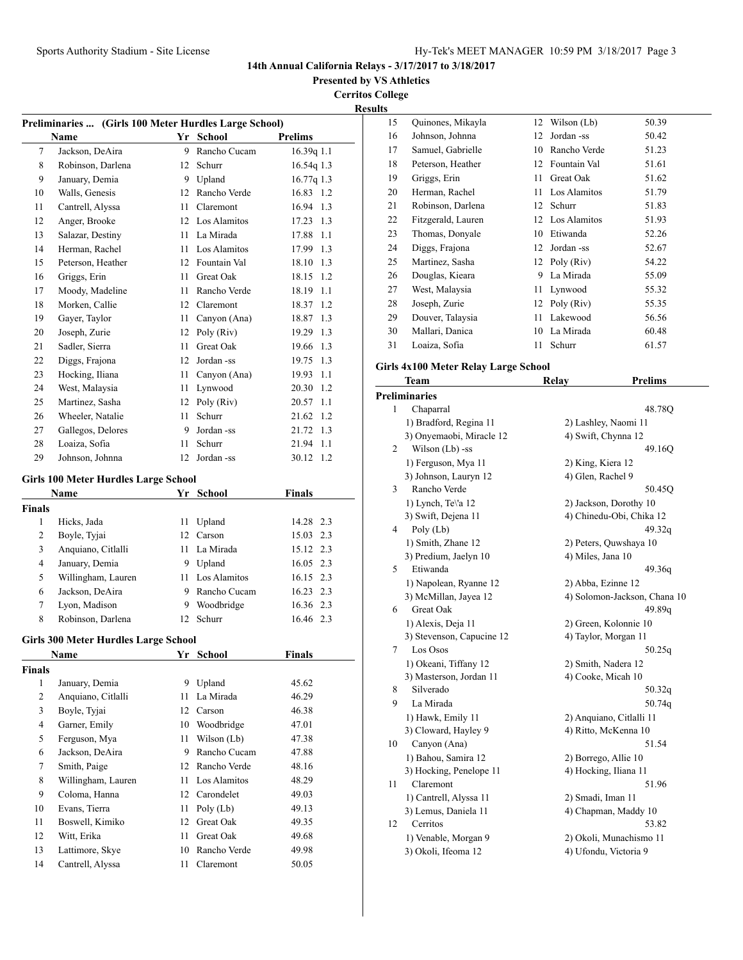**Presented by VS Athletics**

**Cerritos College**

|               |                                                       |    |                 |               | <b>Results</b> |
|---------------|-------------------------------------------------------|----|-----------------|---------------|----------------|
|               | Preliminaries  (Girls 100 Meter Hurdles Large School) |    |                 |               |                |
|               | Name                                                  |    | Yr School       | Prelims       |                |
| 7             | Jackson, DeAira                                       |    | 9 Rancho Cucam  | 16.39q 1.1    |                |
| 8             | Robinson, Darlena                                     |    | 12 Schurr       | 16.54q 1.3    |                |
| 9             | January, Demia                                        |    | 9 Upland        | 16.77q 1.3    |                |
| 10            | Walls, Genesis                                        |    | 12 Rancho Verde | 16.83 1.2     |                |
| 11            | Cantrell, Alyssa                                      |    | 11 Claremont    | 16.94 1.3     |                |
| 12            | Anger, Brooke                                         |    | 12 Los Alamitos | 17.23 1.3     |                |
| 13            | Salazar, Destiny                                      |    | 11 La Mirada    | 17.88 1.1     |                |
| 14            | Herman, Rachel                                        |    | 11 Los Alamitos | 17.99 1.3     |                |
| 15            | Peterson, Heather                                     |    | 12 Fountain Val | 18.10 1.3     |                |
| 16            | Griggs, Erin                                          |    | 11 Great Oak    | 18.15 1.2     |                |
| 17            | Moody, Madeline                                       |    | 11 Rancho Verde | 18.19 1.1     |                |
| 18            | Morken, Callie                                        |    | 12 Claremont    | 18.37 1.2     |                |
| 19            | Gayer, Taylor                                         |    | 11 Canyon (Ana) | 18.87 1.3     |                |
| 20            | Joseph, Zurie                                         |    | 12 Poly (Riv)   | 19.29 1.3     |                |
| 21            | Sadler, Sierra                                        |    | 11 Great Oak    | 19.66 1.3     |                |
| 22            | Diggs, Frajona                                        |    | 12 Jordan -ss   | 19.75 1.3     |                |
| 23            | Hocking, Iliana                                       |    | 11 Canyon (Ana) | 19.93 1.1     |                |
| 24            | West, Malaysia                                        | 11 | Lynwood         | 20.30 1.2     |                |
| 25            | Martinez, Sasha                                       |    | 12 Poly (Riv)   | 20.57 1.1     | Pro            |
| 26            | Wheeler, Natalie                                      | 11 | Schurr          | 21.62 1.2     |                |
| 27            | Gallegos, Delores                                     | 9  | Jordan -ss      | 21.72 1.3     |                |
| 28            | Loaiza, Sofia                                         | 11 | Schurr          | 21.94 1.1     |                |
| 29            | Johnson, Johnna                                       |    | 12 Jordan -ss   | 30.12 1.2     |                |
|               | <b>Girls 100 Meter Hurdles Large School</b>           |    |                 |               |                |
|               | Name                                                  |    | Yr School       | <b>Finals</b> |                |
| Finals        |                                                       |    |                 |               |                |
| 1             | Hicks, Jada                                           | 11 | Upland          | 14.28 2.3     |                |
| 2             | Boyle, Tyjai                                          |    | 12 Carson       | 15.03 2.3     |                |
| 3             | Anquiano, Citlalli                                    | 11 | La Mirada       | 15.12 2.3     |                |
| 4             | January, Demia                                        |    | 9 Upland        | 16.05 2.3     |                |
| 5             | Willingham, Lauren                                    |    | 11 Los Alamitos | $16.15$ 2.3   |                |
| 6             | Jackson, DeAira                                       |    | 9 Rancho Cucam  | 16.23 2.3     |                |
| 7             | Lyon, Madison                                         |    | 9 Woodbridge    | 16.36 2.3     |                |
| 8             | Robinson, Darlena                                     | 12 | Schurr          | 16.46 2.3     |                |
|               | Girls 300 Meter Hurdles Large School                  |    |                 |               |                |
|               | Name                                                  |    | Yr School       | <b>Finals</b> |                |
| <b>Finals</b> |                                                       |    |                 |               |                |
| 1             | January, Demia                                        | 9  | Upland          | 45.62         |                |
| 2             | Anquiano, Citlalli                                    | 11 | La Mirada       | 46.29         |                |
| 3             | Boyle, Tyjai                                          | 12 | Carson          | 46.38         |                |
| 4             | Garner, Emily                                         | 10 | Woodbridge      | 47.01         |                |
| 5             | Ferguson, Mya                                         | 11 | Wilson (Lb)     | 47.38         |                |
| 6             | Jackson, DeAira                                       | 9  | Rancho Cucam    | 47.88         |                |
| 7             | Smith, Paige                                          |    | 12 Rancho Verde | 48.16         |                |
| 8             | Willingham, Lauren                                    | 11 | Los Alamitos    | 48.29         |                |
| 9             | Coloma, Hanna                                         | 12 | Carondelet      | 49.03         |                |
| 10            | Evans, Tierra                                         | 11 | Poly (Lb)       | 49.13         |                |
| 11            | Boswell, Kimiko                                       | 12 | Great Oak       | 49.35         |                |
| 12            | Witt, Erika                                           |    | 11 Great Oak    | 49.68         |                |

 Lattimore, Skye 10 Rancho Verde 49.98 Cantrell, Alyssa 11 Claremont 50.05

| 15 | Quinones, Mikayla  | 12 | Wilson (Lb)     | 50.39 |
|----|--------------------|----|-----------------|-------|
| 16 | Johnson, Johnna    | 12 | Jordan -ss      | 50.42 |
| 17 | Samuel, Gabrielle  | 10 | Rancho Verde    | 51.23 |
| 18 | Peterson, Heather  | 12 | Fountain Val    | 51.61 |
| 19 | Griggs, Erin       | 11 | Great Oak       | 51.62 |
| 20 | Herman, Rachel     | 11 | Los Alamitos    | 51.79 |
| 21 | Robinson, Darlena  | 12 | Schurr          | 51.83 |
| 22 | Fitzgerald, Lauren |    | 12 Los Alamitos | 51.93 |
| 23 | Thomas, Donyale    | 10 | Etiwanda        | 52.26 |
| 24 | Diggs, Frajona     | 12 | Jordan -ss      | 52.67 |
| 25 | Martinez, Sasha    |    | 12 Poly (Riv)   | 54.22 |
| 26 | Douglas, Kieara    | 9  | La Mirada       | 55.09 |
| 27 | West, Malaysia     | 11 | Lynwood         | 55.32 |
| 28 | Joseph, Zurie      | 12 | Poly (Riv)      | 55.35 |
| 29 | Douver, Talaysia   | 11 | Lakewood        | 56.56 |
| 30 | Mallari, Danica    | 10 | La Mirada       | 60.48 |
| 31 | Loaiza, Sofia      | 11 | Schurr          | 61.57 |

# **Girls 4x100 Meter Relay Large School**

|    | Team                      | <b>Relay</b>      | <b>Prelims</b>               |
|----|---------------------------|-------------------|------------------------------|
|    | <b>Preliminaries</b>      |                   |                              |
| 1  | Chaparral                 |                   | 48.78Q                       |
|    | 1) Bradford, Regina 11    |                   | 2) Lashley, Naomi 11         |
|    | 3) Onyemaobi, Miracle 12  |                   | 4) Swift, Chynna 12          |
| 2  | Wilson (Lb) -ss           |                   | 49.16O                       |
|    | 1) Ferguson, Mya 11       | 2) King, Kiera 12 |                              |
|    | 3) Johnson, Lauryn 12     | 4) Glen, Rachel 9 |                              |
| 3  | Rancho Verde              |                   | 50.45Q                       |
|    | 1) Lynch, Tel'a 12        |                   | 2) Jackson, Dorothy 10       |
|    | 3) Swift, Dejena 11       |                   | 4) Chinedu-Obi, Chika 12     |
| 4  | Poly (Lb)                 |                   | 49.32q                       |
|    | 1) Smith, Zhane 12        |                   | 2) Peters, Quwshaya 10       |
|    | 3) Predium, Jaelyn 10     | 4) Miles, Jana 10 |                              |
| 5  | Etiwanda                  |                   | 49.36q                       |
|    | 1) Napolean, Ryanne 12    |                   | 2) Abba, Ezinne 12           |
|    | 3) McMillan, Jayea 12     |                   | 4) Solomon-Jackson, Chana 10 |
| 6  | Great Oak                 |                   | 49.89g                       |
|    | 1) Alexis, Deja 11        |                   | 2) Green, Kolonnie 10        |
|    | 3) Stevenson, Capucine 12 |                   | 4) Taylor, Morgan 11         |
| 7  | Los Osos                  |                   | 50.25q                       |
|    | 1) Okeani, Tiffany 12     |                   | 2) Smith, Nadera 12          |
|    | 3) Masterson, Jordan 11   |                   | 4) Cooke, Micah 10           |
| 8  | Silverado                 |                   | 50.32q                       |
| 9  | La Mirada                 |                   | 50.74q                       |
|    | 1) Hawk, Emily 11         |                   | 2) Anquiano, Citlalli 11     |
|    | 3) Cloward, Hayley 9      |                   | 4) Ritto, McKenna 10         |
| 10 | Canyon (Ana)              |                   | 51.54                        |
|    | 1) Bahou, Samira 12       |                   | 2) Borrego, Allie 10         |
|    | 3) Hocking, Penelope 11   |                   | 4) Hocking, Iliana 11        |
| 11 | Claremont                 |                   | 51.96                        |
|    | 1) Cantrell, Alyssa 11    | 2) Smadi, Iman 11 |                              |
|    | 3) Lemus, Daniela 11      |                   | 4) Chapman, Maddy 10         |
| 12 | Cerritos                  |                   | 53.82                        |
|    | 1) Venable, Morgan 9      |                   | 2) Okoli, Munachismo 11      |
|    | 3) Okoli, Ifeoma 12       |                   | 4) Ufondu, Victoria 9        |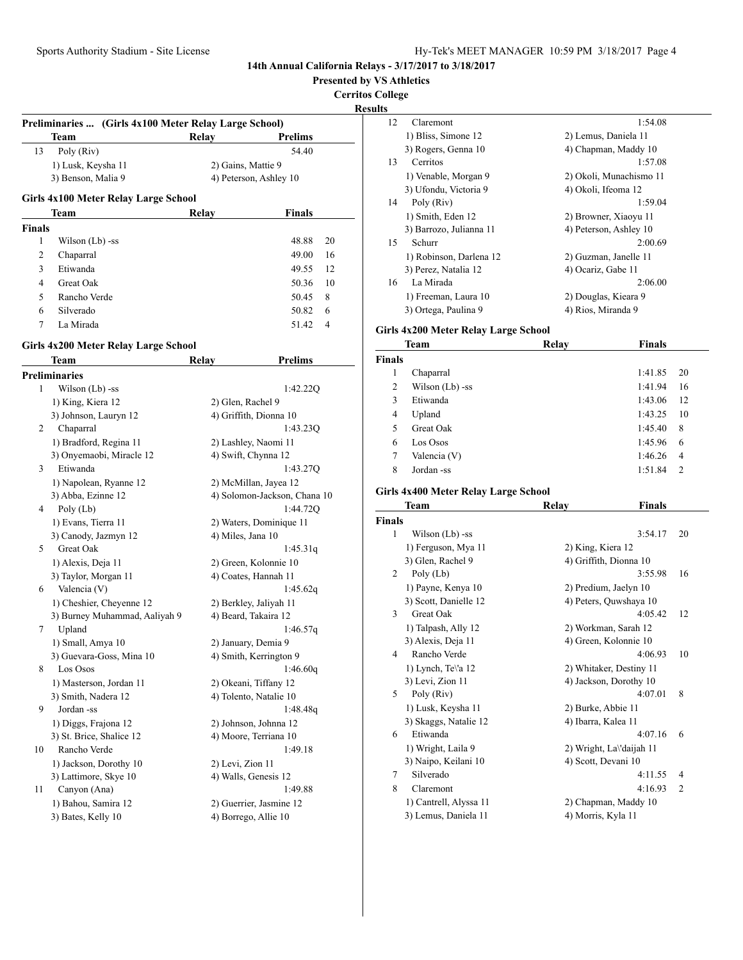**Presented by VS Athletics**

**Results**

|               | Preliminaries  (Girls 4x100 Meter Relay Large School) |                     |                              |    |
|---------------|-------------------------------------------------------|---------------------|------------------------------|----|
|               | Team                                                  | Relay               | Prelims                      |    |
| 13            | Poly (Riv)                                            |                     | 54.40                        |    |
|               | 1) Lusk, Keysha 11                                    | 2) Gains, Mattie 9  |                              |    |
|               | 3) Benson, Malia 9                                    |                     | 4) Peterson, Ashley 10       |    |
|               | Girls 4x100 Meter Relay Large School                  |                     |                              |    |
|               | Team                                                  | Relay               | Finals                       |    |
| <b>Finals</b> |                                                       |                     |                              |    |
| 1             | Wilson (Lb) -ss                                       |                     | 48.88                        | 20 |
| 2             | Chaparral                                             |                     | 49.00                        | 16 |
| 3             | Etiwanda                                              |                     | 49.55                        | 12 |
| 4             | Great Oak                                             |                     | 50.36                        | 10 |
| 5             | Rancho Verde                                          |                     | 50.45                        | 8  |
| 6             | Silverado                                             |                     | 50.82                        | 6  |
| 7             | La Mirada                                             |                     | 51.42                        | 4  |
|               |                                                       |                     |                              |    |
|               | Girls 4x200 Meter Relay Large School                  |                     |                              |    |
|               | Team                                                  | Relay               | Prelims                      |    |
|               | <b>Preliminaries</b>                                  |                     |                              |    |
| 1             | Wilson (Lb) -ss                                       |                     | 1:42.22Q                     |    |
|               | 1) King, Kiera 12                                     | 2) Glen, Rachel 9   |                              |    |
|               | 3) Johnson, Lauryn 12                                 |                     | 4) Griffith, Dionna 10       |    |
| 2             | Chaparral                                             |                     | 1:43.23Q                     |    |
|               | 1) Bradford, Regina 11                                |                     | 2) Lashley, Naomi 11         |    |
|               | 3) Onyemaobi, Miracle 12                              | 4) Swift, Chynna 12 |                              |    |
| 3             | Etiwanda                                              |                     | 1:43.27Q                     |    |
|               | 1) Napolean, Ryanne 12                                |                     | 2) McMillan, Jayea 12        |    |
|               | 3) Abba, Ezinne 12                                    |                     | 4) Solomon-Jackson, Chana 10 |    |
| 4             | Poly (Lb)                                             |                     | 1:44.72Q                     |    |
|               | 1) Evans, Tierra 11                                   |                     | 2) Waters, Dominique 11      |    |
|               | 3) Canody, Jazmyn 12                                  | 4) Miles, Jana 10   |                              |    |
| 5             | Great Oak                                             |                     | 1:45.31q                     |    |
|               | 1) Alexis, Deja 11                                    |                     | 2) Green, Kolonnie 10        |    |
|               | 3) Taylor, Morgan 11                                  |                     | 4) Coates, Hannah 11         |    |
| 6             | Valencia (V)                                          |                     | 1:45.62q                     |    |
|               | 1) Cheshier, Cheyenne 12                              |                     | 2) Berkley, Jaliyah 11       |    |
|               | 3) Burney Muhammad, Aaliyah 9                         |                     | 4) Beard, Takaira 12         |    |
| 7             | Upland                                                |                     | 1:46.57q                     |    |
|               | 1) Small, Amya 10                                     | 2) January, Demia 9 |                              |    |
|               | 3) Guevara-Goss, Mina 10                              |                     | 4) Smith, Kerrington 9       |    |
| 8             | Los Osos                                              |                     | 1:46.60g                     |    |
|               | 1) Masterson, Jordan 11                               |                     | 2) Okeani, Tiffany 12        |    |
|               | 3) Smith, Nadera 12                                   |                     | 4) Tolento, Natalie 10       |    |

9 Jordan -ss 1:48.48q 1) Diggs, Frajona 12 2) Johnson, Johnna 12 3) St. Brice, Shalice 12 4) Moore, Terriana 10 10 Rancho Verde 1:49.18 1) Jackson, Dorothy 10 2) Levi, Zion 11 3) Lattimore, Skye 10 4) Walls, Genesis 12 11 Canyon (Ana) 1:49.88 1) Bahou, Samira 12 2) Guerrier, Jasmine 12 3) Bates, Kelly 10 4) Borrego, Allie 10

| 12 | Claremont               | 1:54.08                 |
|----|-------------------------|-------------------------|
|    | 1) Bliss, Simone 12     | 2) Lemus, Daniela 11    |
|    | 3) Rogers, Genna 10     | 4) Chapman, Maddy 10    |
| 13 | Cerritos                | 1:57.08                 |
|    | 1) Venable, Morgan 9    | 2) Okoli, Munachismo 11 |
|    | 3) Ufondu. Victoria 9   | 4) Okoli, Ifeoma 12     |
| 14 | Poly (Riv)              | 1:59.04                 |
|    | 1) Smith, Eden 12       | 2) Browner, Xiaoyu 11   |
|    | 3) Barrozo, Julianna 11 | 4) Peterson, Ashley 10  |
| 15 | Schurr                  | 2:00.69                 |
|    | 1) Robinson, Darlena 12 | 2) Guzman, Janelle 11   |
|    | 3) Perez, Natalia 12    | 4) Ocariz, Gabe 11      |
| 16 | La Mirada               | 2:06.00                 |
|    | 1) Freeman, Laura 10    | 2) Douglas, Kieara 9    |
|    | 3) Ortega, Paulina 9    | 4) Rios, Miranda 9      |

#### **Girls 4x200 Meter Relay Large School**

|               | Team            | Relay | <b>Finals</b> |                |
|---------------|-----------------|-------|---------------|----------------|
| <b>Finals</b> |                 |       |               |                |
| 1             | Chaparral       |       | 1:41.85       | 20             |
| 2             | Wilson (Lb) -ss |       | 1:41.94       | 16             |
| 3             | Etiwanda        |       | 1:43.06       | 12             |
| 4             | Upland          |       | 1:43.25       | 10             |
| 5             | Great Oak       |       | 1:45.40       | 8              |
| 6             | Los Osos        |       | 1:45.96       | 6              |
| 7             | Valencia (V)    |       | 1:46.26       | 4              |
| 8             | Jordan -ss      |       | 1:51.84       | $\overline{2}$ |

#### **Girls 4x400 Meter Relay Large School**

|                | <b>Team</b>            | Relay                  | Finals                   |                |
|----------------|------------------------|------------------------|--------------------------|----------------|
| <b>Finals</b>  |                        |                        |                          |                |
| 1              | Wilson (Lb) -ss        |                        | 3:54.17                  | 20             |
|                | 1) Ferguson, Mya 11    | 2) King, Kiera 12      |                          |                |
|                | 3) Glen, Rachel 9      | 4) Griffith, Dionna 10 |                          |                |
| $\overline{c}$ | Poly (Lb)              |                        | 3:55.98                  | 16             |
|                | 1) Payne, Kenya 10     | 2) Predium, Jaelyn 10  |                          |                |
|                | 3) Scott, Danielle 12  |                        | 4) Peters, Quwshaya 10   |                |
| 3              | <b>Great Oak</b>       |                        | 4:05.42                  | 12             |
|                | 1) Talpash, Ally 12    | 2) Workman, Sarah 12   |                          |                |
|                | 3) Alexis, Deja 11     | 4) Green, Kolonnie 10  |                          |                |
| 4              | Rancho Verde           |                        | 4:06.93                  | 10             |
|                | 1) Lynch, Te\'a 12     |                        | 2) Whitaker, Destiny 11  |                |
|                | 3) Levi, Zion 11       |                        | 4) Jackson, Dorothy 10   |                |
| 5              | Poly (Riv)             |                        | 4:07.01                  | 8              |
|                | 1) Lusk, Keysha 11     | 2) Burke, Abbie 11     |                          |                |
|                | 3) Skaggs, Natalie 12  | 4) Ibarra, Kalea 11    |                          |                |
| 6              | Etiwanda               |                        | 4:07.16                  | 6              |
|                | 1) Wright, Laila 9     |                        | 2) Wright, La\'daijah 11 |                |
|                | 3) Naipo, Keilani 10   | 4) Scott, Devani 10    |                          |                |
| 7              | Silverado              |                        | 4:11.55                  | 4              |
| 8              | Claremont              |                        | 4:16.93                  | $\overline{2}$ |
|                | 1) Cantrell, Alyssa 11 |                        | 2) Chapman, Maddy 10     |                |
|                | 3) Lemus, Daniela 11   | 4) Morris, Kyla 11     |                          |                |

# **Cerritos College**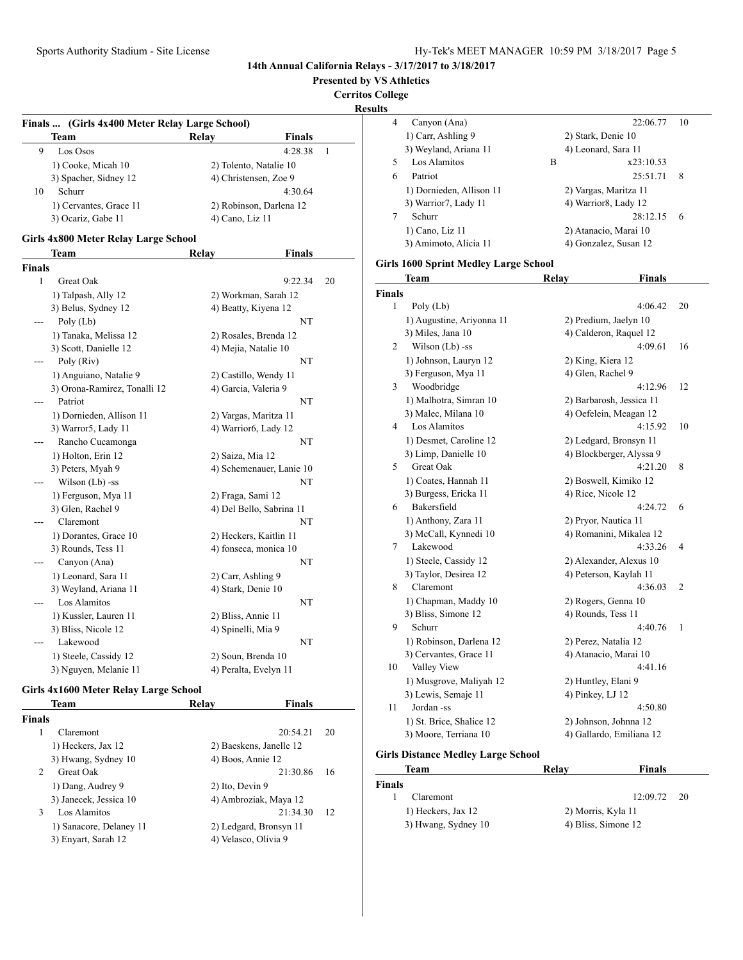**Presented by VS Athletics**

**Cerritos College**

**Result** 

| Team                   | Relay                   | Finals  |  |
|------------------------|-------------------------|---------|--|
| Los Osos<br>9          |                         | 4:28.38 |  |
| 1) Cooke, Micah 10     | 2) Tolento, Natalie 10  |         |  |
| 3) Spacher, Sidney 12  | 4) Christensen, Zoe 9   |         |  |
| Schurr<br>10           |                         | 4:30.64 |  |
| 1) Cervantes, Grace 11 | 2) Robinson, Darlena 12 |         |  |
| 3) Ocariz, Gabe 11     | 4) Cano, Liz 11         |         |  |

|               | Team                         | Relay                 | <b>Finals</b>            |    |
|---------------|------------------------------|-----------------------|--------------------------|----|
| <b>Finals</b> |                              |                       |                          |    |
| 1             | Great Oak                    |                       | 9:22.34                  | 20 |
|               | 1) Talpash, Ally 12          |                       | 2) Workman, Sarah 12     |    |
|               | 3) Belus, Sydney 12          | 4) Beatty, Kiyena 12  |                          |    |
|               | Poly (Lb)                    |                       | NT                       |    |
|               | 1) Tanaka, Melissa 12        |                       | 2) Rosales, Brenda 12    |    |
|               | 3) Scott, Danielle 12        | 4) Mejia, Natalie 10  |                          |    |
|               | Poly (Riv)                   |                       | NT                       |    |
|               | 1) Anguiano, Natalie 9       | 2) Castillo, Wendy 11 |                          |    |
|               | 3) Orona-Ramirez, Tonalli 12 | 4) Garcia, Valeria 9  |                          |    |
|               | Patriot                      |                       | NT                       |    |
|               | 1) Dornieden, Allison 11     | 2) Vargas, Maritza 11 |                          |    |
|               | 3) Warror5, Lady 11          | 4) Warrior6, Lady 12  |                          |    |
|               | Rancho Cucamonga             |                       | NT                       |    |
|               | 1) Holton, Erin 12           | 2) Saiza, Mia 12      |                          |    |
|               | 3) Peters, Myah 9            |                       | 4) Schemenauer, Lanie 10 |    |
|               | Wilson (Lb) -ss              |                       | NT                       |    |
|               | 1) Ferguson, Mya 11          | 2) Fraga, Sami 12     |                          |    |
|               | 3) Glen, Rachel 9            |                       | 4) Del Bello, Sabrina 11 |    |
|               | Claremont                    |                       | NT                       |    |
|               | 1) Dorantes, Grace 10        |                       | 2) Heckers, Kaitlin 11   |    |
|               | 3) Rounds, Tess 11           |                       | 4) fonseca, monica 10    |    |
| ---           | Canyon (Ana)                 |                       | NT                       |    |
|               | 1) Leonard, Sara 11          | 2) Carr, Ashling 9    |                          |    |
|               | 3) Weyland, Ariana 11        | 4) Stark, Denie 10    |                          |    |
|               | Los Alamitos                 |                       | NT                       |    |
|               | 1) Kussler, Lauren 11        | 2) Bliss, Annie 11    |                          |    |
|               | 3) Bliss, Nicole 12          | 4) Spinelli, Mia 9    |                          |    |
|               | Lakewood                     |                       | NT                       |    |
|               | 1) Steele, Cassidy 12        | 2) Soun, Brenda 10    |                          |    |
|               | 3) Nguyen, Melanie 11        | 4) Peralta, Evelyn 11 |                          |    |

## **Girls 4x1600 Meter Relay Large School**

|                | Team                    | Relav                | Finals                  |    |
|----------------|-------------------------|----------------------|-------------------------|----|
| Finals         |                         |                      |                         |    |
| 1              | Claremont               |                      | 20:54.21                | 20 |
|                | 1) Heckers, Jax 12      |                      | 2) Baeskens, Janelle 12 |    |
|                | 3) Hwang, Sydney 10     | 4) Boos, Annie 12    |                         |    |
| $\mathfrak{D}$ | Great Oak               |                      | 21:30.86                | 16 |
|                | 1) Dang, Audrey 9       | 2) Ito, Devin 9      |                         |    |
|                | 3) Janecek, Jessica 10  |                      | 4) Ambroziak, Maya 12   |    |
| 3              | Los Alamitos            |                      | 21:34.30                | 12 |
|                | 1) Sanacore, Delaney 11 |                      | 2) Ledgard, Bronsyn 11  |    |
|                | 3) Enyart, Sarah 12     | 4) Velasco, Olivia 9 |                         |    |
|                |                         |                      |                         |    |

| ΙS |                          |                                   |     |
|----|--------------------------|-----------------------------------|-----|
| 4  | Canyon (Ana)             | 22:06.77                          | -10 |
|    | 1) Carr, Ashling 9       | 2) Stark, Denie 10                |     |
|    | 3) Weyland, Ariana 11    | 4) Leonard, Sara 11               |     |
| 5  | Los Alamitos             | x23:10.53<br>B                    |     |
| 6  | Patriot                  | 25:51.71                          | 8   |
|    | 1) Dornieden, Allison 11 | 2) Vargas, Maritza 11             |     |
|    | 3) Warrior7, Lady 11     | 4) Warrior <sub>8</sub> , Lady 12 |     |
| 7  | Schurr                   | 28:12.15                          | 6   |
|    | 1) Cano, Liz 11          | 2) Atanacio, Marai 10             |     |
|    | 3) Amimoto, Alicia 11    | 4) Gonzalez, Susan 12             |     |
|    |                          |                                   |     |

## **Girls 1600 Sprint Medley Large School**

|               | Team                      | Relay                    | <b>Finals</b>            |                |
|---------------|---------------------------|--------------------------|--------------------------|----------------|
| <b>Finals</b> |                           |                          |                          |                |
| 1             | Poly (Lb)                 |                          | 4:06.42                  | 20             |
|               | 1) Augustine, Ariyonna 11 | 2) Predium, Jaelyn 10    |                          |                |
|               | 3) Miles, Jana 10         | 4) Calderon, Raquel 12   |                          |                |
| 2             | Wilson (Lb) -ss           |                          | 4:09.61                  | 16             |
|               | 1) Johnson, Lauryn 12     | 2) King, Kiera 12        |                          |                |
|               | 3) Ferguson, Mya 11       | 4) Glen, Rachel 9        |                          |                |
| 3             | Woodbridge                |                          | 4:12.96                  | 12             |
|               | 1) Malhotra, Simran 10    | 2) Barbarosh, Jessica 11 |                          |                |
|               | 3) Malec, Milana 10       | 4) Oefelein, Meagan 12   |                          |                |
| 4             | Los Alamitos              |                          | 4:15.92                  | 10             |
|               | 1) Desmet, Caroline 12    | 2) Ledgard, Bronsyn 11   |                          |                |
|               | 3) Limp, Danielle 10      |                          | 4) Blockberger, Alyssa 9 |                |
| 5             | Great Oak                 |                          | 4:21.20                  | 8              |
|               | 1) Coates, Hannah 11      | 2) Boswell, Kimiko 12    |                          |                |
|               | 3) Burgess, Ericka 11     | 4) Rice, Nicole 12       |                          |                |
| 6             | Bakersfield               |                          | 4:24.72                  | 6              |
|               | 1) Anthony, Zara 11       | 2) Pryor, Nautica 11     |                          |                |
|               | 3) McCall, Kynnedi 10     |                          | 4) Romanini, Mikalea 12  |                |
| 7             | Lakewood                  |                          | 4:33.26                  | 4              |
|               | 1) Steele, Cassidy 12     | 2) Alexander, Alexus 10  |                          |                |
|               | 3) Taylor, Desirea 12     | 4) Peterson, Kaylah 11   |                          |                |
| 8             | Claremont                 |                          | 4:36.03                  | $\overline{c}$ |
|               | 1) Chapman, Maddy 10      | 2) Rogers, Genna 10      |                          |                |
|               | 3) Bliss, Simone 12       | 4) Rounds, Tess 11       |                          |                |
| 9             | Schurr                    |                          | 4:40.76                  | 1              |
|               | 1) Robinson, Darlena 12   | 2) Perez, Natalia 12     |                          |                |
|               | 3) Cervantes, Grace 11    | 4) Atanacio, Marai 10    |                          |                |
| 10            | Valley View               |                          | 4:41.16                  |                |
|               | 1) Musgrove, Maliyah 12   | 2) Huntley, Elani 9      |                          |                |
|               | 3) Lewis, Semaje 11       | 4) Pinkey, LJ 12         |                          |                |
| 11            | Jordan -ss                |                          | 4:50.80                  |                |
|               | 1) St. Brice, Shalice 12  | 2) Johnson, Johnna 12    |                          |                |
|               | 3) Moore, Terriana 10     |                          | 4) Gallardo, Emiliana 12 |                |
|               |                           |                          |                          |                |

#### **Girls Distance Medley Large School**

| Team                | Relay              | <b>Finals</b>       |
|---------------------|--------------------|---------------------|
| <b>Finals</b>       |                    |                     |
| Claremont           |                    | $12:09.72$ 20       |
| 1) Heckers, Jax 12  | 2) Morris, Kyla 11 |                     |
| 3) Hwang, Sydney 10 |                    | 4) Bliss, Simone 12 |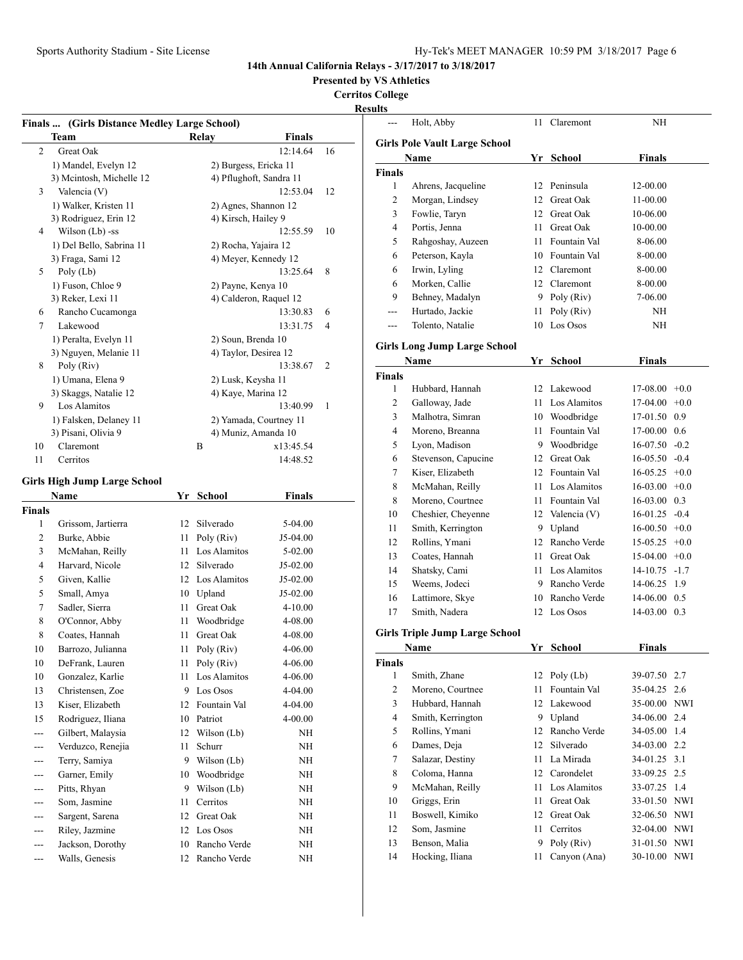**Presented by VS Athletics**

**Cerritos College**

| Finals | (Girls Distance Medley Large School) |      |                         |               |    |
|--------|--------------------------------------|------|-------------------------|---------------|----|
|        | Team                                 |      | Relay                   | <b>Finals</b> |    |
| 2      | Great Oak                            |      |                         | 12:14.64      | 16 |
|        | 1) Mandel, Evelyn 12                 |      | 2) Burgess, Ericka 11   |               |    |
|        | 3) Meintosh, Michelle 12             |      | 4) Pflughoft, Sandra 11 |               |    |
| 3      | Valencia (V)                         |      |                         | 12:53.04      | 12 |
|        | 1) Walker, Kristen 11                |      | 2) Agnes, Shannon 12    |               |    |
|        | 3) Rodriguez, Erin 12                |      | 4) Kirsch, Hailey 9     |               |    |
| 4      | Wilson (Lb) -ss                      |      |                         | 12:55.59      | 10 |
|        | 1) Del Bello, Sabrina 11             |      | 2) Rocha, Yajaira 12    |               |    |
|        | 3) Fraga, Sami 12                    |      | 4) Meyer, Kennedy 12    |               |    |
| 5      | Poly (Lb)                            |      |                         | 13:25.64      | 8  |
|        | 1) Fuson, Chloe 9                    |      | 2) Payne, Kenya 10      |               |    |
|        | 3) Reker, Lexi 11                    |      | 4) Calderon, Raquel 12  |               |    |
| 6      | Rancho Cucamonga                     |      |                         | 13:30.83      | 6  |
| 7      | Lakewood                             |      |                         | 13:31.75      | 4  |
|        | 1) Peralta, Evelyn 11                |      | 2) Soun, Brenda 10      |               |    |
|        | 3) Nguyen, Melanie 11                |      | 4) Taylor, Desirea 12   |               |    |
| 8      | Poly (Riv)                           |      |                         | 13:38.67      | 2  |
|        | 1) Umana, Elena 9                    |      | 2) Lusk, Keysha 11      |               |    |
|        | 3) Skaggs, Natalie 12                |      | 4) Kaye, Marina 12      |               |    |
| 9      | Los Alamitos                         |      |                         | 13:40.99      | 1  |
|        | 1) Falsken, Delaney 11               |      | 2) Yamada, Courtney 11  |               |    |
|        | 3) Pisani, Olivia 9                  |      | 4) Muniz, Amanda 10     |               |    |
| 10     | Claremont                            |      | B                       | x13:45.54     |    |
| 11     | Cerritos                             |      |                         | 14:48.52      |    |
|        | <b>Girls High Jump Large School</b>  |      |                         |               |    |
|        | Name                                 | Yr   | <b>School</b>           | <b>Finals</b> |    |
| Finals |                                      |      |                         |               |    |
| 1      | Grissom, Jartierra                   | 12   | Silverado               | 5-04.00       |    |
| 2      | Burke, Abbie                         | 11   | Poly (Riv)              | J5-04.00      |    |
| 3      | McMahan, Reilly                      | 11 - | Los Alamitos            | 5-02.00       |    |
| 4      | Harvard, Nicole                      | 12   | Silverado               | J5-02.00      |    |
| 5      | Given, Kallie                        |      | 12 Los Alamitos         | J5-02.00      |    |
| 5      | Small, Amya                          |      | 10 Upland               | J5-02.00      |    |
| 7      | Sadler, Sierra                       | 11 - | Great Oak               | 4-10.00       |    |
| 8      | O'Connor, Abby                       | 11 - | Woodbridge              | 4-08.00       |    |
| 8      | Coates, Hannah                       | 11   | Great Oak               | 4-08.00       |    |
| 10     | Barrozo, Julianna                    | 11   | Poly (Riv)              | 4-06.00       |    |
| 10     | DeFrank, Lauren                      | 11   | Poly (Riv)              | 4-06.00       |    |
| 10     | Gonzalez, Karlie                     | 11   | Los Alamitos            | 4-06.00       |    |
| 13     | Christensen, Zoe                     | 9.   | Los Osos                | 4-04.00       |    |
| 13     | Kiser, Elizabeth                     |      | 12 Fountain Val         | 4-04.00       |    |
| 15     | Rodriguez, Iliana                    |      | 10 Patriot              | 4-00.00       |    |
| ---    | Gilbert, Malaysia                    | 12   | Wilson (Lb)             | NΗ            |    |
| ---    | Verduzco, Renejia                    | 11   | Schurr                  | NH            |    |
| ---    | Terry, Samiya                        | 9.   | Wilson (Lb)             | NΗ            |    |
| ---    | Garner, Emily                        | 10   | Woodbridge              | NΗ            |    |
|        | Pitts, Rhyan                         | 9.   | Wilson (Lb)             | NΗ            |    |
|        | Som, Jasmine                         | 11   | Cerritos                | NH            |    |
| ---    | Sargent, Sarena                      | 12   | Great Oak               | NΗ            |    |
|        | Riley, Jazmine                       | 12   | Los Osos                | NH            |    |
| ---    | Jackson, Dorothy                     | 10   | Rancho Verde            | NΗ            |    |
| ---    | Walls, Genesis                       | 12   | Rancho Verde            | NΗ            |    |

|                | Holt, Abby                            | 11              | Claremont       | NΗ               |            |
|----------------|---------------------------------------|-----------------|-----------------|------------------|------------|
|                | <b>Girls Pole Vault Large School</b>  |                 |                 |                  |            |
|                | Name                                  |                 | Yr School       | <b>Finals</b>    |            |
| <b>Finals</b>  |                                       |                 |                 |                  |            |
| 1              | Ahrens, Jacqueline                    |                 | 12 Peninsula    | 12-00.00         |            |
| $\overline{c}$ | Morgan, Lindsey                       | 12              | Great Oak       | 11-00.00         |            |
| 3              | Fowlie, Taryn                         | 12              | Great Oak       | 10-06.00         |            |
| $\overline{4}$ | Portis, Jenna                         | 11              | Great Oak       | 10-00.00         |            |
| 5              | Rahgoshay, Auzeen                     | 11              | Fountain Val    | 8-06.00          |            |
| 6              | Peterson, Kayla                       |                 | 10 Fountain Val | 8-00.00          |            |
| 6              | Irwin, Lyling                         |                 | 12 Claremont    | 8-00.00          |            |
| 6              | Morken, Callie                        |                 | 12 Claremont    | 8-00.00          |            |
| 9              | Behney, Madalyn                       |                 | 9 Poly (Riv)    | 7-06.00          |            |
| ---            | Hurtado, Jackie                       | 11              | Poly (Riv)      | NΗ               |            |
| ---            | Tolento, Natalie                      |                 | 10 Los Osos     | NH               |            |
|                |                                       |                 |                 |                  |            |
|                | <b>Girls Long Jump Large School</b>   |                 |                 |                  |            |
|                | Name                                  |                 | Yr School       | <b>Finals</b>    |            |
| <b>Finals</b>  |                                       |                 |                 |                  |            |
| 1              | Hubbard, Hannah                       |                 | 12 Lakewood     | $17-08.00 +0.0$  |            |
| 2              | Galloway, Jade                        | 11              | Los Alamitos    | 17-04.00         | $+0.0$     |
| 3              | Malhotra, Simran                      |                 | 10 Woodbridge   | 17-01.50 0.9     |            |
| $\overline{4}$ | Moreno, Breanna                       |                 | 11 Fountain Val | 17-00.00 0.6     |            |
| 5              | Lyon, Madison                         |                 | 9 Woodbridge    | $16-07.50 -0.2$  |            |
| 6              | Stevenson, Capucine                   |                 | 12 Great Oak    | $16-05.50 -0.4$  |            |
| 7              | Kiser, Elizabeth                      |                 | 12 Fountain Val | $16-05.25$ +0.0  |            |
| 8              | McMahan, Reilly                       | 11              | Los Alamitos    | $16-03.00 +0.0$  |            |
| 8              | Moreno, Courtnee                      |                 | 11 Fountain Val | 16-03.00 0.3     |            |
| 10             | Cheshier, Cheyenne                    |                 | 12 Valencia (V) | 16-01.25 -0.4    |            |
| 11             | Smith, Kerrington                     |                 | 9 Upland        | $16-00.50 + 0.0$ |            |
| 12             | Rollins, Ymani                        |                 | 12 Rancho Verde | $15-05.25$ +0.0  |            |
| 13             | Coates, Hannah                        | 11              | Great Oak       | $15-04.00 +0.0$  |            |
| 14             | Shatsky, Cami                         | 11              | Los Alamitos    | $14-10.75 -1.7$  |            |
| 15             | Weems, Jodeci                         |                 | 9 Rancho Verde  | 14-06.25 1.9     |            |
| 16             | Lattimore, Skye                       |                 | 10 Rancho Verde | 14-06.00 0.5     |            |
| 17             | Smith, Nadera                         | 12 <sup>2</sup> | Los Osos        | 14-03.00         | 0.3        |
|                | <b>Girls Triple Jump Large School</b> |                 |                 |                  |            |
|                | Name                                  |                 | Yr School       | <b>Finals</b>    |            |
| Finals         |                                       |                 |                 |                  |            |
| 1              | Smith, Zhane                          | 12              | Poly (Lb)       | 39-07.50         | 2.7        |
| 2              | Moreno, Courtnee                      | 11              | Fountain Val    | 35-04.25         | 2.6        |
| 3              | Hubbard, Hannah                       | 12              | Lakewood        | 35-00.00         | <b>NWI</b> |
| 4              | Smith, Kerrington                     |                 | 9 Upland        | 34-06.00         | 2.4        |
| 5              | Rollins, Ymani                        | 12              | Rancho Verde    | 34-05.00         | 1.4        |
| 6              | Dames, Deja                           | 12              | Silverado       | 34-03.00         | 2.2        |
| 7              | Salazar, Destiny                      | 11              | La Mirada       | 34-01.25         | 3.1        |
| $\,8\,$        | Coloma, Hanna                         |                 | 12 Carondelet   | 33-09.25         | 2.5        |
| 9              | McMahan, Reilly                       | 11              | Los Alamitos    | 33-07.25         | 1.4        |
| 10             | Griggs, Erin                          | 11              | Great Oak       | 33-01.50 NWI     |            |
| 11             | Boswell, Kimiko                       | 12              | Great Oak       | 32-06.50 NWI     |            |
| 12             | Som, Jasmine                          | 11 -            | Cerritos        | 32-04.00 NWI     |            |
| 13             | Benson, Malia                         | 9.              | Poly (Riv)      | 31-01.50         | <b>NWI</b> |
| 14             | Hocking, Iliana                       | 11              | Canyon (Ana)    | 30-10.00         | <b>NWI</b> |
|                |                                       |                 |                 |                  |            |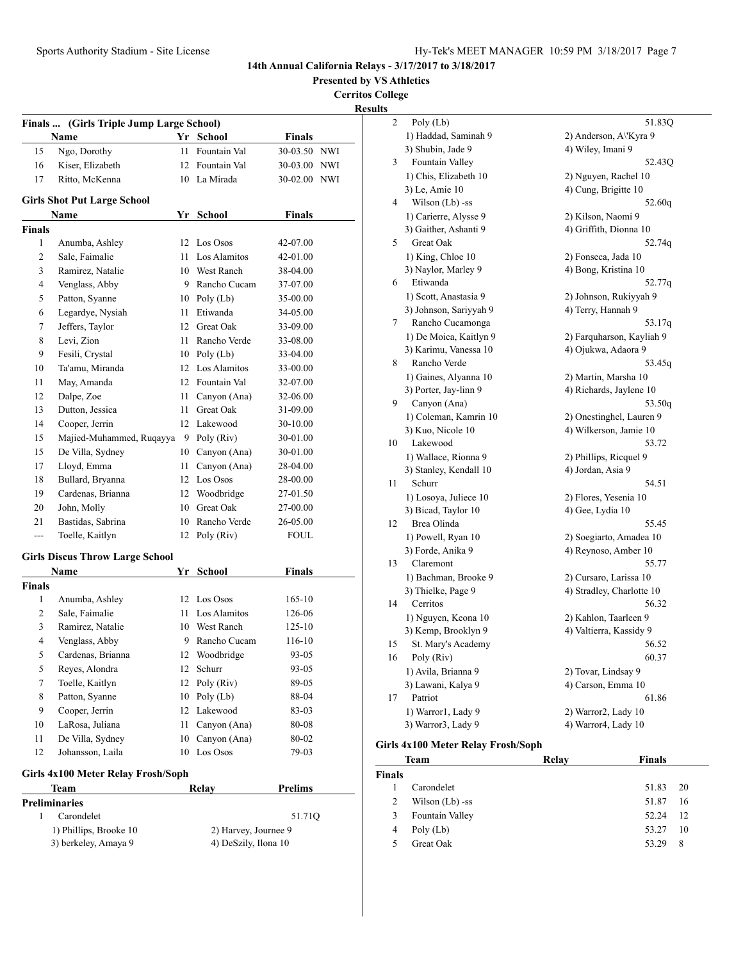**Presented by VS Athletics**

**Cerritos College**

**Results**

| 15<br>16<br>17<br>Finals<br>1<br>$\overline{c}$<br>3<br>4<br>5<br>6 | Ngo, Dorothy<br>Kiser, Elizabeth<br>Ritto, McKenna<br><b>Girls Shot Put Large School</b><br>Name<br>Anumba, Ashley<br>Sale, Faimalie<br>Ramirez, Natalie<br>Venglass, Abby | 11<br>12 | Fountain Val<br>Fountain Val<br>10 La Mirada<br>Yr School | 30-03.50 NWI<br>30-03.00 NWI<br>30-02.00 NWI<br>Finals |  |
|---------------------------------------------------------------------|----------------------------------------------------------------------------------------------------------------------------------------------------------------------------|----------|-----------------------------------------------------------|--------------------------------------------------------|--|
|                                                                     |                                                                                                                                                                            |          |                                                           |                                                        |  |
|                                                                     |                                                                                                                                                                            |          |                                                           |                                                        |  |
|                                                                     |                                                                                                                                                                            |          |                                                           |                                                        |  |
|                                                                     |                                                                                                                                                                            |          |                                                           |                                                        |  |
|                                                                     |                                                                                                                                                                            |          |                                                           |                                                        |  |
|                                                                     |                                                                                                                                                                            |          |                                                           |                                                        |  |
|                                                                     |                                                                                                                                                                            |          | 12 Los Osos                                               | 42-07.00                                               |  |
|                                                                     |                                                                                                                                                                            |          | 11 Los Alamitos                                           | 42-01.00                                               |  |
|                                                                     |                                                                                                                                                                            |          | 10 West Ranch                                             | 38-04.00                                               |  |
|                                                                     |                                                                                                                                                                            |          | 9 Rancho Cucam                                            | 37-07.00                                               |  |
|                                                                     | Patton, Syanne                                                                                                                                                             |          | 10 Poly $(Lb)$                                            | 35-00.00                                               |  |
|                                                                     | Legardye, Nysiah                                                                                                                                                           |          | 11 Etiwanda                                               | 34-05.00                                               |  |
| 7                                                                   | Jeffers, Taylor                                                                                                                                                            |          | 12 Great Oak                                              | 33-09.00                                               |  |
| 8                                                                   | Levi, Zion                                                                                                                                                                 |          | 11 Rancho Verde                                           | 33-08.00                                               |  |
| 9                                                                   | Fesili, Crystal                                                                                                                                                            |          | $10$ Poly (Lb)                                            | 33-04.00                                               |  |
| 10                                                                  | Ta'amu, Miranda                                                                                                                                                            |          | 12 Los Alamitos                                           | 33-00.00                                               |  |
| 11                                                                  | May, Amanda                                                                                                                                                                |          | 12 Fountain Val                                           | 32-07.00                                               |  |
| 12                                                                  | Dalpe, Zoe                                                                                                                                                                 | 11 -     | Canyon (Ana)                                              | 32-06.00                                               |  |
| 13                                                                  | Dutton, Jessica                                                                                                                                                            | 11 -     | Great Oak                                                 | 31-09.00                                               |  |
| 14                                                                  | Cooper, Jerrin                                                                                                                                                             |          | 12 Lakewood                                               | 30-10.00                                               |  |
| 15                                                                  | Majied-Muhammed, Ruqayya                                                                                                                                                   |          | 9 Poly ( $Riv$ )                                          | 30-01.00                                               |  |
| 15                                                                  | De Villa, Sydney                                                                                                                                                           |          | 10 Canyon (Ana)                                           | 30-01.00                                               |  |
| 17                                                                  | Lloyd, Emma                                                                                                                                                                | 11 -     | Canyon (Ana)                                              | 28-04.00                                               |  |
| 18                                                                  | Bullard, Bryanna                                                                                                                                                           |          | 12 Los Osos                                               | 28-00.00                                               |  |
| 19                                                                  | Cardenas, Brianna                                                                                                                                                          |          | 12 Woodbridge                                             | 27-01.50                                               |  |
| 20                                                                  | John, Molly                                                                                                                                                                |          | 10 Great Oak                                              | 27-00.00                                               |  |
| 21                                                                  | Bastidas, Sabrina                                                                                                                                                          | 10       | Rancho Verde                                              | 26-05.00                                               |  |
| ---                                                                 | Toelle, Kaitlyn                                                                                                                                                            | 12       | Poly (Riv)                                                | FOUL                                                   |  |
|                                                                     |                                                                                                                                                                            |          |                                                           |                                                        |  |
|                                                                     | <b>Girls Discus Throw Large School</b>                                                                                                                                     |          |                                                           |                                                        |  |
|                                                                     | Name                                                                                                                                                                       |          | Yr School                                                 | <b>Finals</b>                                          |  |
| Finals<br>1                                                         | Anumba, Ashley                                                                                                                                                             |          | 12 Los Osos                                               | $165 - 10$                                             |  |
| $\overline{c}$                                                      | Sale, Faimalie                                                                                                                                                             |          | 11 Los Alamitos                                           | 126-06                                                 |  |
| 3                                                                   | Ramirez, Natalie                                                                                                                                                           |          | 10 West Ranch                                             | $125 - 10$                                             |  |
| 4                                                                   | Venglass, Abby                                                                                                                                                             | 9        | Rancho Cucam                                              | 116-10                                                 |  |
| 5                                                                   | Cardenas, Brianna                                                                                                                                                          | 12       | Woodbridge                                                | 93-05                                                  |  |
| 5                                                                   | Reyes, Alondra                                                                                                                                                             | 12       | Schurr                                                    | 93-05                                                  |  |
| 7                                                                   | Toelle, Kaitlyn                                                                                                                                                            | 12       | Poly (Riv)                                                | 89-05                                                  |  |
|                                                                     |                                                                                                                                                                            |          |                                                           |                                                        |  |
| 8                                                                   | Patton, Syanne                                                                                                                                                             | 10       | Poly $(Lb)$<br>Lakewood                                   | 88-04<br>83-03                                         |  |
| 9                                                                   | Cooper, Jerrin                                                                                                                                                             | 12       |                                                           |                                                        |  |
| 10                                                                  | LaRosa, Juliana                                                                                                                                                            | 11       | Canyon (Ana)                                              | 80-08                                                  |  |
| 11                                                                  | De Villa, Sydney                                                                                                                                                           | 10       | Canyon (Ana)                                              | 80-02                                                  |  |
| 12                                                                  | Johansson, Laila                                                                                                                                                           | 10       | Los Osos                                                  | 79-03                                                  |  |
|                                                                     | Girls 4x100 Meter Relay Frosh/Soph                                                                                                                                         |          |                                                           |                                                        |  |
|                                                                     | <b>Team</b>                                                                                                                                                                |          | Relay                                                     | <b>Prelims</b>                                         |  |
| $\mathbf{1}$                                                        | <b>Preliminaries</b>                                                                                                                                                       |          |                                                           |                                                        |  |
|                                                                     | Carondelet                                                                                                                                                                 |          |                                                           | 51.71Q                                                 |  |
|                                                                     | 1) Phillips, Brooke 10<br>3) berkeley, Amaya 9                                                                                                                             |          | 2) Harvey, Journee 9<br>4) DeSzily, Ilona 10              |                                                        |  |

| 2  | Poly (Lb)              | 51.83Q                                          |
|----|------------------------|-------------------------------------------------|
|    | 1) Haddad, Saminah 9   | 2) Anderson, A\'Kyra 9                          |
|    | 3) Shubin, Jade 9      | 4) Wiley, Imani 9                               |
| 3  | Fountain Valley        | 52.43Q                                          |
|    | 1) Chis, Elizabeth 10  | 2) Nguyen, Rachel 10                            |
|    | 3) Le, Amie 10         | 4) Cung, Brigitte 10                            |
| 4  | Wilson (Lb) -ss        | 52.60q                                          |
|    | 1) Carierre, Alysse 9  | 2) Kilson, Naomi 9                              |
|    | 3) Gaither, Ashanti 9  | 4) Griffith, Dionna 10                          |
| 5  | Great Oak              | 52.74q                                          |
|    | 1) King, Chloe 10      | 2) Fonseca, Jada 10                             |
|    | 3) Naylor, Marley 9    | 4) Bong, Kristina 10                            |
| 6  | Etiwanda               | 52.77q                                          |
|    | 1) Scott, Anastasia 9  | 2) Johnson, Rukiyyah 9                          |
|    | 3) Johnson, Sariyyah 9 | 4) Terry, Hannah 9                              |
| 7  | Rancho Cucamonga       | 53.17q                                          |
|    | 1) De Moica, Kaitlyn 9 | 2) Farquharson, Kayliah 9                       |
|    | 3) Karimu, Vanessa 10  | 4) Ojukwa, Adaora 9                             |
| 8  | Rancho Verde           | 53.45q                                          |
|    | 1) Gaines, Alyanna 10  |                                                 |
|    | 3) Porter, Jay-linn 9  | 2) Martin, Marsha 10<br>4) Richards, Jaylene 10 |
| 9  |                        |                                                 |
|    | Canyon (Ana)           | 53.50q                                          |
|    | 1) Coleman, Kamrin 10  | 2) Onestinghel, Lauren 9                        |
|    | 3) Kuo, Nicole 10      | 4) Wilkerson, Jamie 10                          |
| 10 | Lakewood               | 53.72                                           |
|    | 1) Wallace, Rionna 9   | 2) Phillips, Ricquel 9                          |
|    | 3) Stanley, Kendall 10 | 4) Jordan, Asia 9                               |
| 11 | Schurr                 | 54.51                                           |
|    | 1) Losoya, Juliece 10  | 2) Flores, Yesenia 10                           |
|    | 3) Bicad, Taylor 10    | 4) Gee, Lydia 10                                |
| 12 | Brea Olinda            | 55.45                                           |
|    | 1) Powell, Ryan 10     | 2) Soegiarto, Amadea 10                         |
|    | 3) Forde, Anika 9      | 4) Reynoso, Amber 10                            |
| 13 | Claremont              | 55.77                                           |
|    | 1) Bachman, Brooke 9   | 2) Cursaro, Larissa 10                          |
|    | 3) Thielke, Page 9     | 4) Stradley, Charlotte 10                       |
| 14 | Cerritos               | 56.32                                           |
|    | 1) Nguyen, Keona 10    | 2) Kahlon, Taarleen 9                           |
|    | 3) Kemp, Brooklyn 9    | 4) Valtierra, Kassidy 9                         |
| 15 | St. Mary's Academy     | 56.52                                           |
| 16 | Poly (Riv)             | 60.37                                           |
|    | 1) Avila, Brianna 9    | 2) Tovar, Lindsay 9                             |
|    | 3) Lawani, Kalya 9     | 4) Carson, Emma 10                              |
| 17 | Patriot                | 61.86                                           |
|    | 1) Warror1, Lady 9     | 2) Warror2, Lady 10                             |
|    | 3) Warror3, Lady 9     | 4) Warror4, Lady 10                             |
|    |                        |                                                 |

## **Girls 4x100 Meter Relay Frosh/Soph**

| Team          |                 | Relay | <b>Finals</b> |     |
|---------------|-----------------|-------|---------------|-----|
| <b>Finals</b> |                 |       |               |     |
|               | Carondelet      |       | 51.83         | 20  |
| 2             | Wilson (Lb) -ss |       | 51.87         | 16  |
| 3             | Fountain Valley |       | 52.24         | -12 |
| 4             | Poly $(Lb)$     |       | 53.27         | 10  |
| 5             | Great Oak       |       | 53.29         | 8   |
|               |                 |       |               |     |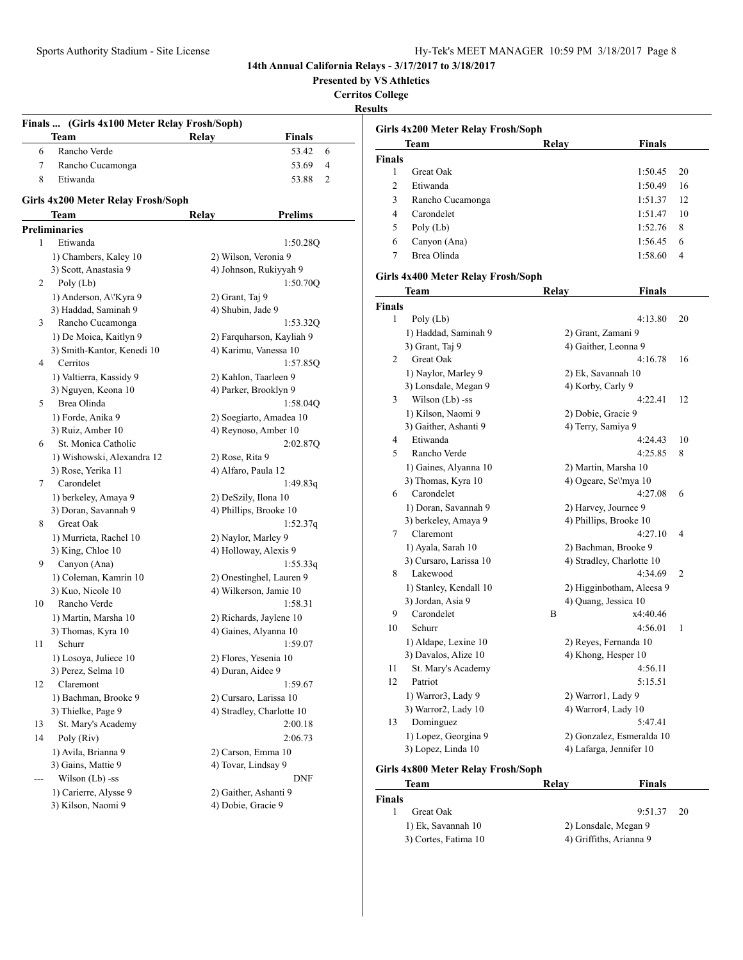**Presented by VS Athletics**

**Cerritos College**

**Results**

|     | Team                               | Relay           | <b>Finals</b>             |
|-----|------------------------------------|-----------------|---------------------------|
| 6   | Rancho Verde                       |                 | 53.42<br>6                |
| 7   | Rancho Cucamonga                   |                 | 53.69<br>4                |
| 8   | Etiwanda                           |                 | 53.88<br>2                |
|     | Girls 4x200 Meter Relay Frosh/Soph |                 |                           |
|     | Team                               | Relay           | <b>Prelims</b>            |
|     | <b>Preliminaries</b>               |                 |                           |
| 1   | Etiwanda                           |                 | 1:50.28Q                  |
|     | 1) Chambers, Kaley 10              |                 | 2) Wilson, Veronia 9      |
|     | 3) Scott, Anastasia 9              |                 | 4) Johnson, Rukiyyah 9    |
| 2   | Poly (Lb)                          |                 | 1:50.70Q                  |
|     | 1) Anderson, A\'Kyra 9             | 2) Grant, Taj 9 |                           |
|     | 3) Haddad, Saminah 9               |                 | 4) Shubin, Jade 9         |
| 3   | Rancho Cucamonga                   |                 | 1:53.32Q                  |
|     | 1) De Moica, Kaitlyn 9             |                 | 2) Farquharson, Kayliah 9 |
|     | 3) Smith-Kantor, Kenedi 10         |                 | 4) Karimu, Vanessa 10     |
| 4   | Cerritos                           |                 | 1:57.85Q                  |
|     | 1) Valtierra, Kassidy 9            |                 | 2) Kahlon, Taarleen 9     |
|     | 3) Nguyen, Keona 10                |                 | 4) Parker, Brooklyn 9     |
| 5   | Brea Olinda                        |                 | 1:58.04Q                  |
|     | 1) Forde, Anika 9                  |                 | 2) Soegiarto, Amadea 10   |
|     | 3) Ruiz, Amber 10                  |                 | 4) Reynoso, Amber 10      |
| 6   | St. Monica Catholic                |                 | 2:02.87Q                  |
|     | 1) Wishowski, Alexandra 12         | 2) Rose, Rita 9 |                           |
|     | 3) Rose, Yerika 11                 |                 | 4) Alfaro, Paula 12       |
| 7   | Carondelet                         |                 | 1:49.83q                  |
|     | 1) berkeley, Amaya 9               |                 | 2) DeSzily, Ilona 10      |
|     | 3) Doran, Savannah 9               |                 | 4) Phillips, Brooke 10    |
| 8   | Great Oak                          |                 | 1:52.37q                  |
|     | 1) Murrieta, Rachel 10             |                 | 2) Naylor, Marley 9       |
|     | 3) King, Chloe 10                  |                 | 4) Holloway, Alexis 9     |
| 9   | Canyon (Ana)                       |                 | 1:55.33q                  |
|     | 1) Coleman, Kamrin 10              |                 | 2) Onestinghel, Lauren 9  |
|     | 3) Kuo, Nicole 10                  |                 | 4) Wilkerson, Jamie 10    |
| 10  | Rancho Verde                       |                 | 1:58.31                   |
|     | 1) Martin, Marsha 10               |                 | 2) Richards, Jaylene 10   |
|     | 3) Thomas, Kyra 10                 |                 | 4) Gaines, Alyanna 10     |
| 11  | Schurr                             |                 | 1:59.07                   |
|     | 1) Losoya, Juliece 10              |                 | 2) Flores, Yesenia 10     |
|     | 3) Perez, Selma 10                 |                 | 4) Duran, Aidee 9         |
| 12  | Claremont                          |                 | 1:59.67                   |
|     | 1) Bachman, Brooke 9               |                 | 2) Cursaro, Larissa 10    |
|     | 3) Thielke, Page 9                 |                 | 4) Stradley, Charlotte 10 |
| 13  | St. Mary's Academy                 |                 | 2:00.18                   |
| 14  | Poly (Riv)                         |                 | 2:06.73                   |
|     | 1) Avila, Brianna 9                |                 | 2) Carson, Emma 10        |
|     | 3) Gains, Mattie 9                 |                 | 4) Tovar, Lindsay 9       |
| --- | Wilson (Lb) -ss                    |                 | DNF                       |
|     | 1) Carierre, Alysse 9              |                 | 2) Gaither, Ashanti 9     |
|     | 3) Kilson, Naomi 9                 |                 | 4) Dobie, Gracie 9        |

|                | Girls 4x200 Meter Relay Frosh/Soph |                        |                           |    |
|----------------|------------------------------------|------------------------|---------------------------|----|
|                | Team                               | Relay                  | <b>Finals</b>             |    |
| Finals         |                                    |                        |                           |    |
| 1              | Great Oak                          |                        | 1:50.45                   | 20 |
| $\overline{c}$ | Etiwanda                           |                        | 1:50.49                   | 16 |
| 3              | Rancho Cucamonga                   |                        | 1:51.37                   | 12 |
| 4              | Carondelet                         |                        | 1:51.47                   | 10 |
| 5              | Poly (Lb)                          |                        | 1:52.76                   | 8  |
| 6              | Canyon (Ana)                       |                        | 1:56.45                   | 6  |
| 7              | Brea Olinda                        |                        | 1:58.60                   | 4  |
|                | Girls 4x400 Meter Relay Frosh/Soph |                        |                           |    |
|                | Team                               | Relay                  | Finals                    |    |
| Finals         |                                    |                        |                           |    |
| 1              | Poly (Lb)                          |                        | 4:13.80                   | 20 |
|                | 1) Haddad, Saminah 9               | 2) Grant, Zamani 9     |                           |    |
|                | 3) Grant, Taj 9                    | 4) Gaither, Leonna 9   |                           |    |
| 2              | <b>Great Oak</b>                   |                        | 4:16.78                   | 16 |
|                | 1) Naylor, Marley 9                | 2) Ek, Savannah 10     |                           |    |
|                | 3) Lonsdale, Megan 9               | 4) Korby, Carly 9      |                           |    |
| 3              | Wilson (Lb) -ss                    |                        | 4:22.41                   | 12 |
|                | 1) Kilson, Naomi 9                 | 2) Dobie, Gracie 9     |                           |    |
|                | 3) Gaither, Ashanti 9              | 4) Terry, Samiya 9     |                           |    |
| 4              | Etiwanda                           |                        | 4:24.43                   | 10 |
| 5              | Rancho Verde                       |                        | 4:25.85                   | 8  |
|                | 1) Gaines, Alyanna 10              | 2) Martin, Marsha 10   |                           |    |
|                | 3) Thomas, Kyra 10                 | 4) Ogeare, Se\'mya 10  |                           |    |
| 6              | Carondelet                         |                        | 4:27.08                   | 6  |
|                | 1) Doran, Savannah 9               | 2) Harvey, Journee 9   |                           |    |
|                | 3) berkeley, Amaya 9               | 4) Phillips, Brooke 10 |                           |    |
| 7              | Claremont                          |                        | 4:27.10                   | 4  |
|                | 1) Ayala, Sarah 10                 | 2) Bachman, Brooke 9   |                           |    |
|                | 3) Cursaro, Larissa 10             |                        | 4) Stradley, Charlotte 10 |    |
| 8              | Lakewood                           |                        | 4:34.69                   | 2  |
|                | 1) Stanley, Kendall 10             |                        | 2) Higginbotham, Aleesa 9 |    |
|                | 3) Jordan, Asia 9                  | 4) Quang, Jessica 10   |                           |    |
| 9              | Carondelet                         | B                      | x4:40.46                  |    |
| 10             | Schurr                             |                        | 4:56.01                   | 1  |
|                | 1) Aldape, Lexine 10               | 2) Reyes, Fernanda 10  |                           |    |
|                | 3) Davalos, Alize 10               | 4) Khong, Hesper 10    |                           |    |
| 11             | St. Mary's Academy                 |                        | 4:56.11                   |    |
| 12             | Patriot                            |                        | 5:15.51                   |    |

# **Girls 4x800 Meter Relay Frosh/Soph**

|        | Team                 | Relay                | <b>Finals</b>           |
|--------|----------------------|----------------------|-------------------------|
| Finals |                      |                      |                         |
|        | Great Oak            |                      | $9:51.37$ 20            |
|        | 1) Ek, Savannah 10   | 2) Lonsdale, Megan 9 |                         |
|        | 3) Cortes, Fatima 10 |                      | 4) Griffiths, Arianna 9 |

1) Warror3, Lady 9 2) Warror1, Lady 9 3) Warror2, Lady 10 4) Warror4, Lady 10 13 Dominguez 5:47.41 1) Lopez, Georgina 9 2) Gonzalez, Esmeralda 10 3) Lopez, Linda 10 4) Lafarga, Jennifer 10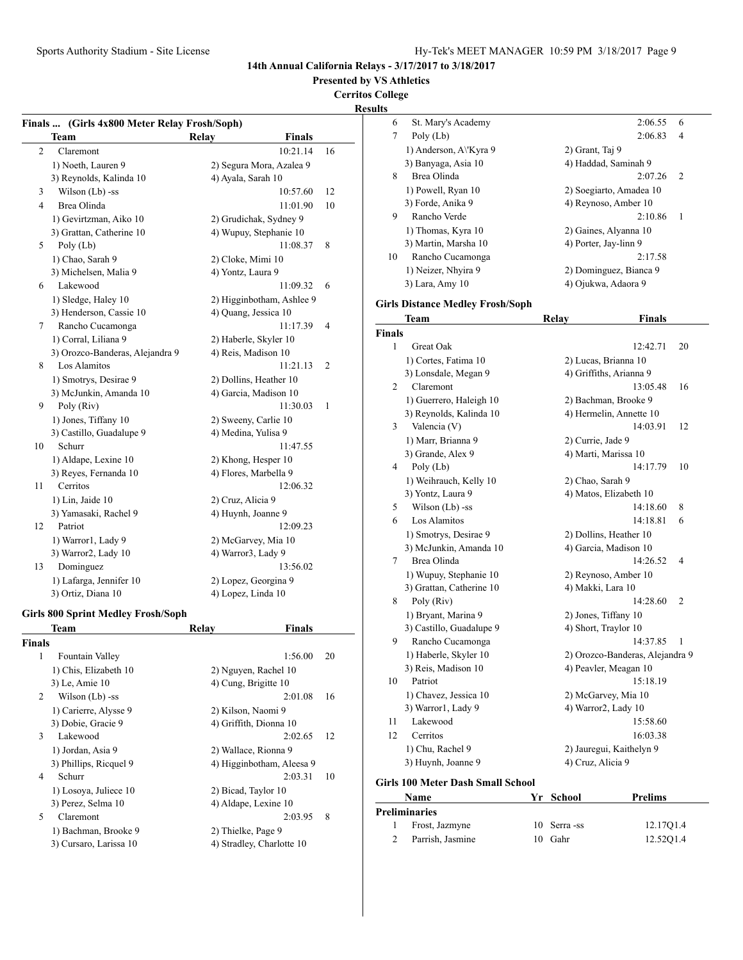**Presented by VS Athletics**

**Cerritos College**

|               | Finals  (Girls 4x800 Meter Relay Frosh/Soph) |                           |    |
|---------------|----------------------------------------------|---------------------------|----|
|               | Team                                         | Relay<br><b>Finals</b>    |    |
| 2             | Claremont                                    | 10:21.14                  | 16 |
|               | 1) Noeth, Lauren 9                           | 2) Segura Mora, Azalea 9  |    |
|               | 3) Reynolds, Kalinda 10                      | 4) Ayala, Sarah 10        |    |
| 3             | Wilson (Lb) -ss                              | 10:57.60                  | 12 |
| 4             | Brea Olinda                                  | 11:01.90                  | 10 |
|               | 1) Gevirtzman, Aiko 10                       | 2) Grudichak, Sydney 9    |    |
|               | 3) Grattan, Catherine 10                     | 4) Wupuy, Stephanie 10    |    |
| 5             | Poly (Lb)                                    | 11:08.37                  | 8  |
|               | 1) Chao, Sarah 9                             | 2) Cloke, Mimi 10         |    |
|               | 3) Michelsen, Malia 9                        | 4) Yontz, Laura 9         |    |
| 6             | Lakewood                                     | 11:09.32                  | 6  |
|               | 1) Sledge, Haley 10                          | 2) Higginbotham, Ashlee 9 |    |
|               | 3) Henderson, Cassie 10                      | 4) Quang, Jessica 10      |    |
| 7             | Rancho Cucamonga                             | 11:17.39                  | 4  |
|               | 1) Corral, Liliana 9                         | 2) Haberle, Skyler 10     |    |
|               | 3) Orozco-Banderas, Alejandra 9              | 4) Reis, Madison 10       |    |
| 8             | Los Alamitos                                 | 11:21.13                  | 2  |
|               | 1) Smotrys, Desirae 9                        | 2) Dollins, Heather 10    |    |
|               | 3) McJunkin, Amanda 10                       | 4) Garcia, Madison 10     |    |
| 9             | Poly (Riv)                                   | 11:30.03                  | 1  |
|               | 1) Jones, Tiffany 10                         | 2) Sweeny, Carlie 10      |    |
|               | 3) Castillo, Guadalupe 9                     | 4) Medina, Yulisa 9       |    |
| 10            | Schurr                                       | 11:47.55                  |    |
|               | 1) Aldape, Lexine 10                         | 2) Khong, Hesper 10       |    |
|               | 3) Reyes, Fernanda 10                        | 4) Flores, Marbella 9     |    |
| 11            | Cerritos                                     | 12:06.32                  |    |
|               | 1) Lin, Jaide 10                             | 2) Cruz, Alicia 9         |    |
|               | 3) Yamasaki, Rachel 9                        | 4) Huynh, Joanne 9        |    |
| 12            | Patriot                                      | 12:09.23                  |    |
|               | 1) Warror1, Lady 9                           | 2) McGarvey, Mia 10       |    |
|               | 3) Warror2, Lady 10                          | 4) Warror3, Lady 9        |    |
| 13            | Dominguez                                    | 13:56.02                  |    |
|               | 1) Lafarga, Jennifer 10                      | 2) Lopez, Georgina 9      |    |
|               | 3) Ortiz, Diana 10                           | 4) Lopez, Linda 10        |    |
|               |                                              |                           |    |
|               | <b>Girls 800 Sprint Medley Frosh/Soph</b>    |                           |    |
|               | Team                                         | Relay<br><b>Finals</b>    |    |
| <b>Finals</b> |                                              |                           |    |
| 1             | Fountain Valley                              | 1:56.00                   | 20 |
|               | 1) Chis, Elizabeth 10                        | 2) Nguyen, Rachel 10      |    |
|               | 3) Le, Amie 10                               | 4) Cung, Brigitte 10      |    |
| 2             | Wilson (Lb) -ss                              | 2:01.08                   | 16 |
|               | 1) Carierre, Alysse 9                        | 2) Kilson, Naomi 9        |    |
|               | 3) Dobie, Gracie 9                           | 4) Griffith, Dionna 10    |    |
| 3             | Lakewood                                     | 2:02.65                   | 12 |
|               | 1) Jordan, Asia 9                            | 2) Wallace, Rionna 9      |    |
|               | 3) Phillips, Ricquel 9                       | 4) Higginbotham, Aleesa 9 |    |
| 4             | Schurr                                       | 2:03.31                   | 10 |
|               | 1) Losoya, Juliece 10                        | 2) Bicad, Taylor 10       |    |
|               | 3) Perez, Selma 10                           | 4) Aldape, Lexine 10      |    |
| 5             | Claremont                                    | 2:03.95                   | 8  |
|               | 1) Bachman, Brooke 9                         | 2) Thielke, Page 9        |    |
|               | 3) Cursaro, Larissa 10                       | 4) Stradley, Charlotte 10 |    |

| uits          |                                          |    |                   |                                 |    |
|---------------|------------------------------------------|----|-------------------|---------------------------------|----|
| 6             | St. Mary's Academy                       |    |                   | 2:06.55                         | 6  |
| 7             | Poly (Lb)                                |    |                   | 2:06.83                         | 4  |
|               | 1) Anderson, A\'Kyra 9                   |    | 2) Grant, Taj 9   |                                 |    |
|               | 3) Banyaga, Asia 10                      |    |                   | 4) Haddad, Saminah 9            |    |
| 8             | Brea Olinda                              |    |                   | 2:07.26                         | 2  |
|               | 1) Powell, Ryan 10                       |    |                   | 2) Soegiarto, Amadea 10         |    |
|               | 3) Forde, Anika 9                        |    |                   | 4) Reynoso, Amber 10            |    |
| 9             | Rancho Verde                             |    |                   | 2:10.86                         | 1  |
|               | 1) Thomas, Kyra 10                       |    |                   | 2) Gaines, Alyanna 10           |    |
|               | 3) Martin, Marsha 10                     |    |                   | 4) Porter, Jay-linn 9           |    |
| 10            | Rancho Cucamonga                         |    |                   | 2:17.58                         |    |
|               | 1) Neizer, Nhyira 9                      |    |                   | 2) Dominguez, Bianca 9          |    |
|               | 3) Lara, Amy 10                          |    |                   | 4) Ojukwa, Adaora 9             |    |
|               |                                          |    |                   |                                 |    |
|               | <b>Girls Distance Medley Frosh/Soph</b>  |    |                   |                                 |    |
|               | Team                                     |    | Relay             | Finals                          |    |
| <b>Finals</b> |                                          |    |                   |                                 |    |
| 1             | <b>Great Oak</b>                         |    |                   | 12:42.71                        | 20 |
|               | 1) Cortes, Fatima 10                     |    |                   | 2) Lucas, Brianna 10            |    |
|               | 3) Lonsdale, Megan 9                     |    |                   | 4) Griffiths, Arianna 9         |    |
| 2             | Claremont                                |    |                   | 13:05.48                        | 16 |
|               | 1) Guerrero, Haleigh 10                  |    |                   | 2) Bachman, Brooke 9            |    |
|               | 3) Reynolds, Kalinda 10                  |    |                   | 4) Hermelin, Annette 10         |    |
| 3             | Valencia (V)                             |    |                   | 14:03.91                        | 12 |
|               | 1) Marr, Brianna 9                       |    | 2) Currie, Jade 9 |                                 |    |
|               | 3) Grande, Alex 9                        |    |                   | 4) Marti, Marissa 10            |    |
| 4             | Poly (Lb)                                |    |                   | 14:17.79                        | 10 |
|               | 1) Weihrauch, Kelly 10                   |    | 2) Chao, Sarah 9  |                                 |    |
|               | 3) Yontz, Laura 9                        |    |                   | 4) Matos, Elizabeth 10          |    |
| 5             | Wilson (Lb) -ss                          |    |                   | 14:18.60                        | 8  |
| 6             | Los Alamitos                             |    |                   | 14:18.81                        | 6  |
|               | 1) Smotrys, Desirae 9                    |    |                   | 2) Dollins, Heather 10          |    |
|               | 3) McJunkin, Amanda 10                   |    |                   | 4) Garcia, Madison 10           |    |
| 7             | Brea Olinda                              |    |                   | 14:26.52                        | 4  |
|               | 1) Wupuy, Stephanie 10                   |    |                   | 2) Reynoso, Amber 10            |    |
|               | 3) Grattan, Catherine 10                 |    | 4) Makki, Lara 10 |                                 |    |
| 8             | Poly (Riv)                               |    |                   | 14:28.60                        | 2  |
|               | 1) Bryant, Marina 9                      |    |                   | 2) Jones, Tiffany 10            |    |
|               | 3) Castillo, Guadalupe 9                 |    |                   | 4) Short, Traylor 10            |    |
| 9             | Rancho Cucamonga                         |    |                   | 14:37.85                        | 1  |
|               | 1) Haberle, Skyler 10                    |    |                   | 2) Orozco-Banderas, Alejandra 9 |    |
|               | 3) Reis, Madison 10                      |    |                   | 4) Peavler, Meagan 10           |    |
| 10            | Patriot                                  |    |                   | 15:18.19                        |    |
|               | 1) Chavez, Jessica 10                    |    |                   | 2) McGarvey, Mia 10             |    |
|               | 3) Warror1, Lady 9                       |    |                   | 4) Warror2, Lady 10             |    |
| 11            | Lakewood                                 |    |                   | 15:58.60                        |    |
| 12            | Cerritos                                 |    |                   | 16:03.38                        |    |
|               | 1) Chu, Rachel 9                         |    |                   | 2) Jauregui, Kaithelyn 9        |    |
|               | 3) Huynh, Joanne 9                       |    | 4) Cruz, Alicia 9 |                                 |    |
|               | <b>Girls 100 Meter Dash Small School</b> |    |                   |                                 |    |
|               | Name                                     | Yr | <b>School</b>     | <b>Prelims</b>                  |    |
|               | <b>Preliminaries</b>                     |    |                   |                                 |    |
|               |                                          |    |                   |                                 |    |

| <b>Name</b> |                      | Yr School    | <b>Prelims</b> |  |
|-------------|----------------------|--------------|----------------|--|
|             | <b>Preliminaries</b> |              |                |  |
|             | Frost, Jazmyne       | 10 Serra -ss | 12.1701.4      |  |
|             | Parrish, Jasmine     | 10 Gahr      | 12.5201.4      |  |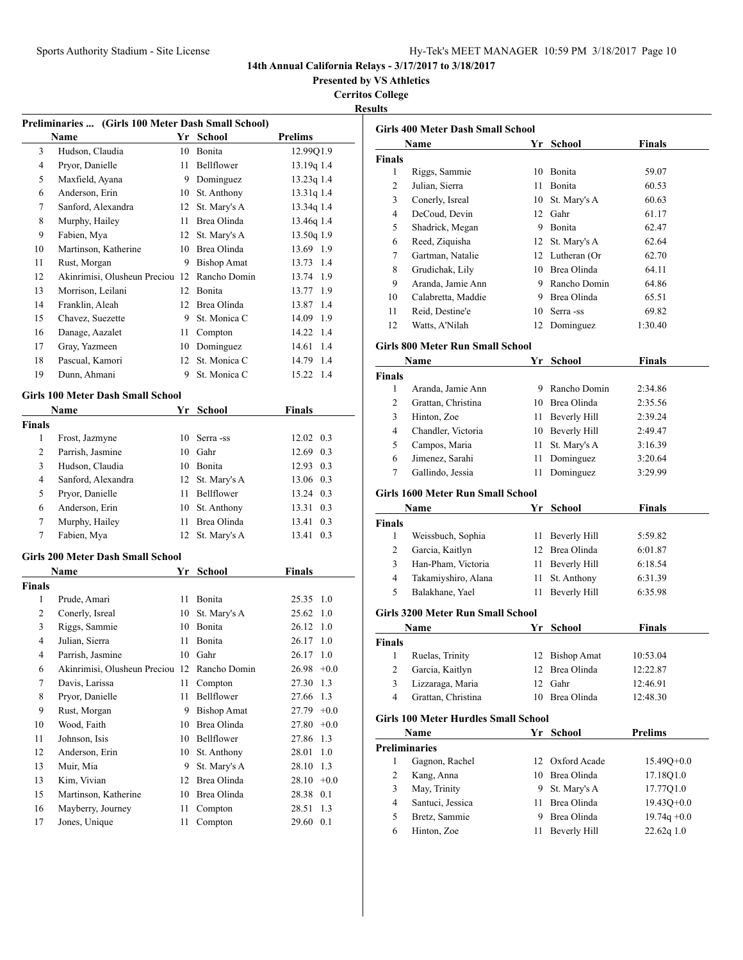| Sports Authority Stadium - Site License | Hy-Tek's MEET MANAGER 10:59 PM 3/18/2017 Page 10 |  |  |
|-----------------------------------------|--------------------------------------------------|--|--|
|-----------------------------------------|--------------------------------------------------|--|--|

**Presented by VS Athletics**

**Cerritos College**

| Preliminaries  (Girls 100 Meter Dash Small School) |                                              |      |                    |                   |  |
|----------------------------------------------------|----------------------------------------------|------|--------------------|-------------------|--|
|                                                    | Name                                         |      | Yr School          | Prelims           |  |
| 3                                                  | Hudson, Claudia                              |      | 10 Bonita          | 12.99Q1.9         |  |
| 4                                                  | Pryor, Danielle                              | 11   | Bellflower         | 13.19q 1.4        |  |
| 5                                                  | Maxfield, Ayana                              |      | 9 Dominguez        | 13.23q 1.4        |  |
| 6                                                  | Anderson, Erin                               |      | 10 St. Anthony     | 13.31q 1.4        |  |
| 7                                                  | Sanford, Alexandra                           |      | 12 St. Mary's A    | 13.34q 1.4        |  |
| 8                                                  | Murphy, Hailey                               |      | 11 Brea Olinda     | 13.46q 1.4        |  |
| 9                                                  | Fabien, Mya                                  |      | 12 St. Mary's A    | 13.50q 1.9        |  |
| 10                                                 | Martinson, Katherine                         |      | 10 Brea Olinda     | 13.69 1.9         |  |
| 11                                                 | Rust, Morgan                                 |      | 9 Bishop Amat      | 13.73 1.4         |  |
| 12                                                 | Akinrimisi, Olusheun Preciou 12 Rancho Domin |      |                    | 13.74 1.9         |  |
| 13                                                 | Morrison, Leilani                            |      | 12 Bonita          | 13.77 1.9         |  |
| 14                                                 | Franklin, Aleah                              |      | 12 Brea Olinda     | 13.87 1.4         |  |
| 15                                                 | Chavez, Suezette                             |      | 9 St. Monica C     | 14.09 1.9         |  |
| 16                                                 | Danage, Aazalet                              | 11 - | Compton            | 14.22 1.4         |  |
| 17                                                 | Gray, Yazmeen                                |      | 10 Dominguez       | 14.61 1.4         |  |
| 18                                                 | Pascual, Kamori                              | 12   | St. Monica C       | 14.79 1.4         |  |
| 19                                                 | Dunn, Ahmani                                 | 9    | St. Monica C       | 15.22 1.4         |  |
|                                                    |                                              |      |                    |                   |  |
|                                                    | <b>Girls 100 Meter Dash Small School</b>     |      |                    |                   |  |
|                                                    | Name                                         |      | Yr School          | <b>Finals</b>     |  |
| <b>Finals</b>                                      |                                              |      |                    |                   |  |
| 1                                                  | Frost, Jazmyne                               |      | 10 Serra -ss       | 12.02 0.3         |  |
| 2                                                  | Parrish, Jasmine                             |      | 10 Gahr            | 12.69 0.3         |  |
| 3                                                  | Hudson, Claudia                              |      | 10 Bonita          | 12.93 0.3         |  |
| 4                                                  | Sanford, Alexandra                           |      | 12 St. Mary's A    | 13.06 0.3         |  |
| 5                                                  | Pryor, Danielle                              |      | 11 Bellflower      | 13.24 0.3         |  |
| 6                                                  | Anderson, Erin                               |      | 10 St. Anthony     | 13.31 0.3         |  |
| 7                                                  | Murphy, Hailey                               | 11 - | Brea Olinda        | 13.41 0.3         |  |
| 7                                                  | Fabien, Mya                                  | 12   | St. Mary's A       | 13.41 0.3         |  |
|                                                    | <b>Girls 200 Meter Dash Small School</b>     |      |                    |                   |  |
|                                                    | Name                                         | Yr   | School             | <b>Finals</b>     |  |
| <b>Finals</b>                                      |                                              |      |                    |                   |  |
| 1                                                  | Prude, Amari                                 |      | 11 Bonita          | 25.35 1.0         |  |
| 2                                                  | Conerly, Isreal                              |      | 10 St. Mary's A    | 25.62 1.0         |  |
| 3                                                  | Riggs, Sammie                                |      | 10 Bonita          | $26.12 \quad 1.0$ |  |
| 4                                                  | Julian, Sierra                               | 11   | Bonita             | 26.17 1.0         |  |
| 4                                                  | Parrish, Jasmine                             |      | 10 Gahr            | 26.17 1.0         |  |
| 6                                                  | Akinrimisi, Olusheun Preciou 12 Rancho Domin |      |                    | $26.98 + 0.0$     |  |
| 7                                                  | Davis, Larissa                               | 11   | Compton            | 27.30<br>1.3      |  |
| 8                                                  | Pryor, Danielle                              | 11   | Bellflower         | 1.3<br>27.66      |  |
| 9                                                  | Rust, Morgan                                 | 9    | <b>Bishop Amat</b> | 27.79<br>$+0.0$   |  |
| 10                                                 | Wood, Faith                                  |      | 10 Brea Olinda     | 27.80<br>$+0.0$   |  |
| 11                                                 | Johnson, Isis                                |      | 10 Bellflower      | 27.86<br>1.3      |  |
| 12                                                 | Anderson, Erin                               | 10   | St. Anthony        | 28.01<br>1.0      |  |
| 13                                                 | Muir, Mia                                    | 9    | St. Mary's A       | 1.3<br>28.10      |  |
| 13                                                 | Kim, Vivian                                  | 12   | Brea Olinda        | $+0.0$<br>28.10   |  |
| 15                                                 | Martinson, Katherine                         | 10   | Brea Olinda        | 28.38<br>0.1      |  |
| 16                                                 | Mayberry, Journey                            | 11   | Compton            | 1.3<br>28.51      |  |
| 17                                                 | Jones, Unique                                | 11   | Compton            | 29.60<br>0.1      |  |
|                                                    |                                              |      |                    |                   |  |

| <b>Girls 400 Meter Dash Small School</b> |                                          |    |                     |                |  |  |
|------------------------------------------|------------------------------------------|----|---------------------|----------------|--|--|
|                                          | Name                                     |    | Yr School           | Finals         |  |  |
| Finals                                   |                                          |    |                     |                |  |  |
| 1                                        | Riggs, Sammie                            | 10 | Bonita              | 59.07          |  |  |
| 2                                        | Julian, Sierra                           | 11 | Bonita              | 60.53          |  |  |
| 3                                        | Conerly, Isreal                          |    | 10 St. Mary's A     | 60.63          |  |  |
| 4                                        | DeCoud, Devin                            |    | 12 Gahr             | 61.17          |  |  |
| 5                                        | Shadrick, Megan                          |    | 9 Bonita            | 62.47          |  |  |
| 6                                        | Reed, Ziquisha                           |    | 12 St. Mary's A     | 62.64          |  |  |
| 7                                        | Gartman, Natalie                         |    | 12 Lutheran (Or     | 62.70          |  |  |
| 8                                        | Grudichak, Lily                          |    | 10 Brea Olinda      | 64.11          |  |  |
| 9                                        | Aranda, Jamie Ann                        |    | 9 Rancho Domin      | 64.86          |  |  |
| 10                                       | Calabretta, Maddie                       |    | 9 Brea Olinda       | 65.51          |  |  |
| 11                                       | Reid, Destine'e                          |    | 10 Serra -ss        | 69.82          |  |  |
| 12                                       | Watts, A'Nilah                           | 12 | Dominguez           | 1:30.40        |  |  |
|                                          | Girls 800 Meter Run Small School         |    |                     |                |  |  |
|                                          | Name                                     |    | Yr School           | Finals         |  |  |
| Finals                                   |                                          |    |                     |                |  |  |
| 1                                        | Aranda, Jamie Ann                        |    | 9 Rancho Domin      | 2:34.86        |  |  |
| 2                                        | Grattan, Christina                       |    | 10 Brea Olinda      | 2:35.56        |  |  |
| 3                                        | Hinton, Zoe                              |    | 11 Beverly Hill     | 2:39.24        |  |  |
| 4                                        | Chandler, Victoria                       |    | 10 Beverly Hill     | 2:49.47        |  |  |
| 5                                        | Campos, Maria                            | 11 | St. Mary's A        | 3:16.39        |  |  |
| 6                                        | Jimenez, Sarahi                          | 11 | Dominguez           | 3:20.64        |  |  |
| 7                                        | Gallindo, Jessia                         | 11 | Dominguez           | 3:29.99        |  |  |
|                                          | <b>Girls 1600 Meter Run Small School</b> |    |                     |                |  |  |
|                                          | Name                                     |    | Yr School           | Finals         |  |  |
| Finals                                   |                                          |    |                     |                |  |  |
| 1                                        | Weissbuch, Sophia                        | 11 | Beverly Hill        | 5:59.82        |  |  |
| 2                                        | Garcia, Kaitlyn                          |    | 12 Brea Olinda      | 6:01.87        |  |  |
| 3                                        | Han-Pham, Victoria                       | 11 | <b>Beverly Hill</b> | 6:18.54        |  |  |
| 4                                        | Takamiyshiro, Alana                      | 11 | St. Anthony         | 6:31.39        |  |  |
| 5                                        | Balakhane, Yael                          | 11 | Beverly Hill        | 6:35.98        |  |  |
|                                          | Girls 3200 Meter Run Small School        |    |                     |                |  |  |
|                                          | Name                                     | Yr | School              | Finals         |  |  |
| Finals                                   |                                          |    |                     |                |  |  |
| 1                                        | Ruelas, Trinity                          | 12 | <b>Bishop Amat</b>  | 10:53.04       |  |  |
| 2                                        | Garcia, Kaitlyn                          | 12 | Brea Olinda         | 12:22.87       |  |  |
| 3                                        | Lizzaraga, Maria                         | 12 | Gahr                | 12:46.91       |  |  |
| 4                                        | Grattan, Christina                       | 10 | Brea Olinda         | 12:48.30       |  |  |
|                                          | Girls 100 Meter Hurdles Small School     |    |                     |                |  |  |
|                                          | Name                                     |    | Yr_School           | <b>Prelims</b> |  |  |
|                                          | Preliminaries                            |    |                     |                |  |  |
| 1                                        | Gagnon, Rachel                           | 12 | Oxford Acade        | $15.49Q+0.0$   |  |  |
| $\mathfrak{2}$                           | Kang, Anna                               | 10 | Brea Olinda         | 17.18Q1.0      |  |  |
| 3                                        | May, Trinity                             | 9  | St. Mary's A        | 17.77Q1.0      |  |  |
| 4                                        | Santuci, Jessica                         | 11 | Brea Olinda         | $19.43Q+0.0$   |  |  |
| 5                                        | Bretz, Sammie                            | 9  | Brea Olinda         | $19.74q + 0.0$ |  |  |
| 6                                        | Hinton, Zoe                              | 11 | Beverly Hill        | 22.62q1.0      |  |  |
|                                          |                                          |    |                     |                |  |  |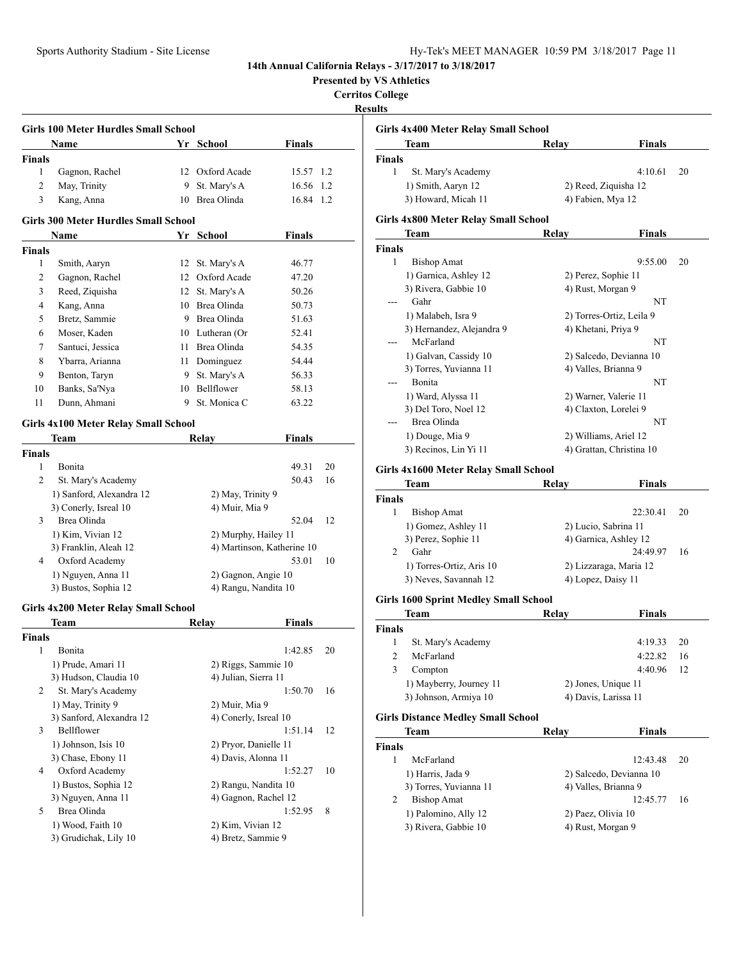**Girls 100 Meter Hurdles Small School**

**14th Annual California Relays - 3/17/2017 to 3/18/2017**

**Presented by VS Athletics**

**Cerritos College**

|                | Name                                         | Yr School                                    | <b>Finals</b>              |    | <b>Tea</b>                  |
|----------------|----------------------------------------------|----------------------------------------------|----------------------------|----|-----------------------------|
| <b>Finals</b>  |                                              |                                              |                            |    | <b>Finals</b>               |
| $\mathbf{1}$   | Gagnon, Rachel                               | 12 Oxford Acade                              | 15.57 1.2                  |    | 1<br>S                      |
| 2              | May, Trinity                                 | 9 St. Mary's A                               | 16.56 1.2                  |    | $1)$ $\Omega$               |
| 3              | Kang, Anna                                   | 10 Brea Olinda                               | 16.84 1.2                  |    | $3)$ I                      |
|                | <b>Girls 300 Meter Hurdles Small School</b>  |                                              |                            |    | Girls 4x8                   |
|                | Name                                         | Yr School                                    | Finals                     |    | <b>Tea</b>                  |
| <b>Finals</b>  |                                              |                                              |                            |    | Finals                      |
| $\mathbf{1}$   | Smith, Aaryn                                 | 12 St. Mary's A                              | 46.77                      |    | $\mathbf{1}$<br>B           |
| $\overline{c}$ | Gagnon, Rachel                               | 12 Oxford Acade                              | 47.20                      |    | 1)                          |
| 3              | Reed, Ziquisha                               | 12 St. Mary's A                              | 50.26                      |    | $3)$ I                      |
| $\overline{4}$ | Kang, Anna                                   | 10 Brea Olinda                               | 50.73                      |    | G                           |
| 5              | Bretz, Sammie                                | 9 Brea Olinda                                | 51.63                      |    | 1)1                         |
| 6              | Moser, Kaden                                 | 10 Lutheran (Or                              | 52.41                      |    | $3)$ I                      |
| 7              | Santuci, Jessica                             | 11 Brea Olinda                               | 54.35                      |    | N.                          |
| 8              | Ybarra, Arianna                              | 11 Dominguez                                 | 54.44                      |    | 1)                          |
| 9              | Benton, Taryn                                | 9 St. Mary's A                               | 56.33                      |    | 3) 1                        |
| 10             | Banks, Sa'Nya                                | 10 Bellflower                                | 58.13                      |    | B                           |
| 11             | Dunn, Ahmani                                 | 9 St. Monica C                               | 63.22                      |    | 1)<br>3)I                   |
|                |                                              |                                              |                            |    | B                           |
|                | Girls 4x100 Meter Relay Small School<br>Team | Relay                                        | Finals                     |    | $1)$ I                      |
| <b>Finals</b>  |                                              |                                              |                            |    | $3)$ I                      |
| $\mathbf{1}$   | Bonita                                       |                                              | 49.31                      | 20 |                             |
| $\overline{c}$ | St. Mary's Academy                           |                                              | 50.43                      | 16 | Girls 4x1                   |
|                | 1) Sanford, Alexandra 12                     | 2) May, Trinity 9                            |                            |    | <b>Tea</b>                  |
|                | 3) Conerly, Isreal 10                        | 4) Muir, Mia 9                               |                            |    | Finals<br>1                 |
| 3              | Brea Olinda                                  |                                              | 52.04                      | 12 | B                           |
|                | 1) Kim, Vivian 12                            | 2) Murphy, Hailey 11                         |                            |    | 1)<br>$3)$ I                |
|                | 3) Franklin, Aleah 12                        |                                              | 4) Martinson, Katherine 10 |    | 2<br>G                      |
| 4              | Oxford Academy                               |                                              | 53.01                      | 10 | 1)                          |
|                | 1) Nguyen, Anna 11                           | 2) Gagnon, Angie 10                          |                            |    | $3)$ $\Gamma$               |
|                | 3) Bustos, Sophia 12                         | 4) Rangu, Nandita 10                         |                            |    |                             |
|                | Girls 4x200 Meter Relay Small School         |                                              |                            |    | Girls 160                   |
|                | Team                                         | Relay                                        | <b>Finals</b>              |    | <b>Tea</b><br><b>Finals</b> |
| <b>Finals</b>  |                                              |                                              |                            |    | S<br>1                      |
| 1              | Bonita                                       |                                              | 1:42.85                    | 20 | 2<br>N.                     |
|                | 1) Prude, Amari 11                           | 2) Riggs, Sammie 10                          |                            |    | 3<br>$\mathbf C$            |
|                | 3) Hudson, Claudia 10                        | 4) Julian, Sierra 11                         |                            |    | 1)1                         |
| 2              | St. Mary's Academy                           |                                              | 1:50.70                    | 16 | $3)$ J                      |
|                | 1) May, Trinity 9                            | 2) Muir, Mia 9                               |                            |    |                             |
|                | 3) Sanford, Alexandra 12                     | 4) Conerly, Isreal 10                        |                            |    | <b>Girls Dist</b>           |
| 3              | Bellflower                                   |                                              | 1:51.14                    | 12 | <b>Tea</b>                  |
|                | 1) Johnson, Isis 10<br>3) Chase, Ebony 11    | 2) Pryor, Danielle 11<br>4) Davis, Alonna 11 |                            |    | <b>Finals</b>               |
| 4              | Oxford Academy                               |                                              | 1:52.27                    | 10 | $\mathbf{1}$<br>N.          |
|                | 1) Bustos, Sophia 12                         | 2) Rangu, Nandita 10                         |                            |    | $1)$ I                      |
|                | 3) Nguyen, Anna 11                           | 4) Gagnon, Rachel 12                         |                            |    | 3) J<br>2<br>B              |
| 5              | Brea Olinda                                  |                                              | 1:52.95                    | 8  | 1)1                         |
|                | 1) Wood, Faith 10                            | 2) Kim, Vivian 12                            |                            |    | $3)$ I                      |
|                | 3) Grudichak, Lily 10                        | 4) Bretz, Sammie 9                           |                            |    |                             |
|                |                                              |                                              |                            |    |                             |
|                |                                              |                                              |                            |    |                             |

|                  | Girls 4x400 Meter Relay Small School<br>Team | Relay                                    | <b>Finals</b>            |    |
|------------------|----------------------------------------------|------------------------------------------|--------------------------|----|
| Finals           |                                              |                                          |                          |    |
| 1                | St. Mary's Academy                           |                                          | 4:10.61                  | 20 |
|                  | 1) Smith, Aaryn 12                           |                                          | 2) Reed, Ziquisha 12     |    |
|                  | 3) Howard, Micah 11                          | 4) Fabien, Mya 12                        |                          |    |
|                  |                                              |                                          |                          |    |
|                  | Girls 4x800 Meter Relay Small School         |                                          |                          |    |
|                  | Team                                         | Relay                                    | Finals                   |    |
| Finals<br>1      | <b>Bishop Amat</b>                           |                                          | 9:55.00                  | 20 |
|                  |                                              |                                          |                          |    |
|                  | 1) Garnica, Ashley 12                        | 2) Perez, Sophie 11<br>4) Rust, Morgan 9 |                          |    |
|                  | 3) Rivera, Gabbie 10<br>Gahr                 |                                          | NΤ                       |    |
|                  |                                              |                                          |                          |    |
|                  | 1) Malabeh, Isra 9                           |                                          | 2) Torres-Ortiz, Leila 9 |    |
|                  | 3) Hernandez, Alejandra 9<br>McFarland       | 4) Khetani, Priya 9                      |                          |    |
|                  |                                              |                                          | NΤ                       |    |
|                  | 1) Galvan, Cassidy 10                        |                                          | 2) Salcedo, Devianna 10  |    |
|                  | 3) Torres, Yuvianna 11                       | 4) Valles, Brianna 9                     |                          |    |
|                  | Bonita                                       |                                          | NT                       |    |
|                  | 1) Ward, Alyssa 11                           |                                          | 2) Warner, Valerie 11    |    |
|                  | 3) Del Toro, Noel 12                         |                                          | 4) Claxton, Lorelei 9    |    |
|                  | Brea Olinda                                  |                                          | NT                       |    |
|                  | 1) Douge, Mia 9                              |                                          | 2) Williams, Ariel 12    |    |
|                  | 3) Recinos, Lin Yi 11                        |                                          | 4) Grattan, Christina 10 |    |
|                  | Girls 4x1600 Meter Relay Small School        |                                          |                          |    |
|                  | Team                                         | Relay                                    | Finals                   |    |
| Finals           |                                              |                                          |                          |    |
| 1                | <b>Bishop Amat</b>                           |                                          | 22:30.41                 | 20 |
|                  | 1) Gomez, Ashley 11                          |                                          | 2) Lucio, Sabrina 11     |    |
|                  | 3) Perez, Sophie 11                          |                                          | 4) Garnica, Ashley 12    |    |
| 2                | Gahr                                         |                                          | 24:49.97                 | 16 |
|                  | 1) Torres-Ortiz, Aris 10                     |                                          | 2) Lizzaraga, Maria 12   |    |
|                  | 3) Neves, Savannah 12                        | 4) Lopez, Daisy 11                       |                          |    |
|                  | Girls 1600 Sprint Medley Small School        |                                          |                          |    |
|                  | Team                                         | Relay                                    | Finals                   |    |
|                  |                                              |                                          |                          |    |
|                  |                                              |                                          |                          |    |
|                  |                                              |                                          |                          |    |
| 1                | St. Mary's Academy                           |                                          | 4:19.33                  | 20 |
| 2                | McFarland                                    |                                          | 4:22.82                  | 16 |
| 3                | Compton                                      |                                          | 4:40.96                  | 12 |
|                  | 1) Mayberry, Journey 11                      | 2) Jones, Unique 11                      |                          |    |
|                  | 3) Johnson, Armiya 10                        | 4) Davis, Larissa 11                     |                          |    |
|                  | Girls Distance Medley Small School           |                                          |                          |    |
|                  | Team                                         | Relay                                    | <b>Finals</b>            |    |
|                  |                                              |                                          |                          |    |
| 1                | McFarland                                    |                                          |                          | 20 |
| Finals<br>Finals |                                              |                                          | 12:43.48                 |    |
|                  | 1) Harris, Jada 9                            |                                          | 2) Salcedo, Devianna 10  |    |
|                  | 3) Torres, Yuvianna 11                       | 4) Valles, Brianna 9                     |                          |    |
| 2                | <b>Bishop Amat</b><br>1) Palomino, Ally 12   | 2) Paez, Olivia 10                       | 12:45.77                 | 16 |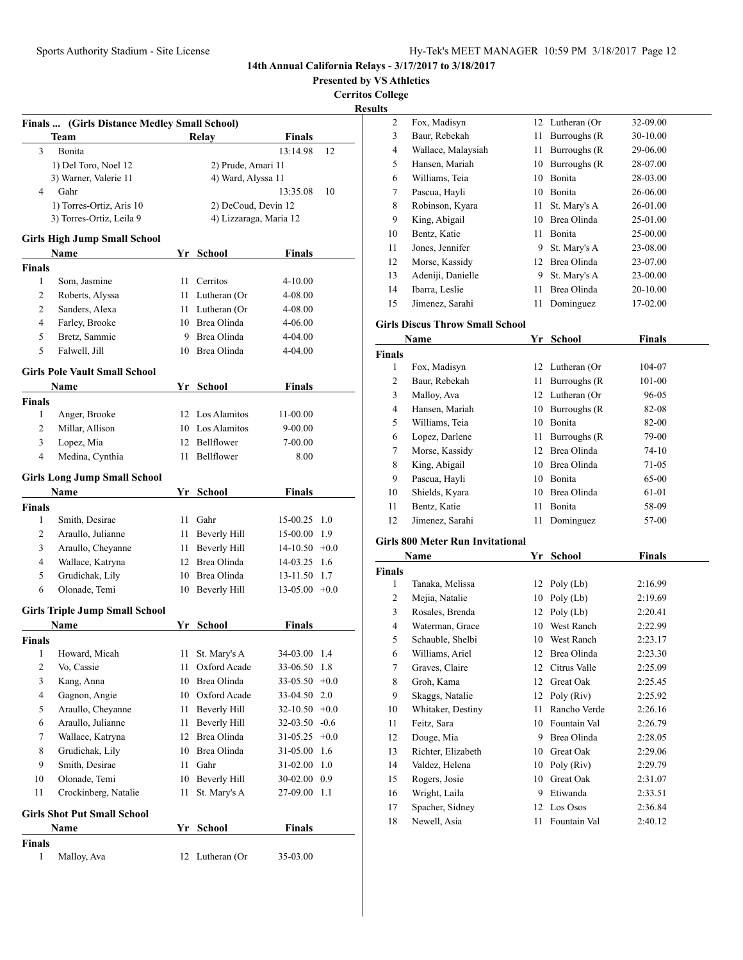**Presented by VS Athletics**

**Cerritos College**

| tesuīts<br>n |
|--------------|
|--------------|

|                | Finals  (Girls Distance Medley Small School) |      |                        |                 |        |
|----------------|----------------------------------------------|------|------------------------|-----------------|--------|
|                | Team                                         |      | Relay                  | <b>Finals</b>   |        |
| 3              | Bonita                                       |      |                        | 13:14.98        | 12     |
|                | 1) Del Toro, Noel 12                         |      | 2) Prude, Amari 11     |                 |        |
|                | 3) Warner, Valerie 11                        |      | 4) Ward, Alyssa 11     |                 |        |
| 4              | Gahr                                         |      |                        | 13:35.08        | 10     |
|                | 1) Torres-Ortiz, Aris 10                     |      | 2) DeCoud, Devin 12    |                 |        |
|                | 3) Torres-Ortiz, Leila 9                     |      | 4) Lizzaraga, Maria 12 |                 |        |
|                |                                              |      |                        |                 |        |
|                | <b>Girls High Jump Small School</b>          |      |                        |                 |        |
|                | Name                                         |      | Yr School              | <b>Finals</b>   |        |
| <b>Finals</b>  |                                              |      |                        |                 |        |
| 1              | Som, Jasmine                                 | 11   | Cerritos               | 4-10.00         |        |
| 2              | Roberts, Alyssa                              |      | 11 Lutheran (Or        | 4-08.00         |        |
| 2              | Sanders, Alexa                               |      | 11 Lutheran (Or        | 4-08.00         |        |
| 4              | Farley, Brooke                               |      | 10 Brea Olinda         | 4-06.00         |        |
| 5              | Bretz, Sammie                                |      | 9 Brea Olinda          | 4-04.00         |        |
| 5              | Falwell, Jill                                |      | 10 Brea Olinda         | 4-04.00         |        |
|                | <b>Girls Pole Vault Small School</b>         |      |                        |                 |        |
|                | Name                                         | Yr   | <b>School</b>          | <b>Finals</b>   |        |
| <b>Finals</b>  |                                              |      |                        |                 |        |
| 1              | Anger, Brooke                                |      | 12 Los Alamitos        | 11-00.00        |        |
| 2              | Millar, Allison                              |      | 10 Los Alamitos        | 9-00.00         |        |
| 3              | Lopez, Mia                                   |      | 12 Bellflower          | 7-00.00         |        |
| $\overline{4}$ | Medina, Cynthia                              | 11   | Bellflower             | 8.00            |        |
|                |                                              |      |                        |                 |        |
|                | <b>Girls Long Jump Small School</b>          |      |                        |                 |        |
|                | Name                                         |      | Yr School              | <b>Finals</b>   |        |
| <b>Finals</b>  |                                              |      |                        |                 |        |
| 1              | Smith, Desirae                               | 11   | Gahr                   | 15-00.25        | 1.0    |
| 2              | Araullo, Julianne                            | 11   | <b>Beverly Hill</b>    | 15-00.00        | 1.9    |
| 3              | Araullo, Cheyanne                            | 11   | Beverly Hill           | $14-10.50 +0.0$ |        |
| $\overline{4}$ | Wallace, Katryna                             |      | 12 Brea Olinda         | 14-03.25 1.6    |        |
| 5              | Grudichak, Lily                              |      | 10 Brea Olinda         | 13-11.50        | 1.7    |
| 6              | Olonade, Temi                                | 10   | <b>Beverly Hill</b>    | $13-05.00 +0.0$ |        |
|                |                                              |      |                        |                 |        |
|                | <b>Girls Triple Jump Small School</b>        |      |                        |                 |        |
|                | Name                                         |      | Yr School              | Finals          |        |
| Finals         |                                              |      |                        |                 |        |
|                | 1 Howard, Micah                              |      | 11 St. Mary's A        | 34-03.00 1.4    |        |
| 2              | Vo, Cassie                                   |      | 11 Oxford Acade        | 33-06.50        | 1.8    |
| 3              | Kang, Anna                                   | 10   | Brea Olinda            | 33-05.50        | $+0.0$ |
| 4              | Gagnon, Angie                                |      | 10 Oxford Acade        | 33-04.50        | 2.0    |
| 5              | Araullo, Cheyanne                            | 11 - | <b>Beverly Hill</b>    | 32-10.50        | $+0.0$ |
| 6              | Araullo, Julianne                            | 11 - | Beverly Hill           | 32-03.50        | $-0.6$ |
| 7              | Wallace, Katryna                             | 12   | Brea Olinda            | 31-05.25        | $+0.0$ |
| 8              | Grudichak, Lily                              | 10   | Brea Olinda            | 31-05.00        | 1.6    |
| 9              | Smith, Desirae                               | 11   | Gahr                   | 31-02.00        | 1.0    |
| 10             | Olonade, Temi                                | 10   | <b>Beverly Hill</b>    | 30-02.00        | 0.9    |
| 11             | Crockinberg, Natalie                         | 11   | St. Mary's A           | 27-09.00        | 1.1    |
|                | <b>Girls Shot Put Small School</b>           |      |                        |                 |        |
|                | Name                                         | Yr   | School                 | <b>Finals</b>   |        |
| <b>Finals</b>  |                                              |      |                        |                 |        |
| 1              | Malloy, Ava                                  | 12   | Lutheran (Or           | 35-03.00        |        |
|                |                                              |      |                        |                 |        |

| э  |                    |    |                 |          |
|----|--------------------|----|-----------------|----------|
| 2  | Fox, Madisyn       |    | 12 Lutheran (Or | 32-09.00 |
| 3  | Baur, Rebekah      | 11 | Burroughs (R)   | 30-10.00 |
| 4  | Wallace, Malaysiah | 11 | Burroughs (R)   | 29-06.00 |
| 5  | Hansen, Mariah     | 10 | Burroughs (R)   | 28-07.00 |
| 6  | Williams, Teia     | 10 | <b>Bonita</b>   | 28-03.00 |
| 7  | Pascua, Hayli      | 10 | Bonita          | 26-06.00 |
| 8  | Robinson, Kyara    | 11 | St. Mary's A    | 26-01.00 |
| 9  | King, Abigail      | 10 | Brea Olinda     | 25-01.00 |
| 10 | Bentz, Katie       | 11 | Bonita          | 25-00.00 |
| 11 | Jones, Jennifer    | 9  | St. Mary's A    | 23-08.00 |
| 12 | Morse, Kassidy     | 12 | Brea Olinda     | 23-07.00 |
| 13 | Adeniji, Danielle  | 9  | St. Mary's A    | 23-00.00 |
| 14 | Ibarra, Leslie     | 11 | Brea Olinda     | 20-10.00 |
| 15 | Jimenez, Sarahi    | 11 | Dominguez       | 17-02.00 |

#### **Girls Discus Throw Small School**

| Name          |                 | Yr | <b>School</b>   | <b>Finals</b> |  |
|---------------|-----------------|----|-----------------|---------------|--|
| <b>Finals</b> |                 |    |                 |               |  |
| 1             | Fox, Madisyn    |    | 12 Lutheran (Or | 104-07        |  |
| 2             | Baur, Rebekah   | 11 | Burroughs (R)   | 101-00        |  |
| 3             | Malloy, Ava     | 12 | Lutheran (Or    | 96-05         |  |
| 4             | Hansen, Mariah  | 10 | Burroughs (R)   | 82-08         |  |
| 5             | Williams, Teia  | 10 | Bonita          | 82-00         |  |
| 6             | Lopez, Darlene  | 11 | Burroughs (R)   | 79-00         |  |
| 7             | Morse, Kassidy  | 12 | Brea Olinda     | $74-10$       |  |
| 8             | King, Abigail   | 10 | Brea Olinda     | 71-05         |  |
| 9             | Pascua, Hayli   | 10 | Bonita          | 65-00         |  |
| 10            | Shields, Kyara  | 10 | Brea Olinda     | 61-01         |  |
| 11            | Bentz, Katie    | 11 | Bonita          | 58-09         |  |
| 12            | Jimenez, Sarahi | 11 | Dominguez       | 57-00         |  |

## **Girls 800 Meter Run Invitational**

|        | Name               | Yr | <b>School</b> | Finals  |  |
|--------|--------------------|----|---------------|---------|--|
| Finals |                    |    |               |         |  |
| 1      | Tanaka, Melissa    | 12 | Poly (Lb)     | 2:16.99 |  |
| 2      | Mejia, Natalie     | 10 | Poly $(Lb)$   | 2:19.69 |  |
| 3      | Rosales, Brenda    | 12 | Poly $(Lb)$   | 2:20.41 |  |
| 4      | Waterman, Grace    | 10 | West Ranch    | 2:22.99 |  |
| 5      | Schauble, Shelbi   | 10 | West Ranch    | 2:23.17 |  |
| 6      | Williams, Ariel    | 12 | Brea Olinda   | 2:23.30 |  |
| 7      | Graves, Claire     | 12 | Citrus Valle  | 2:25.09 |  |
| 8      | Groh, Kama         | 12 | Great Oak     | 2:25.45 |  |
| 9      | Skaggs, Natalie    | 12 | Poly (Riv)    | 2:25.92 |  |
| 10     | Whitaker, Destiny  | 11 | Rancho Verde  | 2:26.16 |  |
| 11     | Feitz, Sara        | 10 | Fountain Val  | 2:26.79 |  |
| 12     | Douge, Mia         | 9  | Brea Olinda   | 2:28.05 |  |
| 13     | Richter, Elizabeth | 10 | Great Oak     | 2:29.06 |  |
| 14     | Valdez, Helena     | 10 | Poly (Riv)    | 2:29.79 |  |
| 15     | Rogers, Josie      | 10 | Great Oak     | 2:31.07 |  |
| 16     | Wright, Laila      | 9  | Etiwanda      | 2:33.51 |  |
| 17     | Spacher, Sidney    | 12 | Los Osos      | 2:36.84 |  |
| 18     | Newell, Asia       | 11 | Fountain Val  | 2:40.12 |  |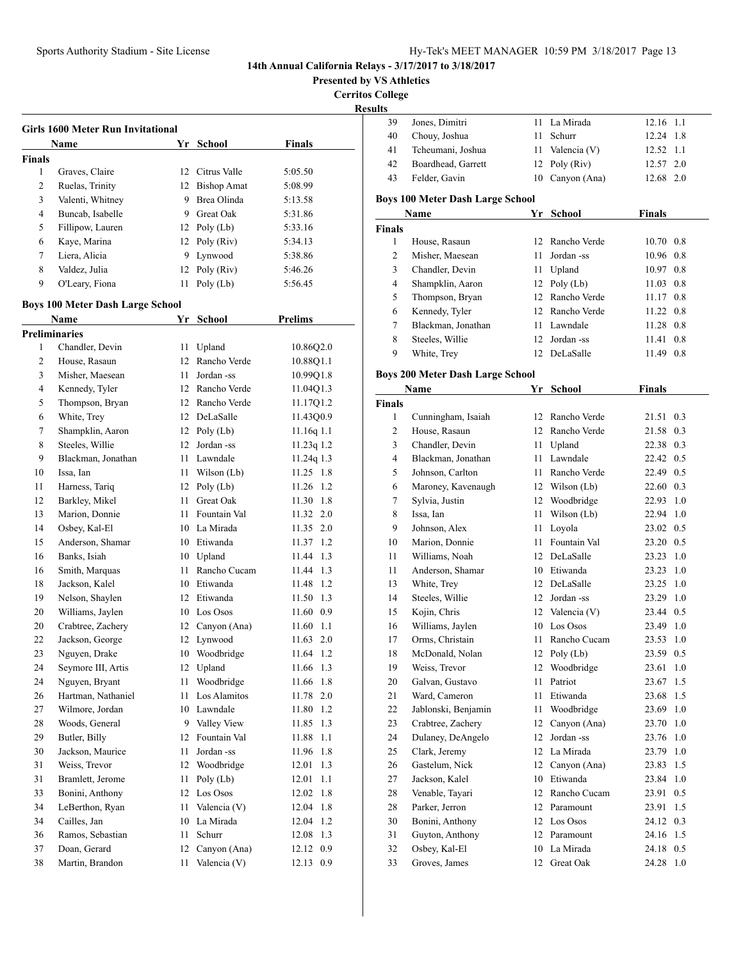**Presented by VS Athletics**

**Cerritos College**

|               | Name                                    | Yr | School             | <b>Finals</b>  |
|---------------|-----------------------------------------|----|--------------------|----------------|
| <b>Finals</b> |                                         |    |                    |                |
| 1             | Graves, Claire                          | 12 | Citrus Valle       | 5:05.50        |
| 2             | Ruelas, Trinity                         | 12 | <b>Bishop Amat</b> | 5:08.99        |
| 3             | Valenti, Whitney                        | 9  | Brea Olinda        | 5:13.58        |
| 4             | Buncab, Isabelle                        | 9  | Great Oak          | 5:31.86        |
| 5             | Fillipow, Lauren                        | 12 | Poly (Lb)          | 5:33.16        |
| 6             | Kaye, Marina                            | 12 | Poly (Riv)         | 5:34.13        |
| 7             | Liera, Alicia                           | 9  | Lynwood            | 5:38.86        |
| 8             | Valdez, Julia                           | 12 | Poly (Riv)         | 5:46.26        |
| 9             | O'Leary, Fiona                          | 11 | Poly $(Lb)$        | 5:56.45        |
|               | <b>Boys 100 Meter Dash Large School</b> |    |                    |                |
|               | <b>Name</b>                             | Yr | School             | <b>Prelims</b> |

|                | Preliminaries      |     |                 |              |
|----------------|--------------------|-----|-----------------|--------------|
| 1              | Chandler, Devin    | 11  | Upland          | 10.86Q2.0    |
| $\overline{c}$ | House, Rasaun      | 12  | Rancho Verde    | 10.88Q1.1    |
| $\overline{3}$ | Misher, Maesean    | 11  | Jordan -ss      | 10.99Q1.8    |
| $\overline{4}$ | Kennedy, Tyler     |     | 12 Rancho Verde | 11.04Q1.3    |
| 5              | Thompson, Bryan    |     | 12 Rancho Verde | 11.17Q1.2    |
| 6              | White, Trey        | 12  | DeLaSalle       | 11.43Q0.9    |
| 7              | Shampklin, Aaron   | 12  | Poly $(Lb)$     | 11.16q 1.1   |
| 8              | Steeles, Willie    | 12  | Jordan -ss      | 11.23q 1.2   |
| 9              | Blackman, Jonathan | 11. | Lawndale        | 11.24q 1.3   |
| 10             | Issa, Ian          | 11  | Wilson (Lb)     | 11.25<br>1.8 |
| 11             | Harness, Tariq     | 12  | Poly (Lb)       | 11.26<br>1.2 |
| 12             | Barkley, Mikel     | 11  | Great Oak       | 11.30<br>1.8 |
| 13             | Marion, Donnie     | 11  | Fountain Val    | 11.32<br>2.0 |
| 14             | Osbey, Kal-El      |     | 10 La Mirada    | 11.35<br>2.0 |
| 15             | Anderson, Shamar   |     | 10 Etiwanda     | 11.37<br>1.2 |
| 16             | Banks, Isiah       |     | 10 Upland       | 1.3<br>11.44 |
| 16             | Smith, Marquas     | 11  | Rancho Cucam    | 11.44<br>1.3 |
| 18             | Jackson, Kalel     |     | 10 Etiwanda     | 11.48<br>1.2 |
| 19             | Nelson, Shaylen    | 12  | Etiwanda        | 1.3<br>11.50 |
| 20             | Williams, Jaylen   |     | 10 Los Osos     | 0.9<br>11.60 |
| 20             | Crabtree, Zachery  | 12  | Canyon (Ana)    | 1.1<br>11.60 |
| 22             | Jackson, George    | 12  | Lynwood         | 2.0<br>11.63 |
| 23             | Nguyen, Drake      | 10  | Woodbridge      | 1.2<br>11.64 |
| 24             | Seymore III, Artis | 12  | Upland          | 11.66<br>1.3 |
| 24             | Nguyen, Bryant     | 11  | Woodbridge      | 11.66<br>1.8 |
| 26             | Hartman, Nathaniel | 11  | Los Alamitos    | 2.0<br>11.78 |
| 27             | Wilmore, Jordan    |     | 10 Lawndale     | 1.2<br>11.80 |
| 28             | Woods, General     |     | 9 Valley View   | 1.3<br>11.85 |
| 29             | Butler, Billy      |     | 12 Fountain Val | 1.1<br>11.88 |
| 30             | Jackson, Maurice   | 11  | Jordan -ss      | 11.96<br>1.8 |
| 31             | Weiss, Trevor      |     | 12 Woodbridge   | 12.01<br>1.3 |
| 31             | Bramlett, Jerome   | 11  | Poly (Lb)       | 1.1<br>12.01 |
| 33             | Bonini, Anthony    | 12  | Los Osos        | 12.02<br>1.8 |
| 34             | LeBerthon, Ryan    | 11  | Valencia (V)    | 12.04<br>1.8 |
| 34             | Cailles, Jan       | 10  | La Mirada       | 1.2<br>12.04 |
| 36             | Ramos, Sebastian   | 11  | Schurr          | 1.3<br>12.08 |
| 37             | Doan, Gerard       | 12  | Canyon (Ana)    | 12.12<br>0.9 |
| 38             | Martin, Brandon    | 11  | Valencia (V)    | 12.13<br>0.9 |

| $\sim$ one ge<br>ults |                                         |          |                 |                   |         |
|-----------------------|-----------------------------------------|----------|-----------------|-------------------|---------|
| 39                    | Jones, Dimitri                          | 11       | La Mirada       | 12.16 1.1         |         |
| 40                    | Chouy, Joshua                           | 11       | Schurr          | 12.24 1.8         |         |
| 41                    | Tcheumani, Joshua                       | 11 -     | Valencia (V)    | 12.52 1.1         |         |
| 42                    | Boardhead, Garrett                      | 12       | Poly (Riv)      | 12.57             | 2.0     |
| 43                    | Felder, Gavin                           | 10       | Canyon (Ana)    | 12.68 2.0         |         |
|                       |                                         |          |                 |                   |         |
|                       | <b>Boys 100 Meter Dash Large School</b> |          |                 |                   |         |
|                       | Name                                    |          | Yr School       | <b>Finals</b>     |         |
| <b>Finals</b>         |                                         |          |                 |                   |         |
| 1                     | House, Rasaun                           | 12       | Rancho Verde    | 10.70 0.8         |         |
| 2                     | Misher, Maesean                         | 11       | Jordan -ss      | 10.96 0.8         |         |
| 3                     | Chandler, Devin                         | 11       | Upland          | 10.97 0.8         |         |
| 4                     | Shampklin, Aaron                        |          | 12 Poly (Lb)    | $11.03 \quad 0.8$ |         |
| 5                     | Thompson, Bryan                         | 12       | Rancho Verde    | 11.17 0.8         |         |
| 6                     | Kennedy, Tyler                          |          | 12 Rancho Verde | 11.22 0.8         |         |
| 7                     | Blackman, Jonathan                      | 11 -     | Lawndale        | 11.28 0.8         |         |
| 8                     | Steeles, Willie                         | 12       | Jordan -ss      | 11.41             | 0.8     |
| 9                     | White, Trey                             |          | 12 DeLaSalle    | 11.49 0.8         |         |
|                       | <b>Boys 200 Meter Dash Large School</b> |          |                 |                   |         |
|                       | Name                                    |          | Yr School       | <b>Finals</b>     |         |
| <b>Finals</b>         |                                         |          |                 |                   |         |
| 1                     | Cunningham, Isaiah                      |          | 12 Rancho Verde | 21.51 0.3         |         |
| 2                     | House, Rasaun                           |          | 12 Rancho Verde | 21.58 0.3         |         |
| 3                     | Chandler, Devin                         |          | 11 Upland       | 22.38 0.3         |         |
| $\overline{4}$        | Blackman, Jonathan                      |          | 11 Lawndale     | 22.42 0.5         |         |
| 5                     | Johnson, Carlton                        |          | 11 Rancho Verde | 22.49 0.5         |         |
| 6                     | Maroney, Kavenaugh                      |          | 12 Wilson (Lb)  | 22.60 0.3         |         |
| 7                     | Sylvia, Justin                          |          | 12 Woodbridge   | 22.93 1.0         |         |
| 8                     | Issa, Ian                               | 11 -     | Wilson (Lb)     | 22.94 1.0         |         |
| 9                     | Johnson, Alex                           | 11       | Loyola          | 23.02 0.5         |         |
| 10                    | Marion, Donnie                          | 11 -     | Fountain Val    | 23.20 0.5         |         |
| 11                    | Williams, Noah                          |          | 12 DeLaSalle    | 23.23 1.0         |         |
| 11                    | Anderson, Shamar                        |          | 10 Etiwanda     | 23.23 1.0         |         |
| 13                    | White, Trey                             |          | 12 DeLaSalle    | 23.25 1.0         |         |
| 14                    | Steeles, Willie                         |          | 12 Jordan -ss   | 23.29 1.0         |         |
| 15                    | Kojin, Chris                            |          | 12 Valencia (V) | 23.44 0.5         |         |
| 16                    | Williams, Jaylen                        |          | 10 Los Osos     | 23.49 1.0         |         |
| 17                    | Orms, Christain                         |          | 11 Rancho Cucam | 23.53 1.0         |         |
| 18                    | McDonald, Nolan                         | 12       | Poly (Lb)       | 23.59 0.5         |         |
| 19                    | Weiss, Trevor                           | 12       | Woodbridge      | 23.61             | 1.0     |
| 20                    | Galvan, Gustavo                         | 11       | Patriot         | 23.67             | 1.5     |
| 21                    | Ward, Cameron                           | 11       | Etiwanda        | 23.68             | 1.5     |
| 22                    | Jablonski, Benjamin                     |          | Woodbridge      | 23.69             | 1.0     |
| 23                    | Crabtree, Zachery                       | 11<br>12 | Canyon (Ana)    | 23.70             | $1.0\,$ |
| 24                    | Dulaney, DeAngelo                       |          | Jordan -ss      | 23.76             | 1.0     |
| 25                    |                                         | 12       | 12 La Mirada    |                   |         |
| 26                    | Clark, Jeremy<br>Gastelum, Nick         |          |                 | 23.79             | 1.0     |
|                       | Jackson, Kalel                          | 12       | Canyon (Ana)    | 23.83             | 1.5     |
| 27                    |                                         |          | 10 Etiwanda     | 23.84             | 1.0     |
| 28                    | Venable, Tayari                         |          | 12 Rancho Cucam | 23.91             | 0.5     |
| 28                    | Parker, Jerron                          | 12       | Paramount       | 23.91             | 1.5     |
| 30                    | Bonini, Anthony                         | 12       | Los Osos        | 24.12             | 0.3     |
| 31                    | Guyton, Anthony                         | 12       | Paramount       | 24.16             | 1.5     |
| 32                    | Osbey, Kal-El                           | 10       | La Mirada       | 24.18 0.5         |         |
| 33                    | Groves, James                           | 12       | Great Oak       | 24.28 1.0         |         |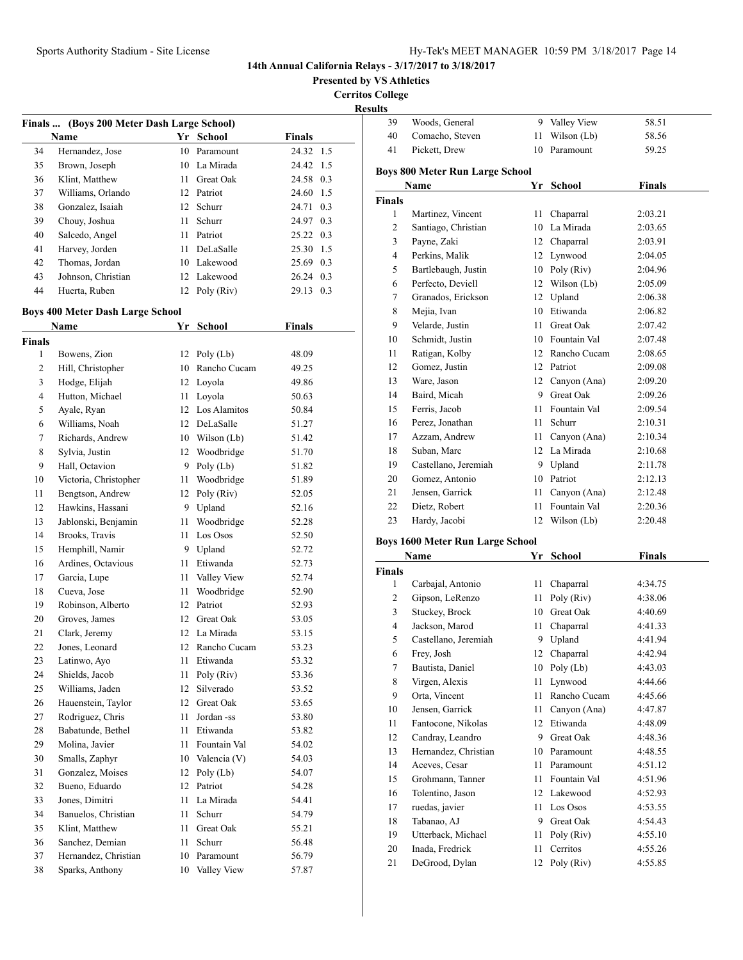**Presented by VS Athletics**

**Cerritos College**

| 11 11<br>انحت |
|---------------|
|---------------|

|    | Finals  (Boys 200 Meter Dash Large School) |     |                  |               |     |
|----|--------------------------------------------|-----|------------------|---------------|-----|
|    | <b>Name</b>                                |     | Yr School        | <b>Finals</b> |     |
| 34 | Hernandez, Jose                            | 10  | Paramount        | 24.32 1.5     |     |
| 35 | Brown, Joseph                              |     | 10 La Mirada     | 24.42 1.5     |     |
| 36 | Klint, Matthew                             | 11. | <b>Great Oak</b> | 24.58 0.3     |     |
| 37 | Williams, Orlando                          | 12  | Patriot          | 24.60 1.5     |     |
| 38 | Gonzalez, Isaiah                           |     | 12 Schurr        | 24.71         | 0.3 |
| 39 | Chouy, Joshua                              | 11  | Schurr           | 24.97 0.3     |     |
| 40 | Salcedo, Angel                             | 11  | Patriot          | 25.22 0.3     |     |
| 41 | Harvey, Jorden                             | 11  | DeLaSalle        | 25.30 1.5     |     |
| 42 | Thomas, Jordan                             | 10  | Lakewood         | 25.69         | 0.3 |
| 43 | Johnson, Christian                         |     | 12 Lakewood      | 26.24 0.3     |     |
| 44 | Huerta, Ruben                              | 12  | Poly (Riv)       | 29.13         | 0.3 |
|    |                                            |     |                  |               |     |

# **Boys 400 Meter Dash Large School**

|                | Name                  | $\mathbf{\underline{Yr}}$ | School          | <b>Finals</b> |  |
|----------------|-----------------------|---------------------------|-----------------|---------------|--|
| <b>Finals</b>  |                       |                           |                 |               |  |
| 1              | Bowens, Zion          | 12                        | Poly (Lb)       | 48.09         |  |
| 2              | Hill, Christopher     | 10                        | Rancho Cucam    | 49.25         |  |
| 3              | Hodge, Elijah         |                           | 12 Loyola       | 49.86         |  |
| $\overline{4}$ | Hutton, Michael       | 11                        | Loyola          | 50.63         |  |
| 5              | Ayale, Ryan           |                           | 12 Los Alamitos | 50.84         |  |
| 6              | Williams, Noah        | $12^{\circ}$              | DeLaSalle       | 51.27         |  |
| 7              | Richards, Andrew      | 10                        | Wilson (Lb)     | 51.42         |  |
| 8              | Sylvia, Justin        | $12^{\circ}$              | Woodbridge      | 51.70         |  |
| 9              | Hall, Octavion        | 9                         | Poly (Lb)       | 51.82         |  |
| 10             | Victoria, Christopher | 11                        | Woodbridge      | 51.89         |  |
| 11             | Bengtson, Andrew      | 12                        | Poly (Riv)      | 52.05         |  |
| 12             | Hawkins, Hassani      |                           | 9 Upland        | 52.16         |  |
| 13             | Jablonski, Benjamin   | 11                        | Woodbridge      | 52.28         |  |
| 14             | Brooks, Travis        | 11                        | Los Osos        | 52.50         |  |
| 15             | Hemphill, Namir       | 9                         | Upland          | 52.72         |  |
| 16             | Ardines, Octavious    | 11                        | Etiwanda        | 52.73         |  |
| 17             | Garcia, Lupe          | 11                        | Valley View     | 52.74         |  |
| 18             | Cueva, Jose           | 11                        | Woodbridge      | 52.90         |  |
| 19             | Robinson, Alberto     | $12^{\circ}$              | Patriot         | 52.93         |  |
| 20             | Groves, James         | 12                        | Great Oak       | 53.05         |  |
| 21             | Clark, Jeremy         |                           | 12 La Mirada    | 53.15         |  |
| 22             | Jones, Leonard        | 12                        | Rancho Cucam    | 53.23         |  |
| 23             | Latinwo, Ayo          | 11                        | Etiwanda        | 53.32         |  |
| 24             | Shields, Jacob        | 11                        | Poly (Riv)      | 53.36         |  |
| 25             | Williams, Jaden       | 12                        | Silverado       | 53.52         |  |
| 26             | Hauenstein, Taylor    | 12                        | Great Oak       | 53.65         |  |
| 27             | Rodriguez, Chris      | 11                        | Jordan -ss      | 53.80         |  |
| 28             | Babatunde, Bethel     | 11                        | Etiwanda        | 53.82         |  |
| 29             | Molina, Javier        | 11                        | Fountain Val    | 54.02         |  |
| 30             | Smalls, Zaphyr        | 10                        | Valencia $(V)$  | 54.03         |  |
| 31             | Gonzalez, Moises      | 12                        | Poly (Lb)       | 54.07         |  |
| 32             | Bueno, Eduardo        | 12                        | Patriot         | 54.28         |  |
| 33             | Jones, Dimitri        | 11                        | La Mirada       | 54.41         |  |
| 34             | Banuelos, Christian   | 11                        | Schurr          | 54.79         |  |
| 35             | Klint, Matthew        | 11.                       | Great Oak       | 55.21         |  |
| 36             | Sanchez, Demian       | 11                        | Schurr          | 56.48         |  |
| 37             | Hernandez, Christian  | 10                        | Paramount       | 56.79         |  |
| 38             | Sparks, Anthony       | 10                        | Valley View     | 57.87         |  |

| սււծ           |                                                     |    |                 |         |  |  |  |  |
|----------------|-----------------------------------------------------|----|-----------------|---------|--|--|--|--|
| 39             | Woods, General                                      |    | 9 Valley View   | 58.51   |  |  |  |  |
| 40             | Comacho, Steven                                     | 11 | Wilson (Lb)     | 58.56   |  |  |  |  |
| 41             | Pickett, Drew                                       | 10 | Paramount       | 59.25   |  |  |  |  |
|                | <b>Boys 800 Meter Run Large School</b>              |    |                 |         |  |  |  |  |
|                | Yr School<br><b>Finals</b><br>Name                  |    |                 |         |  |  |  |  |
| <b>Finals</b>  |                                                     |    |                 |         |  |  |  |  |
| 1              | Martinez, Vincent                                   | 11 | Chaparral       | 2:03.21 |  |  |  |  |
| $\overline{2}$ | Santiago, Christian                                 | 10 | La Mirada       | 2:03.65 |  |  |  |  |
| 3              | Payne, Zaki                                         |    | 12 Chaparral    | 2:03.91 |  |  |  |  |
| $\overline{4}$ | Perkins, Malik                                      | 12 | Lynwood         | 2:04.05 |  |  |  |  |
| 5              | Bartlebaugh, Justin                                 | 10 | Poly (Riv)      | 2:04.96 |  |  |  |  |
| 6              | Perfecto, Deviell                                   | 12 | Wilson (Lb)     | 2:05.09 |  |  |  |  |
| 7              | Granados, Erickson                                  | 12 | Upland          | 2:06.38 |  |  |  |  |
| 8              | Mejia, Ivan                                         | 10 | Etiwanda        | 2:06.82 |  |  |  |  |
| 9              | Velarde, Justin                                     |    | 11 Great Oak    | 2:07.42 |  |  |  |  |
| 10             | Schmidt, Justin                                     |    | 10 Fountain Val | 2:07.48 |  |  |  |  |
| 11             | Ratigan, Kolby                                      | 12 | Rancho Cucam    | 2:08.65 |  |  |  |  |
| 12             | Gomez, Justin                                       | 12 | Patriot         | 2:09.08 |  |  |  |  |
| 13             | Ware, Jason                                         |    | 12 Canyon (Ana) | 2:09.20 |  |  |  |  |
| 14             | Baird, Micah                                        |    | 9 Great Oak     | 2:09.26 |  |  |  |  |
| 15             | Ferris, Jacob                                       | 11 | Fountain Val    | 2:09.54 |  |  |  |  |
| 16             | Perez, Jonathan                                     | 11 | Schurr          | 2:10.31 |  |  |  |  |
| 17             | Azzam, Andrew                                       | 11 | Canyon (Ana)    | 2:10.34 |  |  |  |  |
| 18             | Suban, Marc                                         |    | 12 La Mirada    | 2:10.68 |  |  |  |  |
| 19             | Castellano, Jeremiah                                |    | 9 Upland        | 2:11.78 |  |  |  |  |
| 20             | Gomez, Antonio                                      |    | 10 Patriot      | 2:12.13 |  |  |  |  |
| 21             | Jensen, Garrick                                     | 11 | Canyon (Ana)    | 2:12.48 |  |  |  |  |
| 22             | Dietz, Robert                                       | 11 | Fountain Val    | 2:20.36 |  |  |  |  |
| 23             | Hardy, Jacobi                                       | 12 | Wilson (Lb)     | 2:20.48 |  |  |  |  |
|                |                                                     |    |                 |         |  |  |  |  |
|                | <b>Boys 1600 Meter Run Large School</b>             |    |                 |         |  |  |  |  |
|                | <b>Name</b><br>Yr<br><b>School</b><br><b>Finals</b> |    |                 |         |  |  |  |  |

| Name<br>Y r<br>School |                      |    | Finals       |         |  |
|-----------------------|----------------------|----|--------------|---------|--|
| <b>Finals</b>         |                      |    |              |         |  |
| 1                     | Carbajal, Antonio    | 11 | Chaparral    | 4:34.75 |  |
| $\overline{c}$        | Gipson, LeRenzo      | 11 | Poly (Riv)   | 4:38.06 |  |
| 3                     | Stuckey, Brock       | 10 | Great Oak    | 4:40.69 |  |
| 4                     | Jackson, Marod       | 11 | Chaparral    | 4:41.33 |  |
| 5                     | Castellano, Jeremiah | 9  | Upland       | 4:41.94 |  |
| 6                     | Frey, Josh           | 12 | Chaparral    | 4:42.94 |  |
| 7                     | Bautista, Daniel     | 10 | Poly (Lb)    | 4:43.03 |  |
| 8                     | Virgen, Alexis       | 11 | Lynwood      | 4:44.66 |  |
| 9                     | Orta, Vincent        | 11 | Rancho Cucam | 4:45.66 |  |
| 10                    | Jensen, Garrick      | 11 | Canyon (Ana) | 4:47.87 |  |
| 11                    | Fantocone, Nikolas   | 12 | Etiwanda     | 4:48.09 |  |
| 12                    | Candray, Leandro     | 9  | Great Oak    | 4:48.36 |  |
| 13                    | Hernandez, Christian | 10 | Paramount    | 4:48.55 |  |
| 14                    | Aceves, Cesar        | 11 | Paramount    | 4:51.12 |  |
| 15                    | Grohmann, Tanner     | 11 | Fountain Val | 4:51.96 |  |
| 16                    | Tolentino, Jason     | 12 | Lakewood     | 4:52.93 |  |
| 17                    | ruedas, javier       | 11 | Los Osos     | 4:53.55 |  |
| 18                    | Tabanao, AJ          | 9  | Great Oak    | 4:54.43 |  |
| 19                    | Utterback, Michael   | 11 | Poly (Riv)   | 4:55.10 |  |
| 20                    | Inada, Fredrick      | 11 | Cerritos     | 4:55.26 |  |
| 21                    | DeGrood, Dylan       | 12 | Poly (Riv)   | 4:55.85 |  |
|                       |                      |    |              |         |  |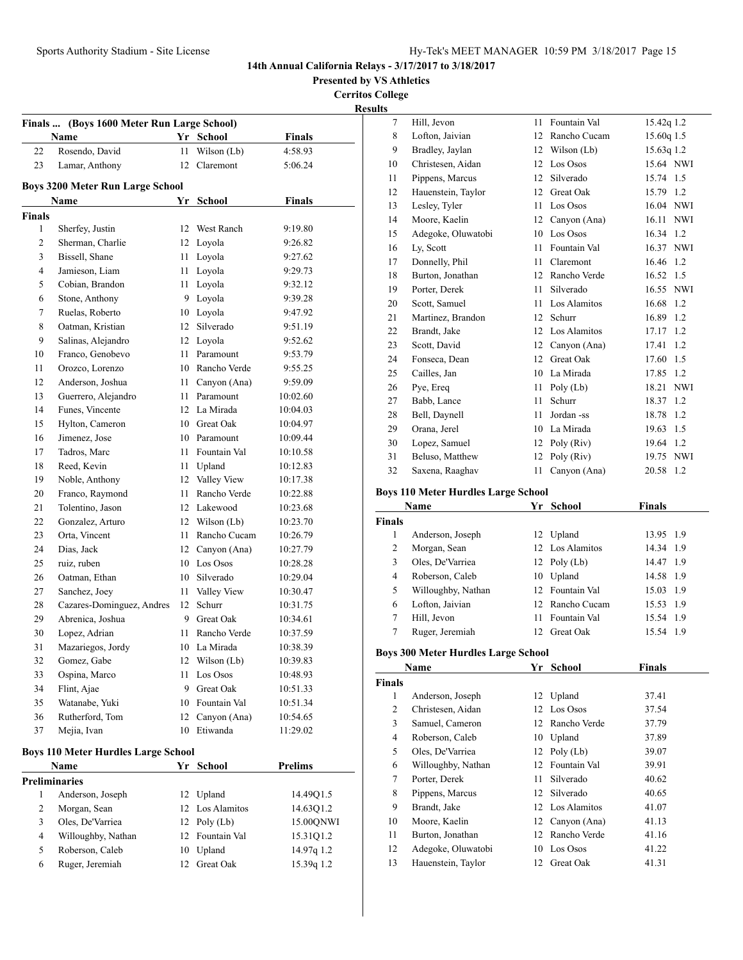**Presented by VS Athletics**

**Cerritos College**

**Results**

|                | Finals  (Boys 1600 Meter Run Large School) |      |                 |                |  |  |
|----------------|--------------------------------------------|------|-----------------|----------------|--|--|
|                | Name                                       |      | Yr School       | <b>Finals</b>  |  |  |
| 22             | Rosendo, David                             | 11   | Wilson (Lb)     | 4:58.93        |  |  |
| 23             | Lamar, Anthony                             | 12   | Claremont       | 5:06.24        |  |  |
|                | <b>Boys 3200 Meter Run Large School</b>    |      |                 |                |  |  |
|                | Name                                       |      | Yr School       | <b>Finals</b>  |  |  |
| <b>Finals</b>  |                                            |      |                 |                |  |  |
| 1              | Sherfey, Justin                            |      | 12 West Ranch   | 9:19.80        |  |  |
| 2              | Sherman, Charlie                           |      | 12 Loyola       | 9:26.82        |  |  |
| 3              | Bissell, Shane                             | 11 - | Loyola          | 9:27.62        |  |  |
| 4              | Jamieson, Liam                             | 11   | Loyola          | 9:29.73        |  |  |
| 5              | Cobian, Brandon                            | 11 - | Loyola          | 9:32.12        |  |  |
| 6              | Stone, Anthony                             |      | 9 Loyola        | 9:39.28        |  |  |
| 7              | Ruelas, Roberto                            |      | 10 Loyola       | 9:47.92        |  |  |
| 8              | Oatman, Kristian                           |      | 12 Silverado    | 9:51.19        |  |  |
| 9              | Salinas, Alejandro                         |      | 12 Loyola       | 9:52.62        |  |  |
| 10             | Franco, Genobevo                           |      | 11 Paramount    | 9:53.79        |  |  |
| 11             | Orozco, Lorenzo                            |      | 10 Rancho Verde | 9:55.25        |  |  |
| 12             | Anderson, Joshua                           | 11 - | Canyon (Ana)    | 9:59.09        |  |  |
| 13             | Guerrero, Alejandro                        | 11 - | Paramount       | 10:02.60       |  |  |
| 14             | Funes, Vincente                            |      | 12 La Mirada    | 10:04.03       |  |  |
| 15             | Hylton, Cameron                            |      | 10 Great Oak    | 10:04.97       |  |  |
| 16             | Jimenez, Jose                              |      | 10 Paramount    | 10:09.44       |  |  |
| 17             | Tadros, Marc                               | 11 - | Fountain Val    | 10:10.58       |  |  |
| 18             | Reed, Kevin                                | 11 - | Upland          | 10:12.83       |  |  |
| 19             | Noble, Anthony                             |      | 12 Valley View  | 10:17.38       |  |  |
| 20             | Franco, Raymond                            | 11 - | Rancho Verde    | 10:22.88       |  |  |
| 21             | Tolentino, Jason                           |      | 12 Lakewood     | 10:23.68       |  |  |
| 22             | Gonzalez, Arturo                           |      | 12 Wilson (Lb)  | 10:23.70       |  |  |
| 23             | Orta, Vincent                              |      | 11 Rancho Cucam | 10:26.79       |  |  |
| 24             | Dias, Jack                                 |      | 12 Canyon (Ana) | 10:27.79       |  |  |
| 25             | ruiz, ruben                                |      | 10 Los Osos     | 10:28.28       |  |  |
| 26             | Oatman, Ethan                              | 10   | Silverado       | 10:29.04       |  |  |
| 27             | Sanchez, Joey                              | 11   | Valley View     | 10:30.47       |  |  |
| 28             | Cazares-Dominguez, Andres                  | 12   | Schurr          | 10:31.75       |  |  |
| 29             | Abrenica, Joshua                           |      | 9 Great Oak     | 10:34.61       |  |  |
| 30             | Lopez, Adrian                              | 11 - | Rancho Verde    | 10:37.59       |  |  |
| 31             | Mazariegos, Jordy                          |      | 10 La Mirada    | 10:38.39       |  |  |
| 32             | Gomez, Gabe                                |      | 12 Wilson (Lb)  | 10:39.83       |  |  |
| 33             | Ospina, Marco                              | 11   | Los Osos        | 10:48.93       |  |  |
| 34             | Flint, Ajae                                |      | 9 Great Oak     | 10:51.33       |  |  |
| 35             | Watanabe, Yuki                             |      | 10 Fountain Val | 10:51.34       |  |  |
| 36             | Rutherford, Tom                            | 12   | Canyon (Ana)    | 10:54.65       |  |  |
| 37             | Mejia, Ivan                                | 10   | Etiwanda        | 11:29.02       |  |  |
|                |                                            |      |                 |                |  |  |
|                | <b>Boys 110 Meter Hurdles Large School</b> |      |                 |                |  |  |
|                | Name                                       |      | Yr_School       | <b>Prelims</b> |  |  |
|                | <b>Preliminaries</b>                       |      |                 |                |  |  |
| 1              | Anderson, Joseph                           | 12   | Upland          | 14.49Q1.5      |  |  |
| $\overline{c}$ | Morgan, Sean                               | 12   | Los Alamitos    | 14.63Q1.2      |  |  |
| 3              | Oles, De'Varriea                           | 12   | Poly $(Lb)$     | 15.00QNWI      |  |  |
| $\overline{4}$ | Willoughby, Nathan                         | 12   | Fountain Val    | 15.31Q1.2      |  |  |
| 5              | Roberson, Caleb                            | 10   | Upland          | 14.97q 1.2     |  |  |
| 6              | Ruger, Jeremiah                            | 12   | Great Oak       | 15.39q 1.2     |  |  |
|                |                                            |      |                 |                |  |  |

| 7  | Hill, Jevon        | 11 | Fountain Val | 15.42q 1.2 |            |
|----|--------------------|----|--------------|------------|------------|
| 8  | Lofton, Jaivian    | 12 | Rancho Cucam | 15.60q 1.5 |            |
| 9  | Bradley, Jaylan    | 12 | Wilson (Lb)  | 15.63q 1.2 |            |
| 10 | Christesen, Aidan  | 12 | Los Osos     | 15.64 NWI  |            |
| 11 | Pippens, Marcus    | 12 | Silverado    | 15.74      | 1.5        |
| 12 | Hauenstein, Taylor | 12 | Great Oak    | 15.79      | 1.2        |
| 13 | Lesley, Tyler      | 11 | Los Osos     | 16.04 NWI  |            |
| 14 | Moore, Kaelin      | 12 | Canyon (Ana) | 16.11      | <b>NWI</b> |
| 15 | Adegoke, Oluwatobi | 10 | Los Osos     | 16.34      | 1.2        |
| 16 | Ly, Scott          | 11 | Fountain Val | 16.37 NWI  |            |
| 17 | Donnelly, Phil     | 11 | Claremont    | 16.46      | 1.2        |
| 18 | Burton, Jonathan   | 12 | Rancho Verde | 16.52      | 1.5        |
| 19 | Porter, Derek      | 11 | Silverado    | 16.55      | <b>NWI</b> |
| 20 | Scott, Samuel      | 11 | Los Alamitos | 16.68      | 1.2        |
| 21 | Martinez, Brandon  | 12 | Schurr       | 16.89      | 1.2        |
| 22 | Brandt, Jake       | 12 | Los Alamitos | 17.17      | 1.2        |
| 23 | Scott, David       | 12 | Canyon (Ana) | 17.41      | 1.2        |
| 24 | Fonseca, Dean      | 12 | Great Oak    | 17.60      | 1.5        |
| 25 | Cailles, Jan       | 10 | La Mirada    | 17.85      | 1.2        |
| 26 | Pye, Ereq          | 11 | Poly $(Lb)$  | 18.21      | <b>NWI</b> |
| 27 | Babb, Lance        | 11 | Schurr       | 18.37      | 1.2        |
| 28 | Bell, Daynell      | 11 | Jordan -ss   | 18.78      | 1.2        |
| 29 | Orana, Jerel       | 10 | La Mirada    | 19.63      | 1.5        |
| 30 | Lopez, Samuel      | 12 | Poly (Riv)   | 19.64      | 1.2        |
| 31 | Beluso, Matthew    | 12 | Poly (Riv)   | 19.75      | <b>NWI</b> |
| 32 | Saxena, Raaghav    | 11 | Canyon (Ana) | 20.58      | 1.2        |

## **Boys 110 Meter Hurdles Large School**

|               | Name               | Yr | School           | Finals        |
|---------------|--------------------|----|------------------|---------------|
| <b>Finals</b> |                    |    |                  |               |
|               | Anderson, Joseph   |    | 12 Upland        | 13.95 1.9     |
| 2             | Morgan, Sean       |    | 12 Los Alamitos  | 14.34 1.9     |
| 3             | Oles, De'Varriea   |    | $12$ Poly (Lb)   | 14.47 1.9     |
| 4             | Roberson, Caleb    |    | 10 Upland        | 14.58 1.9     |
| 5             | Willoughby, Nathan |    | 12 Fountain Val  | 15.03<br>-1.9 |
| 6             | Lofton, Jaivian    |    | 12 Rancho Cucam  | 15.53 1.9     |
|               | Hill, Jevon        | 11 | Fountain Val     | 15.54 1.9     |
|               | Ruger, Jeremiah    |    | <b>Great Oak</b> | 15.54<br>-1.9 |

# **Boys 300 Meter Hurdles Large School**

|               | Name               | Yr | School          | <b>Finals</b> |  |
|---------------|--------------------|----|-----------------|---------------|--|
| <b>Finals</b> |                    |    |                 |               |  |
| 1             | Anderson, Joseph   |    | 12 Upland       | 37.41         |  |
| 2             | Christesen, Aidan  |    | 12 Los Osos     | 37.54         |  |
| 3             | Samuel, Cameron    |    | 12 Rancho Verde | 37.79         |  |
| 4             | Roberson, Caleb    |    | 10 Upland       | 37.89         |  |
| 5             | Oles, De'Varriea   |    | 12 Poly $(Lb)$  | 39.07         |  |
| 6             | Willoughby, Nathan |    | 12 Fountain Val | 39.91         |  |
| 7             | Porter, Derek      | 11 | Silverado       | 40.62         |  |
| 8             | Pippens, Marcus    |    | 12 Silverado    | 40.65         |  |
| 9             | Brandt, Jake       |    | 12 Los Alamitos | 41.07         |  |
| 10            | Moore, Kaelin      |    | 12 Canyon (Ana) | 41.13         |  |
| 11            | Burton, Jonathan   | 12 | Rancho Verde    | 41.16         |  |
| 12            | Adegoke, Oluwatobi | 10 | Los Osos        | 41.22         |  |
| 13            | Hauenstein, Taylor | 12 | Great Oak       | 41.31         |  |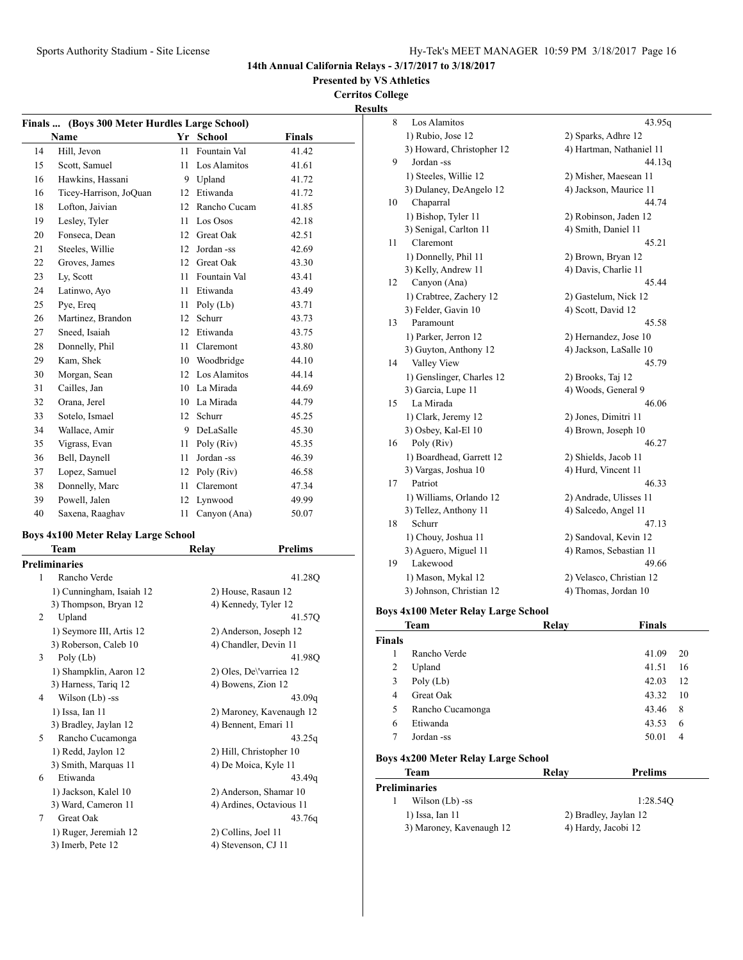**Presented by VS Athletics**

**Cerritos College Results**

|    | Finals  (Boys 300 Meter Hurdles Large School) |              |               |               |  |
|----|-----------------------------------------------|--------------|---------------|---------------|--|
|    | <b>Name</b>                                   | Yr           | <b>School</b> | <b>Finals</b> |  |
| 14 | Hill, Jevon                                   | 11           | Fountain Val  | 41.42         |  |
| 15 | Scott, Samuel                                 | 11           | Los Alamitos  | 41.61         |  |
| 16 | Hawkins, Hassani                              | 9            | Upland        | 41.72         |  |
| 16 | Ticey-Harrison, JoQuan                        | 12           | Etiwanda      | 41.72         |  |
| 18 | Lofton, Jaivian                               | 12           | Rancho Cucam  | 41.85         |  |
| 19 | Lesley, Tyler                                 | 11           | Los Osos      | 42.18         |  |
| 20 | Fonseca, Dean                                 | 12           | Great Oak     | 42.51         |  |
| 21 | Steeles, Willie                               | 12           | Jordan -ss    | 42.69         |  |
| 22 | Groves, James                                 | 12           | Great Oak     | 43.30         |  |
| 23 | Ly, Scott                                     | 11           | Fountain Val  | 43.41         |  |
| 24 | Latinwo, Ayo                                  | 11           | Etiwanda      | 43.49         |  |
| 25 | Pye, Ereq                                     | 11           | Poly $(Lb)$   | 43.71         |  |
| 26 | Martinez, Brandon                             | 12           | Schurr        | 43.73         |  |
| 27 | Sneed, Isaiah                                 | 12           | Etiwanda      | 43.75         |  |
| 28 | Donnelly, Phil                                | 11           | Claremont     | 43.80         |  |
| 29 | Kam, Shek                                     | 10           | Woodbridge    | 44.10         |  |
| 30 | Morgan, Sean                                  | 12           | Los Alamitos  | 44.14         |  |
| 31 | Cailles, Jan                                  | 10           | La Mirada     | 44.69         |  |
| 32 | Orana, Jerel                                  | 10           | La Mirada     | 44.79         |  |
| 33 | Sotelo, Ismael                                | $12^{\circ}$ | Schurr        | 45.25         |  |
| 34 | Wallace, Amir                                 | 9            | DeLaSalle     | 45.30         |  |
| 35 | Vigrass, Evan                                 | 11           | Poly (Riv)    | 45.35         |  |
| 36 | Bell, Daynell                                 | 11           | Jordan -ss    | 46.39         |  |
| 37 | Lopez, Samuel                                 | 12           | Poly (Riv)    | 46.58         |  |
| 38 | Donnelly, Marc                                | 11           | Claremont     | 47.34         |  |
| 39 | Powell, Jalen                                 | 12           | Lynwood       | 49.99         |  |
| 40 | Saxena, Raaghav                               | 11           | Canyon (Ana)  | 50.07         |  |

## **Boys 4x100 Meter Relay Large School**

|                | Team                     | Relay               | <b>Prelims</b>           |
|----------------|--------------------------|---------------------|--------------------------|
|                | <b>Preliminaries</b>     |                     |                          |
| 1              | Rancho Verde             |                     | 41.28Q                   |
|                | 1) Cunningham, Isaiah 12 |                     | 2) House, Rasaun 12      |
|                | 3) Thompson, Bryan 12    |                     | 4) Kennedy, Tyler 12     |
| $\overline{2}$ | Upland                   |                     | 41.57Q                   |
|                | 1) Seymore III, Artis 12 |                     | 2) Anderson, Joseph 12   |
|                | 3) Roberson, Caleb 10    |                     | 4) Chandler, Devin 11    |
| 3              | Poly (Lb)                |                     | 41.98O                   |
|                | 1) Shampklin, Aaron 12   |                     | 2) Oles, De\'varriea 12  |
|                | 3) Harness, Tariq 12     |                     | 4) Bowens, Zion 12       |
| 4              | Wilson (Lb) -ss          |                     | 43.09q                   |
|                | 1) Issa, Ian 11          |                     | 2) Maroney, Kavenaugh 12 |
|                | 3) Bradley, Jaylan 12    |                     | 4) Bennent, Emari 11     |
| 5              | Rancho Cucamonga         |                     | 43.25q                   |
|                | 1) Redd, Jaylon 12       |                     | 2) Hill, Christopher 10  |
|                | 3) Smith, Marquas 11     |                     | 4) De Moica, Kyle 11     |
| 6              | Etiwanda                 |                     | 43.49 <sub>q</sub>       |
|                | 1) Jackson, Kalel 10     |                     | 2) Anderson, Shamar 10   |
|                | 3) Ward, Cameron 11      |                     | 4) Ardines, Octavious 11 |
| 7              | Great Oak                |                     | 43.76q                   |
|                | 1) Ruger, Jeremiah 12    | 2) Collins, Joel 11 |                          |
|                | 3) Imerb, Pete 12        |                     | 4) Stevenson, CJ 11      |
|                |                          |                     |                          |

| 8  | Los Alamitos              | 43.95q                   |
|----|---------------------------|--------------------------|
|    | 1) Rubio, Jose 12         | 2) Sparks, Adhre 12      |
|    | 3) Howard, Christopher 12 | 4) Hartman, Nathaniel 11 |
| 9  | Jordan -ss                | 44.13q                   |
|    | 1) Steeles, Willie 12     | 2) Misher, Maesean 11    |
|    | 3) Dulaney, DeAngelo 12   | 4) Jackson, Maurice 11   |
| 10 | Chaparral                 | 44.74                    |
|    | 1) Bishop, Tyler 11       | 2) Robinson, Jaden 12    |
|    | 3) Senigal, Carlton 11    | 4) Smith, Daniel 11      |
| 11 | Claremont                 | 45.21                    |
|    | 1) Donnelly, Phil 11      | 2) Brown, Bryan 12       |
|    | 3) Kelly, Andrew 11       | 4) Davis, Charlie 11     |
| 12 | Canyon (Ana)              | 45.44                    |
|    | 1) Crabtree, Zachery 12   | 2) Gastelum, Nick 12     |
|    | 3) Felder, Gavin 10       | 4) Scott, David 12       |
| 13 | Paramount                 | 45.58                    |
|    | 1) Parker, Jerron 12      | 2) Hernandez, Jose 10    |
|    | 3) Guyton, Anthony 12     | 4) Jackson, LaSalle 10   |
| 14 | Valley View               | 45.79                    |
|    | 1) Genslinger, Charles 12 | 2) Brooks, Taj 12        |
|    | 3) Garcia, Lupe 11        | 4) Woods, General 9      |
| 15 | La Mirada                 | 46.06                    |
|    | 1) Clark, Jeremy 12       | 2) Jones, Dimitri 11     |
|    | 3) Osbey, Kal-El 10       | 4) Brown, Joseph 10      |
| 16 | Poly (Riv)                | 46.27                    |
|    | 1) Boardhead, Garrett 12  | 2) Shields, Jacob 11     |
|    | 3) Vargas, Joshua 10      | 4) Hurd, Vincent 11      |
| 17 | Patriot                   | 46.33                    |
|    | 1) Williams, Orlando 12   | 2) Andrade, Ulisses 11   |
|    | 3) Tellez, Anthony 11     | 4) Salcedo, Angel 11     |
| 18 | Schurr                    | 47.13                    |
|    | 1) Chouy, Joshua 11       | 2) Sandoval, Kevin 12    |
|    | 3) Aguero, Miguel 11      | 4) Ramos, Sebastian 11   |
| 19 | Lakewood                  | 49.66                    |
|    | 1) Mason, Mykal 12        | 2) Velasco, Christian 12 |
|    | 3) Johnson, Christian 12  | 4) Thomas, Jordan 10     |

#### **Boys 4x100 Meter Relay Large School**

|               | <b>Team</b>      | Relay | <b>Finals</b> |    |
|---------------|------------------|-------|---------------|----|
| <b>Finals</b> |                  |       |               |    |
|               | Rancho Verde     |       | 41.09         | 20 |
| 2             | Upland           |       | 41.51         | 16 |
| 3             | Poly $(Lb)$      |       | 42.03         | 12 |
| 4             | Great Oak        |       | 43.32         | 10 |
| 5             | Rancho Cucamonga |       | 43.46         | 8  |
| 6             | Etiwanda         |       | 43.53         | 6  |
| 7             | Jordan -ss       |       | 50.01         | 4  |

#### **Boys 4x200 Meter Relay Large School**

| Team                     | Relav | <b>Prelims</b>        |
|--------------------------|-------|-----------------------|
| <b>Preliminaries</b>     |       |                       |
| Wilson $(Lb)$ -ss        |       | 1:28.54Q              |
| 1) Issa, Ian 11          |       | 2) Bradley, Jaylan 12 |
| 3) Maroney, Kavenaugh 12 |       | 4) Hardy, Jacobi 12   |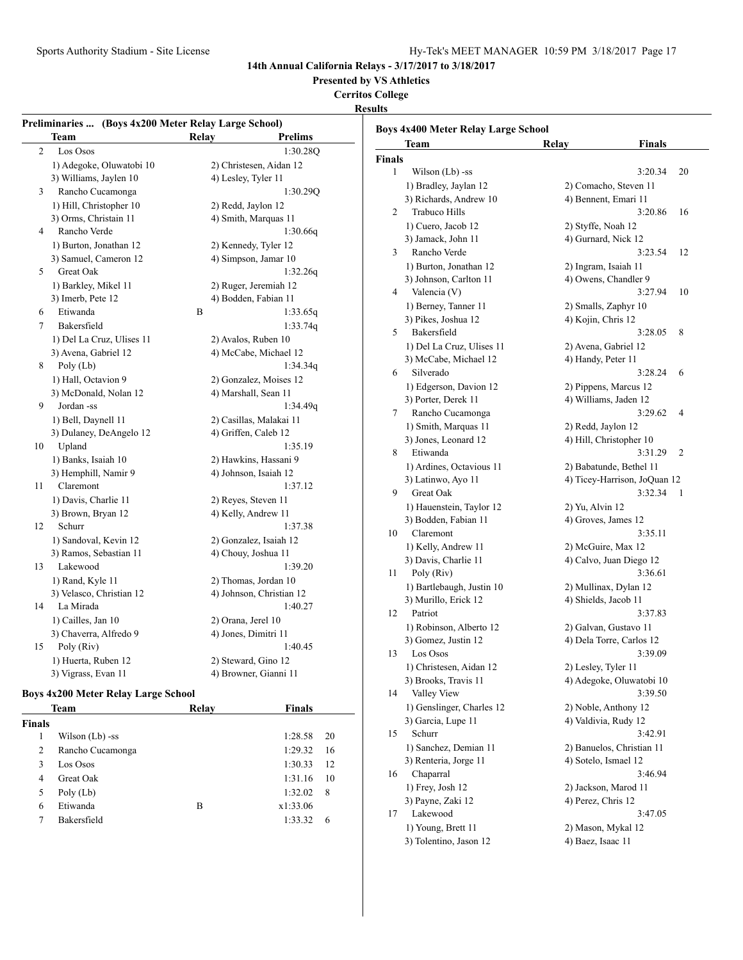**Presented by VS Athletics**

**Cerritos College**

**Results**

|               | Preliminaries  (Boys 4x200 Meter Relay Large School) |                          | <b>Boys 4x400 Meter Relay Large School</b> |                                           |                              |
|---------------|------------------------------------------------------|--------------------------|--------------------------------------------|-------------------------------------------|------------------------------|
|               | Team                                                 | Relay<br>Prelims         | Team                                       | Relay                                     | <b>Finals</b>                |
| 2             | Los Osos                                             | 1:30.280                 | <b>Finals</b>                              |                                           |                              |
|               | 1) Adegoke, Oluwatobi 10                             | 2) Christesen, Aidan 12  | Wilson (Lb) -ss<br>$\mathbf{1}$            |                                           | 3:20.34<br>20                |
|               | 3) Williams, Jaylen 10                               | 4) Lesley, Tyler 11      | 1) Bradley, Jaylan 12                      |                                           | 2) Comacho, Steven 11        |
| 3             | Rancho Cucamonga                                     | 1:30.29Q                 | 3) Richards, Andrew 10                     |                                           | 4) Bennent, Emari 11         |
|               | 1) Hill, Christopher 10                              | 2) Redd, Jaylon 12       | Trabuco Hills<br>2                         |                                           | 3:20.86<br>16                |
|               | 3) Orms, Christain 11                                | 4) Smith, Marquas 11     | 1) Cuero, Jacob 12                         |                                           |                              |
| 4             | Rancho Verde                                         | 1:30.66q                 | 3) Jamack, John 11                         | 2) Styffe, Noah 12<br>4) Gurnard, Nick 12 |                              |
|               | 1) Burton, Jonathan 12                               | 2) Kennedy, Tyler 12     | Rancho Verde<br>3                          |                                           | 3:23.54<br>12                |
|               | 3) Samuel, Cameron 12                                | 4) Simpson, Jamar 10     |                                            |                                           |                              |
| 5             | Great Oak                                            | 1:32.26q                 | 1) Burton, Jonathan 12                     | 2) Ingram, Isaiah 11                      |                              |
|               | 1) Barkley, Mikel 11                                 | 2) Ruger, Jeremiah 12    | 3) Johnson, Carlton 11                     |                                           | 4) Owens, Chandler 9<br>10   |
|               | 3) Imerb, Pete 12                                    | 4) Bodden, Fabian 11     | Valencia (V)<br>4                          |                                           | 3:27.94                      |
| 6             | Etiwanda                                             | B<br>1:33.65q            | 1) Berney, Tanner 11                       |                                           | 2) Smalls, Zaphyr 10         |
| 7             | Bakersfield                                          | 1:33.74q                 | 3) Pikes, Joshua 12                        | 4) Kojin, Chris 12                        |                              |
|               | 1) Del La Cruz, Ulises 11                            | 2) Avalos, Ruben 10      | Bakersfield<br>5                           |                                           | 8<br>3:28.05                 |
|               | 3) Avena, Gabriel 12                                 | 4) McCabe, Michael 12    | 1) Del La Cruz, Ulises 11                  | 2) Avena, Gabriel 12                      |                              |
| 8             | Poly (Lb)                                            | 1:34.34q                 | 3) McCabe, Michael 12                      | 4) Handy, Peter 11                        |                              |
|               | 1) Hall, Octavion 9                                  | 2) Gonzalez, Moises 12   | Silverado<br>6                             |                                           | 3:28.24<br>6                 |
|               | 3) McDonald, Nolan 12                                | 4) Marshall, Sean 11     | 1) Edgerson, Davion 12                     |                                           | 2) Pippens, Marcus 12        |
| 9             | Jordan -ss                                           | 1:34.49q                 | 3) Porter, Derek 11                        |                                           | 4) Williams, Jaden 12        |
|               | 1) Bell, Daynell 11                                  | 2) Casillas, Malakai 11  | Rancho Cucamonga<br>7                      |                                           | 3:29.62<br>$\overline{4}$    |
|               | 3) Dulaney, DeAngelo 12                              | 4) Griffen, Caleb 12     | 1) Smith, Marquas 11                       | 2) Redd, Jaylon 12                        |                              |
| 10            | Upland                                               | 1:35.19                  | 3) Jones, Leonard 12                       |                                           | 4) Hill, Christopher 10      |
|               | 1) Banks, Isaiah 10                                  | 2) Hawkins, Hassani 9    | Etiwanda<br>8                              |                                           | 3:31.29<br>$\overline{2}$    |
|               | 3) Hemphill, Namir 9                                 | 4) Johnson, Isaiah 12    | 1) Ardines, Octavious 11                   |                                           | 2) Babatunde, Bethel 11      |
| 11            | Claremont                                            | 1:37.12                  | 3) Latinwo, Ayo 11                         |                                           | 4) Ticey-Harrison, JoQuan 12 |
|               | 1) Davis, Charlie 11                                 | 2) Reyes, Steven 11      | Great Oak<br>9                             |                                           | 3:32.34<br>$\overline{1}$    |
|               | 3) Brown, Bryan 12                                   | 4) Kelly, Andrew 11      | 1) Hauenstein, Taylor 12                   | 2) Yu, Alvin 12                           |                              |
| 12            | Schurr                                               | 1:37.38                  | 3) Bodden, Fabian 11                       | 4) Groves, James 12                       |                              |
|               | 1) Sandoval, Kevin 12                                | 2) Gonzalez, Isaiah 12   | Claremont<br>10                            |                                           | 3:35.11                      |
|               | 3) Ramos, Sebastian 11                               | 4) Chouy, Joshua 11      | 1) Kelly, Andrew 11                        | 2) McGuire, Max 12                        |                              |
| 13            | Lakewood                                             | 1:39.20                  | 3) Davis, Charlie 11                       |                                           | 4) Calvo, Juan Diego 12      |
|               | 1) Rand, Kyle 11                                     | 2) Thomas, Jordan 10     | Poly (Riv)<br>11                           |                                           | 3:36.61                      |
|               | 3) Velasco, Christian 12                             | 4) Johnson, Christian 12 | 1) Bartlebaugh, Justin 10                  |                                           | 2) Mullinax, Dylan 12        |
| 14            | La Mirada                                            | 1:40.27                  | 3) Murillo, Erick 12                       | 4) Shields, Jacob 11                      |                              |
|               | 1) Cailles, Jan 10                                   | 2) Orana, Jerel 10       | Patriot<br>12                              |                                           | 3:37.83                      |
|               | 3) Chaverra, Alfredo 9                               | 4) Jones, Dimitri 11     | 1) Robinson, Alberto 12                    |                                           | 2) Galvan, Gustavo 11        |
| 15            | Poly (Riv)                                           | 1:40.45                  | 3) Gomez, Justin 12                        |                                           | 4) Dela Torre, Carlos 12     |
|               | 1) Huerta, Ruben 12                                  | 2) Steward, Gino 12      | Los Osos<br>13                             |                                           | 3:39.09                      |
|               | 3) Vigrass, Evan 11                                  | 4) Browner, Gianni 11    | 1) Christesen, Aidan 12                    | 2) Lesley, Tyler 11                       |                              |
|               |                                                      |                          | 3) Brooks, Travis 11                       |                                           | 4) Adegoke, Oluwatobi 10     |
|               | <b>Boys 4x200 Meter Relay Large School</b>           |                          | Valley View<br>14                          |                                           | 3:39.50                      |
|               | Team                                                 | <b>Finals</b><br>Relav   | 1) Genslinger, Charles 12                  |                                           | 2) Noble, Anthony 12         |
| <b>Finals</b> |                                                      |                          | 3) Garcia, Lupe 11                         | 4) Valdivia, Rudy 12                      |                              |

|              | теаш               | reiav | г шагэ   |    |  |
|--------------|--------------------|-------|----------|----|--|
| <b>inals</b> |                    |       |          |    |  |
| 1            | Wilson (Lb) -ss    |       | 1:28.58  | 20 |  |
| 2            | Rancho Cucamonga   |       | 1:29.32  | 16 |  |
| 3            | Los Osos           |       | 1:30.33  | 12 |  |
| 4            | Great Oak          |       | 1:31.16  | 10 |  |
| 5            | Poly $(Lb)$        |       | 1:32.02  | 8  |  |
| 6            | Etiwanda           | в     | x1:33.06 |    |  |
|              | <b>Bakersfield</b> |       | 1:33.32  | 6  |  |
|              |                    |       |          |    |  |

| 14 | Valley View               | 3:39.50                   |
|----|---------------------------|---------------------------|
|    | 1) Genslinger, Charles 12 | 2) Noble, Anthony 12      |
|    | 3) Garcia, Lupe 11        | 4) Valdivia, Rudy 12      |
| 15 | Schurr                    | 3:42.91                   |
|    | 1) Sanchez, Demian 11     | 2) Banuelos, Christian 11 |
|    | 3) Renteria, Jorge 11     | 4) Sotelo, Ismael 12      |
| 16 | Chaparral                 | 3:46.94                   |
|    | $1)$ Frey, Josh $12$      | 2) Jackson, Marod 11      |
|    | 3) Payne, Zaki 12         | 4) Perez, Chris 12        |
| 17 | Lakewood                  | 3:47.05                   |
|    | 1) Young, Brett 11        | 2) Mason, Mykal 12        |

3) Tolentino, Jason 12 4) Baez, Isaac 11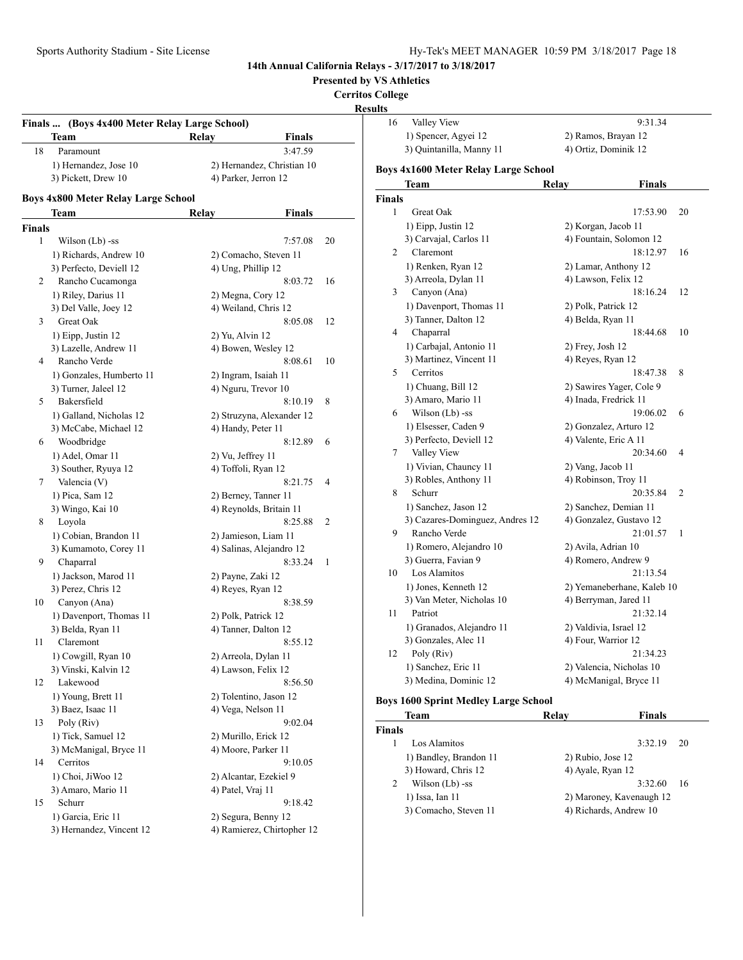**Presented by VS Athletics**

**Cerritos College**

# **Results**

| Finals      | (Boys 4x400 Meter Relay Large School)<br>Team | Relay                | Finals                     |    |
|-------------|-----------------------------------------------|----------------------|----------------------------|----|
| 18          | Paramount                                     |                      | 3:47.59                    |    |
|             | 1) Hernandez, Jose 10                         |                      | 2) Hernandez, Christian 10 |    |
|             | 3) Pickett, Drew 10                           | 4) Parker, Jerron 12 |                            |    |
|             |                                               |                      |                            |    |
|             | Boys 4x800 Meter Relay Large School           |                      |                            |    |
|             | Team                                          | Relay                | Finals                     |    |
| Finals<br>1 |                                               |                      | 7:57.08                    | 20 |
|             | Wilson (Lb) -ss<br>1) Richards, Andrew 10     |                      | 2) Comacho, Steven 11      |    |
|             | 3) Perfecto, Deviell 12                       | 4) Ung, Phillip 12   |                            |    |
| 2           | Rancho Cucamonga                              |                      | 8:03.72                    | 16 |
|             | 1) Riley, Darius 11                           | 2) Megna, Cory 12    |                            |    |
|             | 3) Del Valle, Joey 12                         | 4) Weiland, Chris 12 |                            |    |
| 3           | Great Oak                                     |                      | 8:05.08                    | 12 |
|             | 1) Eipp, Justin 12                            | 2) Yu, Alvin 12      |                            |    |
|             | 3) Lazelle, Andrew 11                         |                      | 4) Bowen, Wesley 12        |    |
| 4           | Rancho Verde                                  |                      | 8:08.61                    | 10 |
|             | 1) Gonzales, Humberto 11                      | 2) Ingram, Isaiah 11 |                            |    |
|             | 3) Turner, Jaleel 12                          | 4) Nguru, Trevor 10  |                            |    |
| 5           | Bakersfield                                   |                      | 8:10.19                    | 8  |
|             | 1) Galland, Nicholas 12                       |                      | 2) Struzyna, Alexander 12  |    |
|             | 3) McCabe, Michael 12                         | 4) Handy, Peter 11   |                            |    |
| 6           | Woodbridge                                    |                      | 8:12.89                    | 6  |
|             | 1) Adel, Omar 11                              | 2) Vu, Jeffrey 11    |                            |    |
|             | 3) Souther, Ryuya 12                          | 4) Toffoli, Ryan 12  |                            |    |
| 7           | Valencia (V)                                  |                      | 8:21.75                    | 4  |
|             | 1) Pica, Sam 12                               | 2) Berney, Tanner 11 |                            |    |
|             | 3) Wingo, Kai 10                              |                      | 4) Reynolds, Britain 11    |    |
| 8           | Loyola                                        |                      | 8:25.88                    | 2  |
|             | 1) Cobian, Brandon 11                         |                      | 2) Jamieson, Liam 11       |    |
|             | 3) Kumamoto, Corey 11                         |                      | 4) Salinas, Alejandro 12   |    |
| 9           | Chaparral                                     |                      | 8:33.24                    | 1  |
|             | 1) Jackson, Marod 11                          | 2) Payne, Zaki 12    |                            |    |
|             | 3) Perez, Chris 12                            | 4) Reyes, Ryan 12    |                            |    |
| 10          | Canyon (Ana)                                  |                      | 8:38.59                    |    |
|             | 1) Davenport, Thomas 11                       | 2) Polk, Patrick 12  |                            |    |
|             | 3) Belda, Ryan 11                             | 4) Tanner, Dalton 12 |                            |    |
| 11          | Claremont                                     |                      | 8:55.12                    |    |
|             | 1) Cowgill, Ryan 10                           | 2) Arreola, Dylan 11 |                            |    |
|             | 3) Vinski, Kalvin 12                          | 4) Lawson, Felix 12  |                            |    |
| 12          | Lakewood                                      |                      | 8:56.50                    |    |
|             | 1) Young, Brett 11                            |                      | 2) Tolentino, Jason 12     |    |
|             | 3) Baez, Isaac 11                             | 4) Vega, Nelson 11   |                            |    |
| 13          | Poly (Riv)                                    |                      | 9:02.04                    |    |
|             | 1) Tick, Samuel 12                            | 2) Murillo, Erick 12 |                            |    |
|             | 3) McManigal, Bryce 11                        | 4) Moore, Parker 11  |                            |    |
| 14          | Cerritos                                      |                      | 9:10.05                    |    |
|             | 1) Choi, JiWoo 12                             |                      | 2) Alcantar, Ezekiel 9     |    |
|             | 3) Amaro, Mario 11                            | 4) Patel, Vraj 11    |                            |    |
| 15          | Schurr                                        |                      | 9:18.42                    |    |
|             | 1) Garcia, Eric 11                            | 2) Segura, Benny 12  |                            |    |
|             | 3) Hernandez, Vincent 12                      |                      | 4) Ramierez, Chirtopher 12 |    |

| ,,,,,         |                                             |                                                |    |
|---------------|---------------------------------------------|------------------------------------------------|----|
| 16            | Valley View                                 | 9:31.34                                        |    |
|               | 1) Spencer, Agyei 12                        | 2) Ramos, Brayan 12                            |    |
|               | 3) Quintanilla, Manny 11                    | 4) Ortiz, Dominik 12                           |    |
|               | <b>Boys 4x1600 Meter Relay Large School</b> |                                                |    |
|               | Team                                        | Relay<br>Finals                                |    |
| <b>Finals</b> |                                             |                                                |    |
| 1             | Great Oak                                   | 17:53.90                                       | 20 |
|               | 1) Eipp, Justin 12                          |                                                |    |
|               | 3) Carvajal, Carlos 11                      | 2) Korgan, Jacob 11<br>4) Fountain, Solomon 12 |    |
| 2             | Claremont                                   | 18:12.97                                       | 16 |
|               | 1) Renken, Ryan 12                          | 2) Lamar, Anthony 12                           |    |
|               | 3) Arreola, Dylan 11                        | 4) Lawson, Felix 12                            |    |
| 3             | Canyon (Ana)                                | 18:16.24                                       | 12 |
|               | 1) Davenport, Thomas 11                     | 2) Polk, Patrick 12                            |    |
|               | 3) Tanner, Dalton 12                        | 4) Belda, Ryan 11                              |    |
| 4             | Chaparral                                   | 18:44.68                                       | 10 |
|               | 1) Carbajal, Antonio 11                     | 2) Frey, Josh 12                               |    |
|               | 3) Martinez, Vincent 11                     | 4) Reyes, Ryan 12                              |    |
| 5             | Cerritos                                    | 18:47.38                                       | 8  |
|               | 1) Chuang, Bill 12                          | 2) Sawires Yager, Cole 9                       |    |
|               | 3) Amaro, Mario 11                          | 4) Inada, Fredrick 11                          |    |
| 6             | Wilson (Lb) -ss                             | 19:06.02                                       | 6  |
|               | 1) Elsesser, Caden 9                        | 2) Gonzalez, Arturo 12                         |    |
|               | 3) Perfecto, Deviell 12                     | 4) Valente, Eric A 11                          |    |
| 7             | Valley View                                 | 20:34.60                                       | 4  |
|               | 1) Vivian, Chauncy 11                       | 2) Vang, Jacob 11                              |    |
|               | 3) Robles, Anthony 11                       | 4) Robinson, Troy 11                           |    |
| 8             | Schurr                                      | 20:35.84                                       | 2  |
|               | 1) Sanchez, Jason 12                        | 2) Sanchez, Demian 11                          |    |
|               | 3) Cazares-Dominguez, Andres 12             | 4) Gonzalez, Gustavo 12                        |    |
| 9             | Rancho Verde                                | 21:01.57                                       | 1  |
|               | 1) Romero, Alejandro 10                     | 2) Avila, Adrian 10                            |    |
|               | 3) Guerra, Favian 9                         | 4) Romero, Andrew 9                            |    |
| 10            | Los Alamitos                                | 21:13.54                                       |    |
|               | 1) Jones, Kenneth 12                        | 2) Yemaneberhane, Kaleb 10                     |    |
|               | 3) Van Meter, Nicholas 10                   | 4) Berryman, Jared 11                          |    |
| 11            | Patriot                                     | 21:32.14                                       |    |
|               | 1) Granados, Alejandro 11                   | 2) Valdivia, Israel 12                         |    |
|               | 3) Gonzales, Alec 11                        | 4) Four, Warrior 12                            |    |
| 12            | Poly (Riv)                                  | 21:34.23                                       |    |
|               | 1) Sanchez, Eric 11                         | 2) Valencia, Nicholas 10                       |    |
|               | 3) Medina, Dominic 12                       | 4) McManigal, Bryce 11                         |    |
|               |                                             |                                                |    |

#### **Boys 1600 Sprint Medley Large School**

| Team                   | Relav             | <b>Finals</b>            |    |
|------------------------|-------------------|--------------------------|----|
| <b>Finals</b>          |                   |                          |    |
| Los Alamitos           |                   | 3:32.19                  | 20 |
| 1) Bandley, Brandon 11 | 2) Rubio, Jose 12 |                          |    |
| 3) Howard, Chris 12    | 4) Ayale, Ryan 12 |                          |    |
| Wilson (Lb) -ss        |                   | 3:32.60                  | 16 |
| 1) Issa, Ian 11        |                   | 2) Maroney, Kavenaugh 12 |    |
| 3) Comacho, Steven 11  |                   | 4) Richards, Andrew 10   |    |
|                        |                   |                          |    |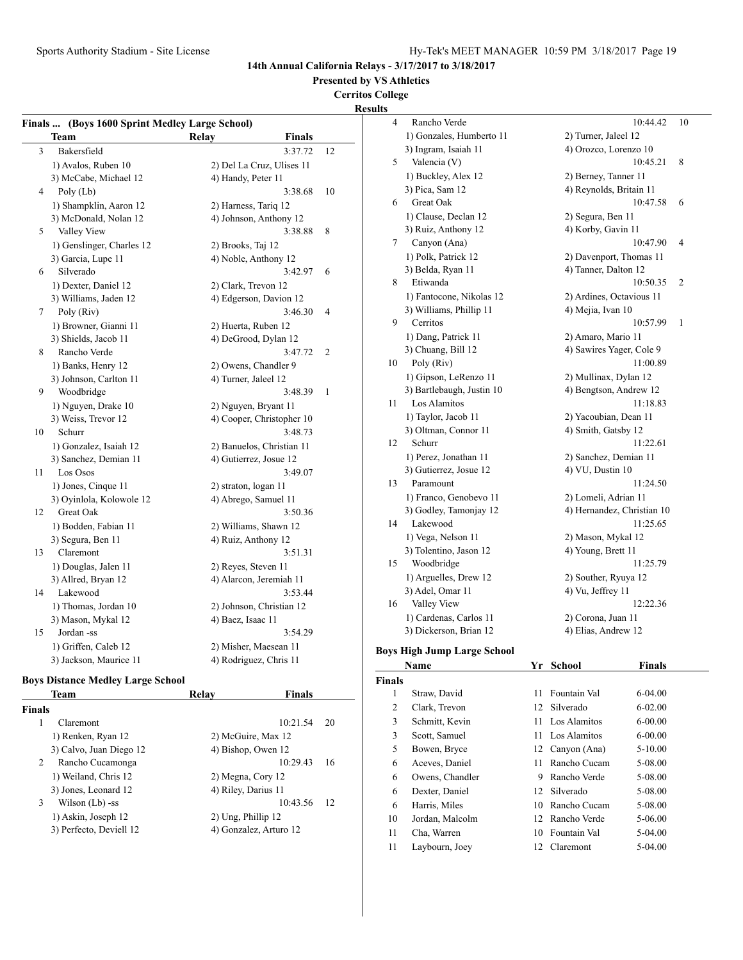**Presented by VS Athletics**

**Cerritos College**

**Results**

|    | Finals  (Boys 1600 Sprint Medley Large School) |                           |    |
|----|------------------------------------------------|---------------------------|----|
|    | Team                                           | Relay<br><b>Finals</b>    |    |
| 3  | Bakersfield                                    | 3:37.72                   | 12 |
|    | 1) Avalos, Ruben 10                            | 2) Del La Cruz, Ulises 11 |    |
|    | 3) McCabe, Michael 12                          | 4) Handy, Peter 11        |    |
| 4  | Poly (Lb)                                      | 3:38.68                   | 10 |
|    | 1) Shampklin, Aaron 12                         | 2) Harness, Tariq 12      |    |
|    | 3) McDonald, Nolan 12                          | 4) Johnson, Anthony 12    |    |
| 5  | Valley View                                    | 3:38.88                   | 8  |
|    | 1) Genslinger, Charles 12                      | 2) Brooks, Taj 12         |    |
|    | 3) Garcia, Lupe 11                             | 4) Noble, Anthony 12      |    |
| 6  | Silverado                                      | 3:42.97                   | 6  |
|    | 1) Dexter, Daniel 12                           | 2) Clark, Trevon 12       |    |
|    | 3) Williams, Jaden 12                          | 4) Edgerson, Davion 12    |    |
| 7  | Poly (Riv)                                     | 3:46.30                   | 4  |
|    | 1) Browner, Gianni 11                          | 2) Huerta, Ruben 12       |    |
|    | 3) Shields, Jacob 11                           | 4) DeGrood, Dylan 12      |    |
| 8  | Rancho Verde                                   | 3:47.72                   | 2  |
|    | 1) Banks, Henry 12                             | 2) Owens, Chandler 9      |    |
|    | 3) Johnson, Carlton 11                         | 4) Turner, Jaleel 12      |    |
| 9  | Woodbridge                                     | 3:48.39                   | 1  |
|    | 1) Nguyen, Drake 10                            | 2) Nguyen, Bryant 11      |    |
|    | 3) Weiss, Trevor 12                            | 4) Cooper, Christopher 10 |    |
| 10 | Schurr                                         | 3:48.73                   |    |
|    | 1) Gonzalez, Isaiah 12                         | 2) Banuelos, Christian 11 |    |
|    | 3) Sanchez, Demian 11                          | 4) Gutierrez, Josue 12    |    |
| 11 | Los Osos                                       | 3:49.07                   |    |
|    | 1) Jones, Cinque 11                            | 2) straton, logan 11      |    |
|    | 3) Oyinlola, Kolowole 12                       | 4) Abrego, Samuel 11      |    |
| 12 | Great Oak                                      | 3:50.36                   |    |
|    | 1) Bodden, Fabian 11                           | 2) Williams, Shawn 12     |    |
|    | 3) Segura, Ben 11                              | 4) Ruiz, Anthony 12       |    |
| 13 | Claremont                                      | 3:51.31                   |    |
|    | 1) Douglas, Jalen 11                           | 2) Reyes, Steven 11       |    |
|    | 3) Allred, Bryan 12                            | 4) Alarcon, Jeremiah 11   |    |
| 14 | Lakewood                                       | 3:53.44                   |    |
|    | 1) Thomas, Jordan 10                           | 2) Johnson, Christian 12  |    |
|    | 3) Mason, Mykal 12                             | 4) Baez, Isaac 11         |    |
| 15 | Jordan -ss                                     | 3:54.29                   |    |
|    | 1) Griffen, Caleb 12                           | 2) Misher, Maesean 11     |    |
|    | 3) Jackson, Maurice 11                         | 4) Rodriguez, Chris 11    |    |

# **Boys Distance Medley Large School**

| Team                    | Relav                  | <b>Finals</b>  |  |
|-------------------------|------------------------|----------------|--|
| <b>Finals</b>           |                        |                |  |
| Claremont<br>1          |                        | 10:21.54<br>20 |  |
| 1) Renken, Ryan 12      | 2) McGuire, Max 12     |                |  |
| 3) Calvo, Juan Diego 12 | 4) Bishop, Owen 12     |                |  |
| 2<br>Rancho Cucamonga   |                        | 10:29.43<br>16 |  |
| 1) Weiland, Chris 12    | 2) Megna, Cory 12      |                |  |
| 3) Jones, Leonard 12    | 4) Riley, Darius 11    |                |  |
| 3<br>Wilson (Lb) -ss    |                        | 10:43.56<br>12 |  |
| 1) Askin, Joseph 12     | 2) Ung, Phillip 12     |                |  |
| 3) Perfecto, Deviell 12 | 4) Gonzalez, Arturo 12 |                |  |
|                         |                        |                |  |

| 4  | Rancho Verde              | 10:44.42                   | 10 |
|----|---------------------------|----------------------------|----|
|    | 1) Gonzales, Humberto 11  | 2) Turner, Jaleel 12       |    |
|    | 3) Ingram, Isaiah 11      | 4) Orozco, Lorenzo 10      |    |
| 5  | Valencia (V)              | 10:45.21                   | 8  |
|    | 1) Buckley, Alex 12       | 2) Berney, Tanner 11       |    |
|    | 3) Pica, Sam 12           | 4) Reynolds, Britain 11    |    |
| 6  | Great Oak                 | 10:47.58                   | 6  |
|    | 1) Clause, Declan 12      | 2) Segura, Ben 11          |    |
|    | 3) Ruiz, Anthony 12       | 4) Korby, Gavin 11         |    |
| 7  | Canyon (Ana)              | 10:47.90                   | 4  |
|    | 1) Polk, Patrick 12       | 2) Davenport, Thomas 11    |    |
|    | 3) Belda, Ryan 11         | 4) Tanner, Dalton 12       |    |
| 8  | Etiwanda                  | 10:50.35                   | 2  |
|    | 1) Fantocone, Nikolas 12  | 2) Ardines, Octavious 11   |    |
|    | 3) Williams, Phillip 11   | 4) Mejia, Ivan 10          |    |
| 9  | Cerritos                  | 10:57.99                   | 1  |
|    | 1) Dang, Patrick 11       | 2) Amaro, Mario 11         |    |
|    | 3) Chuang, Bill 12        | 4) Sawires Yager, Cole 9   |    |
| 10 | Poly (Riv)                | 11:00.89                   |    |
|    | 1) Gipson, LeRenzo 11     | 2) Mullinax, Dylan 12      |    |
|    | 3) Bartlebaugh, Justin 10 | 4) Bengtson, Andrew 12     |    |
| 11 | Los Alamitos              | 11:18.83                   |    |
|    | 1) Taylor, Jacob 11       | 2) Yacoubian, Dean 11      |    |
|    | 3) Oltman, Connor 11      | 4) Smith, Gatsby 12        |    |
| 12 | Schurr                    | 11:22.61                   |    |
|    | 1) Perez, Jonathan 11     | 2) Sanchez, Demian 11      |    |
|    | 3) Gutierrez, Josue 12    | 4) VU, Dustin 10           |    |
| 13 | Paramount                 | 11:24.50                   |    |
|    | 1) Franco, Genobevo 11    | 2) Lomeli, Adrian 11       |    |
|    | 3) Godley, Tamonjay 12    | 4) Hernandez, Christian 10 |    |
| 14 | Lakewood                  | 11:25.65                   |    |
|    | 1) Vega, Nelson 11        | 2) Mason, Mykal 12         |    |
|    | 3) Tolentino, Jason 12    | 4) Young, Brett 11         |    |
| 15 | Woodbridge                | 11:25.79                   |    |
|    | 1) Arguelles, Drew 12     | 2) Souther, Ryuya 12       |    |
|    | 3) Adel, Omar 11          | 4) Vu, Jeffrey 11          |    |
| 16 | Valley View               | 12:22.36                   |    |
|    | 1) Cardenas, Carlos 11    | 2) Corona, Juan 11         |    |
|    | 3) Dickerson, Brian 12    | 4) Elias, Andrew 12        |    |

## **Boys High Jump Large School**

|               | Name            | Yr  | School          | Finals      |  |
|---------------|-----------------|-----|-----------------|-------------|--|
| <b>Finals</b> |                 |     |                 |             |  |
| 1             | Straw, David    | 11  | Fountain Val    | 6-04.00     |  |
| 2             | Clark, Trevon   | 12  | Silverado       | $6 - 02.00$ |  |
| 3             | Schmitt, Kevin  |     | 11 Los Alamitos | $6 - 00.00$ |  |
| 3             | Scott, Samuel   | 11. | Los Alamitos    | $6 - 00.00$ |  |
| 5             | Bowen, Bryce    |     | 12 Canyon (Ana) | $5 - 10.00$ |  |
| 6             | Aceves, Daniel  | 11  | Rancho Cucam    | 5-08.00     |  |
| 6             | Owens, Chandler | 9   | Rancho Verde    | 5-08.00     |  |
| 6             | Dexter, Daniel  | 12  | Silverado       | 5-08.00     |  |
| 6             | Harris, Miles   | 10  | Rancho Cucam    | 5-08.00     |  |
| 10            | Jordan, Malcolm |     | 12 Rancho Verde | 5-06.00     |  |
| 11            | Cha, Warren     | 10  | Fountain Val    | 5-04.00     |  |
| 11            | Laybourn, Joey  | 12  | Claremont       | $5-04.00$   |  |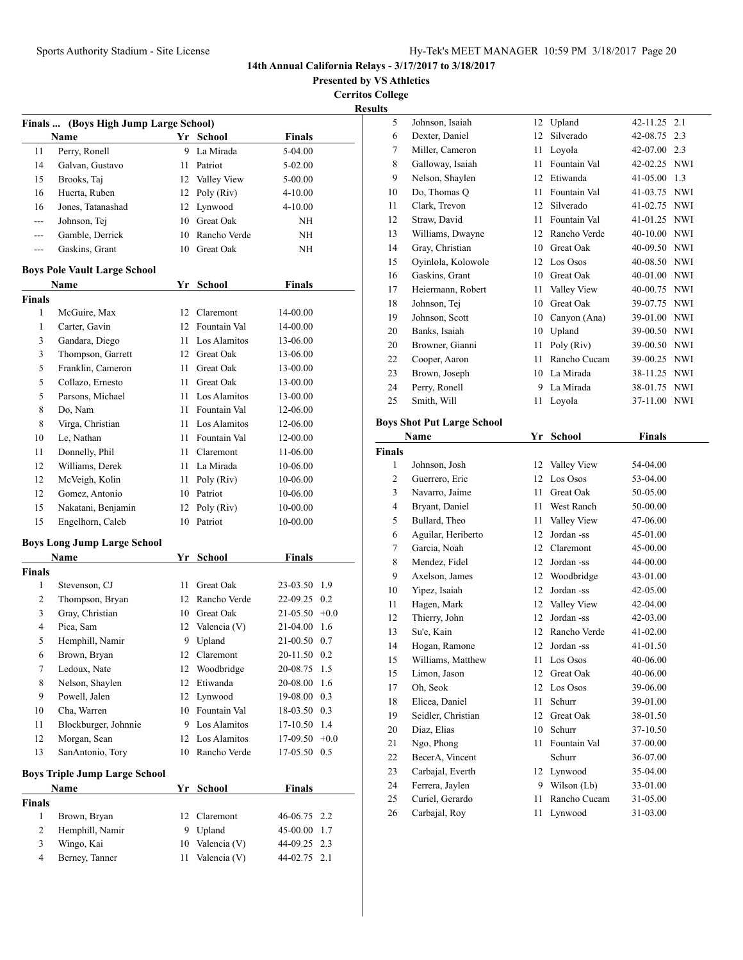**Presented by VS Athletics**

**Cerritos College**

|               | Finals  (Boys High Jump Large School) |      |                 |               |        |
|---------------|---------------------------------------|------|-----------------|---------------|--------|
|               | Name                                  |      | Yr School       | <b>Finals</b> |        |
| 11            | Perry, Ronell                         | 9    | La Mirada       | 5-04.00       |        |
| 14            | Galvan, Gustavo                       | 11   | Patriot         | 5-02.00       |        |
| 15            | Brooks, Taj                           |      | 12 Valley View  | 5-00.00       |        |
| 16            | Huerta, Ruben                         | 12   | Poly (Riv)      | 4-10.00       |        |
| 16            | Jones, Tatanashad                     | 12   | Lynwood         | 4-10.00       |        |
| $---$         | Johnson, Tej                          | 10   | Great Oak       | NΗ            |        |
| ---           | Gamble, Derrick                       | 10   | Rancho Verde    | NΗ            |        |
| $---$         | Gaskins, Grant                        |      | 10 Great Oak    | NΗ            |        |
|               | <b>Boys Pole Vault Large School</b>   |      |                 |               |        |
|               | Name                                  |      | Yr School       | <b>Finals</b> |        |
| <b>Finals</b> |                                       |      |                 |               |        |
| 1             | McGuire, Max                          |      | 12 Claremont    | 14-00.00      |        |
| 1             | Carter, Gavin                         |      | 12 Fountain Val | 14-00.00      |        |
| 3             | Gandara, Diego                        |      | 11 Los Alamitos | 13-06.00      |        |
| 3             | Thompson, Garrett                     |      | 12 Great Oak    | 13-06.00      |        |
| 5             | Franklin, Cameron                     |      | 11 Great Oak    | 13-00.00      |        |
| 5             | Collazo, Ernesto                      | 11   | Great Oak       | 13-00.00      |        |
| 5             | Parsons, Michael                      |      | 11 Los Alamitos | 13-00.00      |        |
| 8             | Do, Nam                               | 11 - | Fountain Val    | 12-06.00      |        |
| 8             | Virga, Christian                      | 11   | Los Alamitos    | 12-06.00      |        |
| 10            | Le, Nathan                            | 11 - | Fountain Val    | 12-00.00      |        |
| 11            | Donnelly, Phil                        |      | 11 Claremont    | 11-06.00      |        |
| 12            | Williams, Derek                       |      | 11 La Mirada    | 10-06.00      |        |
| 12            | McVeigh, Kolin                        |      | 11 Poly (Riv)   | 10-06.00      |        |
| 12            | Gomez, Antonio                        |      | 10 Patriot      | 10-06.00      |        |
| 15            | Nakatani, Benjamin                    | 12   | Poly (Riv)      | 10-00.00      |        |
| 15            | Engelhorn, Caleb                      | 10   | Patriot         | 10-00.00      |        |
|               | <b>Boys Long Jump Large School</b>    |      |                 |               |        |
|               | Name                                  |      | Yr School       | <b>Finals</b> |        |
| <b>Finals</b> |                                       |      |                 |               |        |
| 1             | Stevenson, CJ                         | 11   | Great Oak       | 23-03.50 1.9  |        |
| 2             | Thompson, Bryan                       |      | 12 Rancho Verde | 22-09.25      | 0.2    |
| 3             | Gray, Christian                       |      | 10 Great Oak    | 21-05.50      | $+0.0$ |
| 4             | Pica, Sam                             |      | 12 Valencia (V) | 21-04.00      | 1.6    |
| 5             | Hemphill, Namir                       |      | 9 Upland        | 21-00.50 0.7  |        |
| 6             | Brown, Bryan                          |      | 12 Claremont    | 20-11.50 0.2  |        |
| 7             | Ledoux, Nate                          |      | 12 Woodbridge   | 20-08.75      | 1.5    |
| 8             | Nelson, Shaylen                       | 12   | Etiwanda        | 20-08.00      | 1.6    |
| 9             | Powell, Jalen                         |      | 12 Lynwood      | 19-08.00      | 0.3    |
| 10            | Cha, Warren                           |      | 10 Fountain Val | 18-03.50      | 0.3    |
| 11            | Blockburger, Johnnie                  |      | 9 Los Alamitos  | 17-10.50      | 1.4    |
| 12            | Morgan, Sean                          | 12   | Los Alamitos    | 17-09.50      | $+0.0$ |
| 13            | SanAntonio, Tory                      | 10   | Rancho Verde    | 17-05.50 0.5  |        |
|               | <b>Boys Triple Jump Large School</b>  |      |                 |               |        |
|               | Name                                  |      | Yr School       | <b>Finals</b> |        |
| <b>Finals</b> |                                       |      |                 |               |        |
| 1             | Brown, Bryan                          | 12   | Claremont       | 46-06.75 2.2  |        |
| 2             | Hemphill, Namir                       | 9    | Upland          | 45-00.00      | 1.7    |
| 3             | Wingo, Kai                            | 10   | Valencia (V)    | 44-09.25      | 2.3    |
| 4             | Berney, Tanner                        | 11   | Valencia (V)    | 44-02.75 2.1  |        |

| սււծ          |                                   |      |                 |               |            |
|---------------|-----------------------------------|------|-----------------|---------------|------------|
| 5             | Johnson, Isaiah                   | 12   | Upland          | 42-11.25      | 2.1        |
| 6             | Dexter, Daniel                    | 12   | Silverado       | 42-08.75      | 2.3        |
| 7             | Miller, Cameron                   | 11   | Loyola          | 42-07.00      | 2.3        |
| 8             | Galloway, Isaiah                  |      | 11 Fountain Val | 42-02.25 NWI  |            |
| 9             | Nelson, Shaylen                   |      | 12 Etiwanda     | 41-05.00      | 1.3        |
| 10            | Do, Thomas O                      |      | 11 Fountain Val | 41-03.75      | <b>NWI</b> |
| 11            | Clark, Trevon                     |      | 12 Silverado    | 41-02.75 NWI  |            |
| 12            | Straw, David                      |      | 11 Fountain Val | 41-01.25 NWI  |            |
| 13            | Williams, Dwayne                  |      | 12 Rancho Verde | 40-10.00 NWI  |            |
| 14            | Gray, Christian                   |      | 10 Great Oak    | 40-09.50 NWI  |            |
| 15            | Oyinlola, Kolowole                |      | 12 Los Osos     | 40-08.50 NWI  |            |
| 16            | Gaskins, Grant                    |      | 10 Great Oak    | 40-01.00 NWI  |            |
| 17            | Heiermann, Robert                 | 11   | Valley View     | 40-00.75 NWI  |            |
| 18            | Johnson, Tej                      |      | 10 Great Oak    | 39-07.75      | NWI        |
| 19            | Johnson, Scott                    | 10   | Canyon (Ana)    | 39-01.00      | NWI        |
| 20            | Banks, Isaiah                     |      | 10 Upland       | 39-00.50 NWI  |            |
| 20            | Browner, Gianni                   | 11   | Poly (Riv)      | 39-00.50 NWI  |            |
| 22            | Cooper, Aaron                     | 11 - | Rancho Cucam    | 39-00.25 NWI  |            |
| 23            | Brown, Joseph                     |      | 10 La Mirada    | 38-11.25 NWI  |            |
| 24            | Perry, Ronell                     |      | 9 La Mirada     | 38-01.75      | <b>NWI</b> |
| 25            | Smith, Will                       | 11   | Loyola          | 37-11.00 NWI  |            |
|               | <b>Boys Shot Put Large School</b> |      |                 |               |            |
|               | Name                              | Yr   | <b>School</b>   | <b>Finals</b> |            |
| <b>Finals</b> |                                   |      |                 |               |            |
| 1             | Johnson, Josh                     |      | 12 Valley View  | 54-04.00      |            |
| 2             | Guerrero, Eric                    |      | 12 Los Osos     | 53-04.00      |            |
| 3             | Navarro, Jaime                    |      | 11 Great Oak    | 50-05.00      |            |
| 4             | Bryant, Daniel                    |      | 11 West Ranch   | 50-00.00      |            |
| 5             | Bullard, Theo                     | 11   | Valley View     | 47-06.00      |            |
| 6             | Aguilar, Heriberto                |      | 12 Jordan -ss   | 45-01.00      |            |
| 7             | Garcia, Noah                      |      | 12 Claremont    | 45-00.00      |            |
| 8             | Mendez, Fidel                     |      | 12 Jordan -ss   | 44-00.00      |            |
| 9             | Axelson, James                    |      | 12 Woodbridge   | 43-01.00      |            |
| 10            | Yipez, Isaiah                     |      | 12 Jordan -ss   | 42-05.00      |            |
| 11            | Hagen, Mark                       |      | 12 Valley View  | 42-04.00      |            |
| 12            | Thierry, John                     |      | 12 Jordan -ss   | 42-03.00      |            |
| 13            | Su'e, Kain                        |      | 12 Rancho Verde | 41-02.00      |            |
| 14            | Hogan, Ramone                     | 12   | Jordan -ss      | 41-01.50      |            |
| 15            | Williams, Matthew                 | 11   | Los Osos        | 40-06.00      |            |
| 15            | Limon, Jason                      | 12   | Great Oak       | 40-06.00      |            |
| 17            | Oh, Seok                          | 12   | Los Osos        | 39-06.00      |            |
| 18            | Elicea, Daniel                    | 11   | Schurr          | 39-01.00      |            |
| 19            | Seidler, Christian                | 12   | Great Oak       | 38-01.50      |            |
| 20            | Diaz, Elias                       | 10   | Schurr          | 37-10.50      |            |
|               |                                   | 11   | Fountain Val    | 37-00.00      |            |
| 21            | Ngo, Phong                        |      |                 |               |            |
| 22            | BecerA, Vincent                   |      | Schurr          | 36-07.00      |            |
| 23            | Carbajal, Everth                  |      | 12 Lynwood      | 35-04.00      |            |
| 24            | Ferrera, Jaylen                   |      | 9 Wilson (Lb)   | 33-01.00      |            |
| 25            | Curiel, Gerardo                   | 11   | Rancho Cucam    | 31-05.00      |            |
| 26            | Carbajal, Roy                     | 11   | Lynwood         | 31-03.00      |            |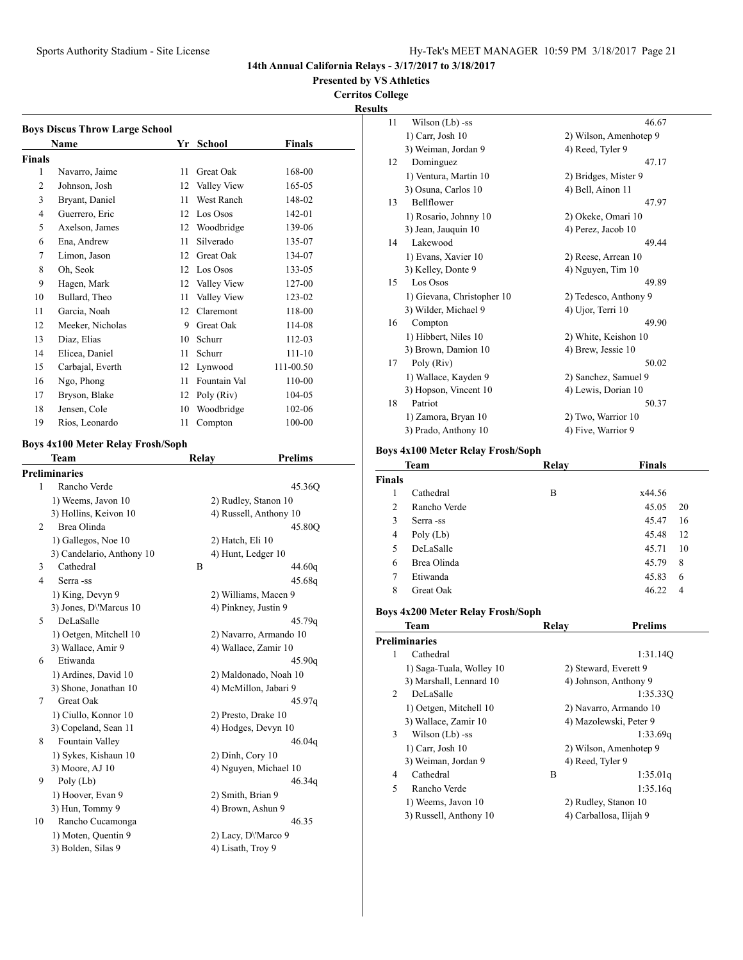**Presented by VS Athletics**

**Cerritos College**

**Results**

| <b>Boys Discus Throw Large School</b> |                  |    |                  |               |  |
|---------------------------------------|------------------|----|------------------|---------------|--|
|                                       | Name             | Yr | School           | <b>Finals</b> |  |
| Finals                                |                  |    |                  |               |  |
| 1                                     | Navarro, Jaime   | 11 | <b>Great Oak</b> | 168-00        |  |
| 2                                     | Johnson, Josh    | 12 | Valley View      | 165-05        |  |
| 3                                     | Bryant, Daniel   | 11 | West Ranch       | 148-02        |  |
| $\overline{4}$                        | Guerrero, Eric   | 12 | Los Osos         | 142-01        |  |
| 5                                     | Axelson, James   | 12 | Woodbridge       | 139-06        |  |
| 6                                     | Ena, Andrew      | 11 | Silverado        | 135-07        |  |
| 7                                     | Limon, Jason     | 12 | Great Oak        | 134-07        |  |
| 8                                     | Oh, Seok         | 12 | Los Osos         | 133-05        |  |
| 9                                     | Hagen, Mark      | 12 | Valley View      | 127-00        |  |
| 10                                    | Bullard, Theo    | 11 | Valley View      | 123-02        |  |
| 11                                    | Garcia, Noah     | 12 | Claremont        | 118-00        |  |
| 12                                    | Meeker, Nicholas | 9  | Great Oak        | 114-08        |  |
| 13                                    | Diaz, Elias      | 10 | Schurr           | 112-03        |  |
| 14                                    | Elicea, Daniel   | 11 | Schurr           | $111 - 10$    |  |
| 15                                    | Carbajal, Everth | 12 | Lynwood          | 111-00.50     |  |
| 16                                    | Ngo, Phong       | 11 | Fountain Val     | 110-00        |  |
| 17                                    | Bryson, Blake    | 12 | Poly (Riv)       | 104-05        |  |
| 18                                    | Jensen, Cole     | 10 | Woodbridge       | 102-06        |  |
| 19                                    | Rios, Leonardo   | 11 | Compton          | 100-00        |  |

# **Boys 4x100 Meter Relay Frosh/Soph**

|                | Team                      | <b>Relay</b>     | <b>Prelims</b>         |
|----------------|---------------------------|------------------|------------------------|
|                | <b>Preliminaries</b>      |                  |                        |
| 1              | Rancho Verde              |                  | 45.36O                 |
|                | 1) Weems, Javon 10        |                  | 2) Rudley, Stanon 10   |
|                | 3) Hollins, Keivon 10     |                  | 4) Russell, Anthony 10 |
| $\overline{2}$ | Brea Olinda               |                  | 45.80O                 |
|                | 1) Gallegos, Noe 10       | 2) Hatch, Eli 10 |                        |
|                | 3) Candelario, Anthony 10 |                  | 4) Hunt, Ledger 10     |
| 3              | Cathedral                 | B                | 44.60q                 |
| $\overline{4}$ | Serra -ss                 |                  | 45.68g                 |
|                | 1) King, Devyn 9          |                  | 2) Williams, Macen 9   |
|                | 3) Jones, D\'Marcus 10    |                  | 4) Pinkney, Justin 9   |
| 5              | DeLaSalle                 |                  | 45.79g                 |
|                | 1) Oetgen, Mitchell 10    |                  | 2) Navarro, Armando 10 |
|                | 3) Wallace, Amir 9        |                  | 4) Wallace, Zamir 10   |
| 6              | Etiwanda                  |                  | 45.90q                 |
|                | 1) Ardines, David 10      |                  | 2) Maldonado, Noah 10  |
|                | 3) Shone, Jonathan 10     |                  | 4) McMillon, Jabari 9  |
| 7              | Great Oak                 |                  | 45.97q                 |
|                | 1) Ciullo, Konnor 10      |                  | 2) Presto, Drake 10    |
|                | 3) Copeland, Sean 11      |                  | 4) Hodges, Devyn 10    |
| 8              | Fountain Valley           |                  | 46.04q                 |
|                | 1) Sykes, Kishaun 10      |                  | 2) Dinh, Cory 10       |
|                | 3) Moore, AJ 10           |                  | 4) Nguyen, Michael 10  |
| 9              | Poly (Lb)                 |                  | 46.34q                 |
|                | 1) Hoover, Evan 9         |                  | 2) Smith, Brian 9      |
|                | 3) Hun, Tommy 9           |                  | 4) Brown, Ashun 9      |
| 10             | Rancho Cucamonga          |                  | 46.35                  |
|                | 1) Moten, Quentin 9       |                  | 2) Lacy, D\'Marco 9    |
|                | 3) Bolden, Silas 9        |                  | 4) Lisath, Troy 9      |
|                |                           |                  |                        |

| 11 | Wilson (Lb) -ss            | 46.67                  |
|----|----------------------------|------------------------|
|    | $1)$ Carr, Josh $10$       | 2) Wilson, Amenhotep 9 |
|    | 3) Weiman, Jordan 9        | 4) Reed, Tyler 9       |
| 12 | Dominguez                  | 47.17                  |
|    | 1) Ventura, Martin 10      | 2) Bridges, Mister 9   |
|    | 3) Osuna, Carlos 10        | 4) Bell, Ainon 11      |
| 13 | Bellflower                 | 47.97                  |
|    | 1) Rosario, Johnny 10      | 2) Okeke, Omari 10     |
|    | 3) Jean, Jauquin 10        | 4) Perez, Jacob 10     |
| 14 | Lakewood                   | 49.44                  |
|    | 1) Evans, Xavier 10        | 2) Reese, Arrean 10    |
|    | 3) Kelley, Donte 9         | 4) Nguyen, Tim 10      |
| 15 | Los Osos                   | 49.89                  |
|    | 1) Gievana, Christopher 10 | 2) Tedesco, Anthony 9  |
|    | 3) Wilder, Michael 9       | 4) Ujor, Terri 10      |
| 16 | Compton                    | 49.90                  |
|    | 1) Hibbert, Niles 10       | 2) White, Keishon 10   |
|    | 3) Brown, Damion 10        | 4) Brew, Jessie 10     |
| 17 | Poly (Riv)                 | 50.02                  |
|    | 1) Wallace, Kayden 9       | 2) Sanchez, Samuel 9   |
|    | 3) Hopson, Vincent 10      | 4) Lewis, Dorian 10    |
| 18 | Patriot                    | 50.37                  |
|    | 1) Zamora, Bryan 10        | 2) Two, Warrior 10     |
|    | 3) Prado, Anthony 10       | 4) Five, Warrior 9     |

## **Boys 4x100 Meter Relay Frosh/Soph**

| <b>Team</b>    |              | Relay | <b>Finals</b> |                |
|----------------|--------------|-------|---------------|----------------|
| <b>Finals</b>  |              |       |               |                |
|                | Cathedral    | B     | x44.56        |                |
| $\mathfrak{D}$ | Rancho Verde |       | 45.05         | 20             |
| 3              | Serra -ss    |       | 45.47         | 16             |
| 4              | Poly $(Lb)$  |       | 45.48         | 12             |
| 5              | DeLaSalle    |       | 45.71         | 10             |
| 6              | Brea Olinda  |       | 45.79         | 8              |
| 7              | Etiwanda     |       | 45.83         | 6              |
| 8              | Great Oak    |       | 46.22         | $\overline{4}$ |

# **Boys 4x200 Meter Relay Frosh/Soph**

|                | <b>Team</b>              | Relay | <b>Prelims</b>          |
|----------------|--------------------------|-------|-------------------------|
|                | <b>Preliminaries</b>     |       |                         |
| 1              | Cathedral                |       | 1:31.14Q                |
|                | 1) Saga-Tuala, Wolley 10 |       | 2) Steward, Everett 9   |
|                | 3) Marshall, Lennard 10  |       | 4) Johnson, Anthony 9   |
| $\mathfrak{D}$ | DeLaSalle                |       | 1:35.33Q                |
|                | 1) Oetgen, Mitchell 10   |       | 2) Navarro, Armando 10  |
|                | 3) Wallace, Zamir 10     |       | 4) Mazolewski, Peter 9  |
| 3              | Wilson (Lb) -ss          |       | 1:33.69q                |
|                | $1)$ Carr, Josh $10$     |       | 2) Wilson, Amenhotep 9  |
|                | 3) Weiman, Jordan 9      |       | 4) Reed, Tyler 9        |
| 4              | Cathedral                | B     | 1:35.01q                |
| 5              | Rancho Verde             |       | 1:35.16q                |
|                | 1) Weems, Javon 10       |       | 2) Rudley, Stanon 10    |
|                | 3) Russell, Anthony 10   |       | 4) Carballosa, Ilijah 9 |
|                |                          |       |                         |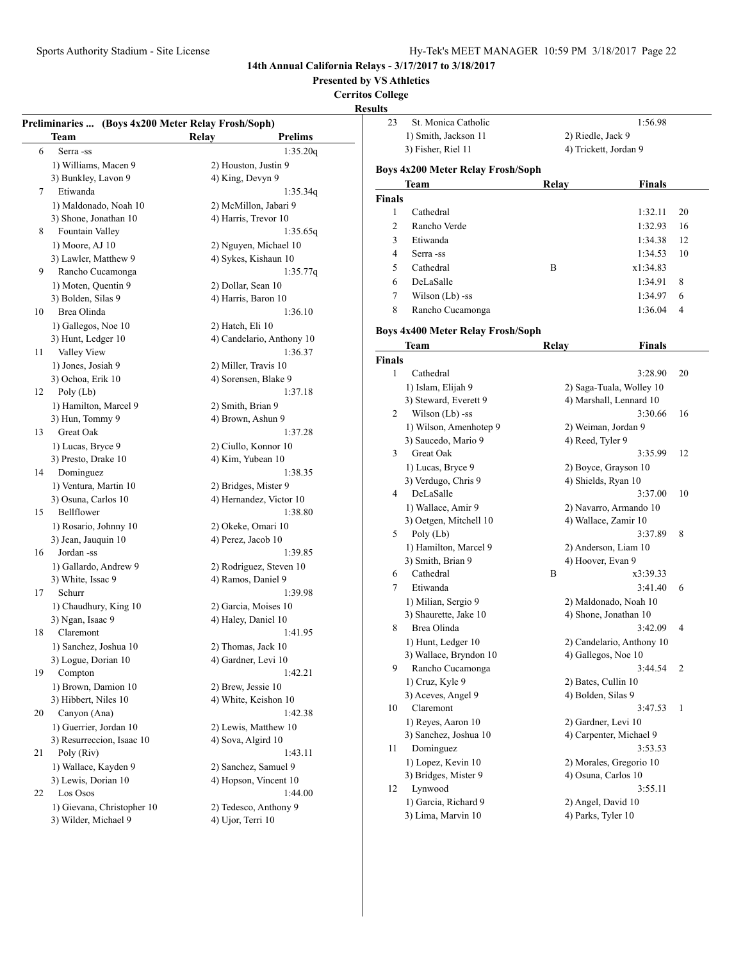**Presented by VS Athletics**

**Cerritos College**

|    | Preliminaries  (Boys 4x200 Meter Relay Frosh/Soph) |                           |
|----|----------------------------------------------------|---------------------------|
|    | Team                                               | <b>Relay</b><br>Prelims   |
| 6  | Serra-ss                                           | 1:35.20q                  |
|    | 1) Williams, Macen 9                               | 2) Houston, Justin 9      |
|    | 3) Bunkley, Lavon 9                                | 4) King, Devyn 9          |
| 7  | Etiwanda                                           | 1:35.34q                  |
|    | 1) Maldonado, Noah 10                              | 2) McMillon, Jabari 9     |
|    | 3) Shone, Jonathan 10                              | 4) Harris, Trevor 10      |
| 8  | Fountain Valley                                    | 1:35.65q                  |
|    | 1) Moore, AJ 10                                    | 2) Nguyen, Michael 10     |
|    | 3) Lawler, Matthew 9                               | 4) Sykes, Kishaun 10      |
| 9  | Rancho Cucamonga                                   | 1:35.77q                  |
|    | 1) Moten, Quentin 9                                | 2) Dollar, Sean 10        |
|    | 3) Bolden, Silas 9                                 | 4) Harris, Baron 10       |
| 10 | Brea Olinda                                        | 1:36.10                   |
|    | 1) Gallegos, Noe 10                                | 2) Hatch, Eli 10          |
|    | 3) Hunt, Ledger 10                                 | 4) Candelario, Anthony 10 |
| 11 | Valley View                                        | 1:36.37                   |
|    | 1) Jones, Josiah 9                                 | 2) Miller, Travis 10      |
|    | 3) Ochoa, Erik 10                                  | 4) Sorensen, Blake 9      |
| 12 | Poly (Lb)                                          | 1:37.18                   |
|    | 1) Hamilton, Marcel 9                              | 2) Smith, Brian 9         |
|    | 3) Hun, Tommy 9                                    | 4) Brown, Ashun 9         |
| 13 | Great Oak                                          | 1:37.28                   |
|    | 1) Lucas, Bryce 9                                  | 2) Ciullo, Konnor 10      |
|    | 3) Presto, Drake 10                                | 4) Kim, Yubean 10         |
| 14 | Dominguez                                          | 1:38.35                   |
|    | 1) Ventura, Martin 10                              | 2) Bridges, Mister 9      |
|    | 3) Osuna, Carlos 10                                | 4) Hernandez, Victor 10   |
| 15 | Bellflower                                         | 1:38.80                   |
|    | 1) Rosario, Johnny 10                              | 2) Okeke, Omari 10        |
|    | 3) Jean, Jauquin 10                                | 4) Perez, Jacob 10        |
| 16 | Jordan -ss                                         | 1:39.85                   |
|    | 1) Gallardo, Andrew 9                              | 2) Rodriguez, Steven 10   |
|    | 3) White, Issac 9                                  | 4) Ramos, Daniel 9        |
| 17 | Schurr                                             | 1:39.98                   |
|    | 1) Chaudhury, King 10                              | 2) Garcia, Moises 10      |
|    | 3) Ngan, Isaac 9                                   | 4) Haley, Daniel 10       |
| 18 | Claremont                                          | 1:41.95                   |
|    | 1) Sanchez, Joshua 10                              | 2) Thomas, Jack 10        |
|    | 3) Logue, Dorian 10                                | 4) Gardner, Levi 10       |
| 19 | Compton                                            | 1:42.21                   |
|    | 1) Brown, Damion 10                                | 2) Brew, Jessie 10        |
|    | 3) Hibbert, Niles 10                               | 4) White, Keishon 10      |
| 20 | Canyon (Ana)                                       | 1:42.38                   |
|    | 1) Guerrier, Jordan 10                             | 2) Lewis, Matthew 10      |
|    | 3) Resurreccion, Isaac 10                          | 4) Sova, Algird 10        |
| 21 | Poly (Riv)                                         | 1:43.11                   |
|    | 1) Wallace, Kayden 9                               | 2) Sanchez, Samuel 9      |
|    | 3) Lewis, Dorian 10                                | 4) Hopson, Vincent 10     |
| 22 | Los Osos                                           | 1:44.00                   |
|    | 1) Gievana, Christopher 10                         | 2) Tedesco, Anthony 9     |
|    | 3) Wilder, Michael 9                               | 4) Ujor, Terri 10         |
|    |                                                    |                           |

| ults               |                                          |                  |                           |    |
|--------------------|------------------------------------------|------------------|---------------------------|----|
| 23                 | St. Monica Catholic                      |                  | 1:56.98                   |    |
|                    | 1) Smith, Jackson 11                     |                  | 2) Riedle, Jack 9         |    |
|                    | 3) Fisher, Riel 11                       |                  | 4) Trickett, Jordan 9     |    |
|                    |                                          |                  |                           |    |
|                    | <b>Boys 4x200 Meter Relay Frosh/Soph</b> |                  |                           |    |
|                    | Team                                     | Relay            | Finals                    |    |
| <b>Finals</b>      |                                          |                  |                           |    |
| 1                  | Cathedral                                |                  | 1:32.11                   | 20 |
| 2                  | Rancho Verde                             |                  | 1:32.93                   | 16 |
| 3                  | Etiwanda                                 |                  | 1:34.38                   | 12 |
| 4                  | Serra -ss                                |                  | 1:34.53                   | 10 |
| 5                  | Cathedral                                | B                | x1:34.83                  |    |
| 6                  | DeLaSalle                                |                  | 1:34.91                   | 8  |
| 7                  | Wilson (Lb) -ss                          |                  | 1:34.97                   | 6  |
| 8                  | Rancho Cucamonga                         |                  | 1:36.04                   | 4  |
|                    | <b>Boys 4x400 Meter Relay Frosh/Soph</b> |                  |                           |    |
|                    | Team                                     | Relay            | Finals                    |    |
|                    |                                          |                  |                           |    |
| <b>Finals</b><br>1 | Cathedral                                |                  | 3:28.90                   | 20 |
|                    | 1) Islam, Elijah 9                       |                  | 2) Saga-Tuala, Wolley 10  |    |
|                    | 3) Steward, Everett 9                    |                  | 4) Marshall, Lennard 10   |    |
| 2                  | Wilson (Lb) -ss                          |                  | 3:30.66                   | 16 |
|                    | 1) Wilson, Amenhotep 9                   |                  | 2) Weiman, Jordan 9       |    |
|                    | 3) Saucedo, Mario 9                      | 4) Reed, Tyler 9 |                           |    |
| 3                  | <b>Great Oak</b>                         |                  | 3:35.99                   | 12 |
|                    | 1) Lucas, Bryce 9                        |                  | 2) Boyce, Grayson 10      |    |
|                    | 3) Verdugo, Chris 9                      |                  | 4) Shields, Ryan 10       |    |
| 4                  | DeLaSalle                                |                  | 3:37.00                   | 10 |
|                    | 1) Wallace, Amir 9                       |                  | 2) Navarro, Armando 10    |    |
|                    | 3) Oetgen, Mitchell 10                   |                  | 4) Wallace, Zamir 10      |    |
| 5                  | Poly (Lb)                                |                  | 3:37.89                   | 8  |
|                    | 1) Hamilton, Marcel 9                    |                  | 2) Anderson, Liam 10      |    |
|                    | 3) Smith, Brian 9                        |                  | 4) Hoover, Evan 9         |    |
| 6                  | Cathedral                                | B                | x3:39.33                  |    |
| 7                  | Etiwanda                                 |                  | 3:41.40                   | 6  |
|                    | 1) Milian, Sergio 9                      |                  | 2) Maldonado, Noah 10     |    |
|                    | 3) Shaurette, Jake 10                    |                  | 4) Shone, Jonathan 10     |    |
| 8                  | Brea Olinda                              |                  | 3:42.09                   | 4  |
|                    | 1) Hunt, Ledger 10                       |                  | 2) Candelario, Anthony 10 |    |
|                    | 3) Wallace, Bryndon 10                   |                  | 4) Gallegos, Noe 10       |    |
| 9                  | Rancho Cucamonga                         |                  | 3:44.54                   | 2  |
|                    | 1) Cruz, Kyle 9                          |                  | 2) Bates, Cullin 10       |    |
|                    | 3) Aceves, Angel 9                       |                  | 4) Bolden, Silas 9        |    |
| 10                 | Claremont                                |                  | 3:47.53                   | 1  |
|                    | 1) Reyes, Aaron 10                       |                  | 2) Gardner, Levi 10       |    |
|                    | 3) Sanchez, Joshua 10                    |                  | 4) Carpenter, Michael 9   |    |
| 11                 | Dominguez                                |                  | 3:53.53                   |    |
|                    | 1) Lopez, Kevin 10                       |                  | 2) Morales, Gregorio 10   |    |
|                    | 3) Bridges, Mister 9                     |                  | 4) Osuna, Carlos 10       |    |
| 12                 | Lynwood                                  |                  | 3:55.11                   |    |
|                    | 1) Garcia, Richard 9                     |                  | 2) Angel, David 10        |    |
|                    | 3) Lima, Marvin 10                       |                  | 4) Parks, Tyler 10        |    |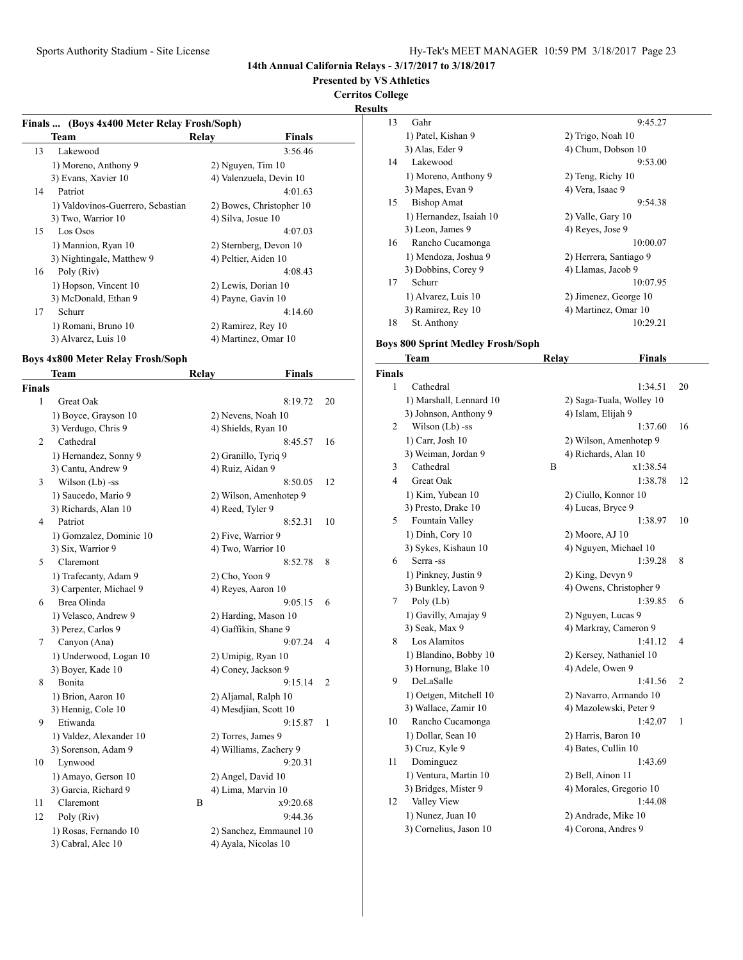**Presented by VS Athletics**

**Cerritos College**

**Results**

## **Finals ... (Boys 4x400 Meter Relay Frosh/Soph) Team Relay Finals** 13 Lakewood 3:56.46 1) Moreno, Anthony 9 2) Nguyen, Tim 10 3) Evans, Xavier 10 4) Valenzuela, Devin 10 14 Patriot 4:01.63 1) Valdovinos-Guerrero, Sebastian 10 2) Bowes, Christopher 10 3) Two, Warrior 10 4) Silva, Josue 10 15 Los Osos 4:07.03 1) Mannion, Ryan 10 2) Sternberg, Devon 10 3) Nightingale, Matthew 9 4) Peltier, Aiden 10 16 Poly (Riv) 4:08.43 1) Hopson, Vincent 10 2) Lewis, Dorian 10 3) McDonald, Ethan 9 4) Payne, Gavin 10 17 Schurr 4:14.60 1) Romani, Bruno 10 2) Ramirez, Rey 10 3) Alvarez, Luis 10 4) Martinez, Omar 10

**Team Relay Finals**

## **Boys 4x800 Meter Relay Frosh/Soph**

| <b>Finals</b> |                         |   |                         |                |
|---------------|-------------------------|---|-------------------------|----------------|
| 1             | <b>Great Oak</b>        |   | 8:19.72                 | 20             |
|               | 1) Boyce, Grayson 10    |   | 2) Nevens, Noah 10      |                |
|               | 3) Verdugo, Chris 9     |   | 4) Shields, Ryan 10     |                |
| 2             | Cathedral               |   | 8:45.57                 | 16             |
|               | 1) Hernandez, Sonny 9   |   | 2) Granillo, Tyriq 9    |                |
|               | 3) Cantu, Andrew 9      |   | 4) Ruiz, Aidan 9        |                |
| 3             | Wilson (Lb) -ss         |   | 8:50.05                 | 12             |
|               | 1) Saucedo, Mario 9     |   | 2) Wilson, Amenhotep 9  |                |
|               | 3) Richards, Alan 10    |   | 4) Reed, Tyler 9        |                |
| 4             | Patriot                 |   | 8:52.31                 | 10             |
|               | 1) Gomzalez, Dominic 10 |   | 2) Five, Warrior 9      |                |
|               | 3) Six, Warrior 9       |   | 4) Two, Warrior 10      |                |
| 5             | Claremont               |   | 8:52.78                 | 8              |
|               | 1) Trafecanty, Adam 9   |   | 2) Cho, Yoon 9          |                |
|               | 3) Carpenter, Michael 9 |   | 4) Reyes, Aaron 10      |                |
| 6             | Brea Olinda             |   | 9:05.15                 | 6              |
|               | 1) Velasco, Andrew 9    |   | 2) Harding, Mason 10    |                |
|               | 3) Perez, Carlos 9      |   | 4) Gaffikin, Shane 9    |                |
| 7             | Canyon (Ana)            |   | 9:07.24                 | 4              |
|               | 1) Underwood, Logan 10  |   | 2) Umipig, Ryan 10      |                |
|               | 3) Boyer, Kade 10       |   | 4) Coney, Jackson 9     |                |
| 8             | Bonita                  |   | 9:15.14                 | $\overline{c}$ |
|               | 1) Brion, Aaron 10      |   | 2) Aljamal, Ralph 10    |                |
|               | 3) Hennig, Cole 10      |   | 4) Mesdiian, Scott 10   |                |
| 9             | Etiwanda                |   | 9:15.87                 | 1              |
|               | 1) Valdez, Alexander 10 |   | 2) Torres, James 9      |                |
|               | 3) Sorenson, Adam 9     |   | 4) Williams, Zachery 9  |                |
| 10            | Lynwood                 |   | 9:20.31                 |                |
|               | 1) Amayo, Gerson 10     |   | 2) Angel, David 10      |                |
|               | 3) Garcia, Richard 9    |   | 4) Lima, Marvin 10      |                |
| 11            | Claremont               | B | x9:20.68                |                |
| 12            | Poly (Riv)              |   | 9:44.36                 |                |
|               | 1) Rosas, Fernando 10   |   | 2) Sanchez, Emmaunel 10 |                |
|               | 3) Cabral, Alec 10      |   | 4) Ayala, Nicolas 10    |                |

| э  |                         |                        |
|----|-------------------------|------------------------|
| 13 | Gahr                    | 9:45.27                |
|    | 1) Patel, Kishan 9      | 2) Trigo, Noah 10      |
|    | 3) Alas, Eder 9         | 4) Chum, Dobson 10     |
| 14 | Lakewood                | 9:53.00                |
|    | 1) Moreno, Anthony 9    | $2)$ Teng, Richy 10    |
|    | 3) Mapes, Evan 9        | 4) Vera, Isaac 9       |
| 15 | <b>Bishop Amat</b>      | 9:54.38                |
|    | 1) Hernandez, Isaiah 10 | 2) Valle, Gary 10      |
|    | 3) Leon, James 9        | 4) Reyes, Jose 9       |
| 16 | Rancho Cucamonga        | 10:00.07               |
|    | 1) Mendoza, Joshua 9    | 2) Herrera, Santiago 9 |
|    | 3) Dobbins, Corey 9     | 4) Llamas, Jacob 9     |
| 17 | Schurr                  | 10:07.95               |
|    | 1) Alvarez, Luis 10     | 2) Jimenez, George 10  |
|    | 3) Ramirez, Rey 10      | 4) Martinez, Omar 10   |
| 18 | St. Anthony             | 10:29.21               |

#### **Boys 800 Sprint Medley Frosh/Soph**

|               | Team                    | Relay | <b>Finals</b>            |    |
|---------------|-------------------------|-------|--------------------------|----|
| <b>Finals</b> |                         |       |                          |    |
| 1             | Cathedral               |       | 1:34.51                  | 20 |
|               | 1) Marshall, Lennard 10 |       | 2) Saga-Tuala, Wolley 10 |    |
|               | 3) Johnson, Anthony 9   |       | 4) Islam, Elijah 9       |    |
| 2             | Wilson (Lb) -ss         |       | 1:37.60                  | 16 |
|               | 1) Carr, Josh 10        |       | 2) Wilson, Amenhotep 9   |    |
|               | 3) Weiman, Jordan 9     |       | 4) Richards, Alan 10     |    |
| 3             | Cathedral               | B     | x1:38.54                 |    |
| 4             | <b>Great Oak</b>        |       | 1:38.78                  | 12 |
|               | 1) Kim, Yubean 10       |       | 2) Ciullo, Konnor 10     |    |
|               | 3) Presto, Drake 10     |       | 4) Lucas, Bryce 9        |    |
| 5             | Fountain Valley         |       | 1:38.97                  | 10 |
|               | 1) Dinh, Cory 10        |       | 2) Moore, AJ 10          |    |
|               | 3) Sykes, Kishaun 10    |       | 4) Nguyen, Michael 10    |    |
| 6             | Serra -ss               |       | 1:39.28<br>8             |    |
|               | 1) Pinkney, Justin 9    |       | 2) King, Devyn 9         |    |
|               | 3) Bunkley, Lavon 9     |       | 4) Owens, Christopher 9  |    |
| 7             | Poly (Lb)               |       | 1:39.85<br>6             |    |
|               | 1) Gavilly, Amajay 9    |       | 2) Nguyen, Lucas 9       |    |
|               | 3) Seak, Max 9          |       | 4) Markray, Cameron 9    |    |
| 8             | Los Alamitos            |       | 1:41.12<br>4             |    |
|               | 1) Blandino, Bobby 10   |       | 2) Kersey, Nathaniel 10  |    |
|               | 3) Hornung, Blake 10    |       | 4) Adele, Owen 9         |    |
| 9             | DeLaSalle               |       | 1:41.56<br>2             |    |
|               | 1) Oetgen, Mitchell 10  |       | 2) Navarro, Armando 10   |    |
|               | 3) Wallace, Zamir 10    |       | 4) Mazolewski, Peter 9   |    |
| 10            | Rancho Cucamonga        |       | 1:42.07<br>1             |    |
|               | 1) Dollar, Sean 10      |       | 2) Harris, Baron 10      |    |
|               | 3) Cruz, Kyle 9         |       | 4) Bates, Cullin 10      |    |
| 11            | Dominguez               |       | 1:43.69                  |    |
|               | 1) Ventura, Martin 10   |       | 2) Bell, Ainon 11        |    |
|               | 3) Bridges, Mister 9    |       | 4) Morales, Gregorio 10  |    |
| 12            | Valley View             |       | 1:44.08                  |    |
|               | 1) Nunez, Juan 10       |       | 2) Andrade, Mike 10      |    |
|               | 3) Cornelius, Jason 10  |       | 4) Corona, Andres 9      |    |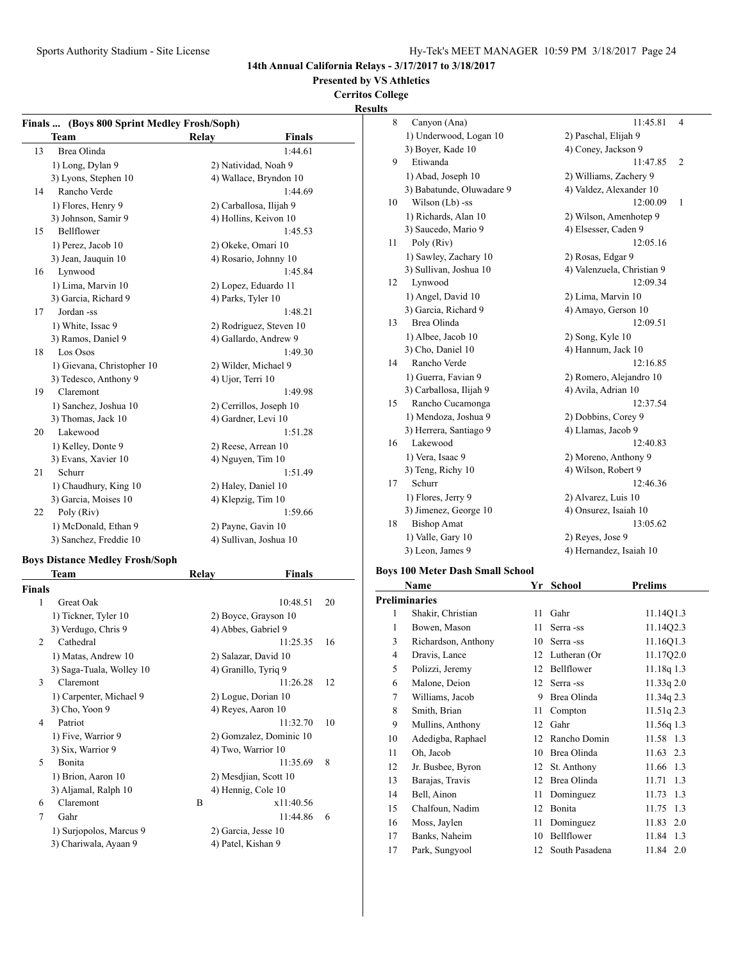**Presented by VS Athletics**

**Cerritos College**

**Results**

|    | Finals  (Boys 800 Sprint Medley Frosh/Soph) |                         |                         |
|----|---------------------------------------------|-------------------------|-------------------------|
|    | <b>Team</b>                                 | Relay                   | <b>Finals</b>           |
| 13 | Brea Olinda                                 |                         | 1:44.61                 |
|    | 1) Long, Dylan 9                            | 2) Natividad, Noah 9    |                         |
|    | 3) Lyons, Stephen 10                        |                         | 4) Wallace, Bryndon 10  |
| 14 | Rancho Verde                                |                         | 1:44.69                 |
|    | 1) Flores, Henry 9                          | 2) Carballosa, Ilijah 9 |                         |
|    | 3) Johnson, Samir 9                         | 4) Hollins, Keivon 10   |                         |
| 15 | <b>Bellflower</b>                           |                         | 1:45.53                 |
|    | 1) Perez, Jacob 10                          | 2) Okeke, Omari 10      |                         |
|    | 3) Jean, Jauquin 10                         | 4) Rosario, Johnny 10   |                         |
| 16 | Lynwood                                     |                         | 1:45.84                 |
|    | 1) Lima, Marvin 10                          | 2) Lopez, Eduardo 11    |                         |
|    | 3) Garcia, Richard 9                        | 4) Parks, Tyler 10      |                         |
| 17 | Jordan -ss                                  |                         | 1:48.21                 |
|    | 1) White, Issac 9                           |                         | 2) Rodriguez, Steven 10 |
|    | 3) Ramos, Daniel 9                          | 4) Gallardo, Andrew 9   |                         |
| 18 | Los Osos                                    |                         | 1:49.30                 |
|    | 1) Gievana, Christopher 10                  | 2) Wilder, Michael 9    |                         |
|    | 3) Tedesco, Anthony 9                       | 4) Ujor, Terri 10       |                         |
| 19 | Claremont                                   |                         | 1:49.98                 |
|    | 1) Sanchez, Joshua 10                       | 2) Cerrillos, Joseph 10 |                         |
|    | 3) Thomas, Jack 10                          | 4) Gardner, Levi 10     |                         |
| 20 | Lakewood                                    |                         | 1:51.28                 |
|    | 1) Kelley, Donte 9                          | 2) Reese, Arrean 10     |                         |
|    | 3) Evans, Xavier 10                         | 4) Nguyen, Tim 10       |                         |
| 21 | Schurr                                      |                         | 1:51.49                 |
|    | 1) Chaudhury, King 10                       | 2) Haley, Daniel 10     |                         |
|    | 3) Garcia, Moises 10                        | 4) Klepzig, Tim 10      |                         |
| 22 | Poly (Riv)                                  |                         | 1:59.66                 |
|    | 1) McDonald, Ethan 9                        | 2) Payne, Gavin 10      |                         |
|    | 3) Sanchez, Freddie 10                      | 4) Sullivan, Joshua 10  |                         |

## **Boys Distance Medley Frosh/Soph**

|                             | Team                     | Relay               | Finals                  |    |
|-----------------------------|--------------------------|---------------------|-------------------------|----|
| Finals                      |                          |                     |                         |    |
| 1                           | <b>Great Oak</b>         |                     | 10:48.51                | 20 |
|                             | 1) Tickner, Tyler 10     |                     | 2) Boyce, Grayson 10    |    |
|                             | 3) Verdugo, Chris 9      |                     | 4) Abbes, Gabriel 9     |    |
| $\mathcal{D}_{\mathcal{L}}$ | Cathedral                |                     | 11:25.35                | 16 |
|                             | 1) Matas, Andrew 10      |                     | 2) Salazar, David 10    |    |
|                             | 3) Saga-Tuala, Wolley 10 |                     | 4) Granillo, Tyriq 9    |    |
| 3                           | Claremont                |                     | 11:26.28                | 12 |
|                             | 1) Carpenter, Michael 9  |                     | 2) Logue, Dorian 10     |    |
|                             | 3) Cho, Yoon 9           |                     | 4) Reyes, Aaron 10      |    |
| 4                           | Patriot                  |                     | 11:32.70                | 10 |
|                             | 1) Five, Warrior 9       |                     | 2) Gomzalez, Dominic 10 |    |
|                             | 3) Six, Warrior 9        | 4) Two, Warrior 10  |                         |    |
| 5                           | Bonita                   |                     | 11:35.69                | 8  |
|                             | 1) Brion, Aaron 10       |                     | 2) Mesdjian, Scott 10   |    |
|                             | 3) Aljamal, Ralph 10     | 4) Hennig, Cole 10  |                         |    |
| 6                           | Claremont                | R                   | x11:40.56               |    |
| 7                           | Gahr                     |                     | 11:44.86                | 6  |
|                             | 1) Surjopolos, Marcus 9  | 2) Garcia, Jesse 10 |                         |    |
|                             | 3) Chariwala, Ayaan 9    | 4) Patel, Kishan 9  |                         |    |
|                             |                          |                     |                         |    |

| 8  | Canyon (Ana)              | 11:45.81                   | 4 |
|----|---------------------------|----------------------------|---|
|    | 1) Underwood, Logan 10    | 2) Paschal, Elijah 9       |   |
|    | 3) Boyer, Kade 10         | 4) Coney, Jackson 9        |   |
| 9  | Etiwanda                  | 11:47.85                   | 2 |
|    | 1) Abad, Joseph 10        | 2) Williams, Zachery 9     |   |
|    | 3) Babatunde, Oluwadare 9 | 4) Valdez, Alexander 10    |   |
| 10 | Wilson (Lb) -ss           | 12:00.09                   | 1 |
|    | 1) Richards, Alan 10      | 2) Wilson, Amenhotep 9     |   |
|    | 3) Saucedo, Mario 9       | 4) Elsesser, Caden 9       |   |
| 11 | Poly (Riv)                | 12:05.16                   |   |
|    | 1) Sawley, Zachary 10     | 2) Rosas, Edgar 9          |   |
|    | 3) Sullivan, Joshua 10    | 4) Valenzuela, Christian 9 |   |
| 12 | Lynwood                   | 12:09.34                   |   |
|    | 1) Angel, David 10        | 2) Lima, Marvin 10         |   |
|    | 3) Garcia, Richard 9      | 4) Amayo, Gerson 10        |   |
| 13 | Brea Olinda               | 12:09.51                   |   |
|    | 1) Albee, Jacob 10        | 2) Song, Kyle 10           |   |
|    | 3) Cho, Daniel 10         | 4) Hannum, Jack 10         |   |
| 14 | Rancho Verde              | 12:16.85                   |   |
|    | 1) Guerra, Favian 9       | 2) Romero, Alejandro 10    |   |
|    | 3) Carballosa, Ilijah 9   | 4) Avila, Adrian 10        |   |
| 15 | Rancho Cucamonga          | 12:37.54                   |   |
|    | 1) Mendoza, Joshua 9      | 2) Dobbins, Corey 9        |   |
|    | 3) Herrera, Santiago 9    | 4) Llamas, Jacob 9         |   |
| 16 | Lakewood                  | 12:40.83                   |   |
|    | 1) Vera, Isaac 9          | 2) Moreno, Anthony 9       |   |
|    | 3) Teng, Richy 10         | 4) Wilson, Robert 9        |   |
| 17 | Schurr                    | 12:46.36                   |   |
|    | 1) Flores, Jerry 9        | 2) Alvarez, Luis 10        |   |
|    | 3) Jimenez, George 10     | 4) Onsurez, Isaiah 10      |   |
| 18 | <b>Bishop Amat</b>        | 13:05.62                   |   |
|    | 1) Valle, Gary 10         | 2) Reyes, Jose 9           |   |
|    | 3) Leon, James 9          | 4) Hernandez, Isaiah 10    |   |

## **Boys 100 Meter Dash Small School**

|    | Name                 | Yr | <b>School</b>  | <b>Prelims</b> |
|----|----------------------|----|----------------|----------------|
|    | <b>Preliminaries</b> |    |                |                |
| 1  | Shakir, Christian    | 11 | Gahr           | 11.14Q1.3      |
| 1  | Bowen, Mason         | 11 | Serra -ss      | 11.14Q2.3      |
| 3  | Richardson, Anthony  | 10 | Serra -ss      | 11.16Q1.3      |
| 4  | Dravis, Lance        | 12 | Lutheran (Or   | 11.17Q2.0      |
| 5  | Polizzi, Jeremy      | 12 | Bellflower     | $11.18q$ 1.3   |
| 6  | Malone, Deion        | 12 | Serra -ss      | 11.33q 2.0     |
| 7  | Williams, Jacob      | 9  | Brea Olinda    | 11.34q 2.3     |
| 8  | Smith, Brian         | 11 | Compton        | $11.51q$ $2.3$ |
| 9  | Mullins, Anthony     | 12 | Gahr           | 11.56q 1.3     |
| 10 | Adedigba, Raphael    | 12 | Rancho Domin   | 11.58 1.3      |
| 11 | Oh, Jacob            | 10 | Brea Olinda    | 11.63 2.3      |
| 12 | Jr. Busbee, Byron    | 12 | St. Anthony    | 11.66<br>1.3   |
| 13 | Barajas, Travis      | 12 | Brea Olinda    | 1.3<br>11.71   |
| 14 | Bell, Ainon          | 11 | Dominguez      | 11.73<br>1.3   |
| 15 | Chalfoun, Nadim      | 12 | Bonita         | 11.75<br>1.3   |
| 16 | Moss, Jaylen         | 11 | Dominguez      | 11.83<br>2.0   |
| 17 | Banks, Naheim        | 10 | Bellflower     | 11.84<br>1.3   |
| 17 | Park, Sungyool       | 12 | South Pasadena | 11.84 2.0      |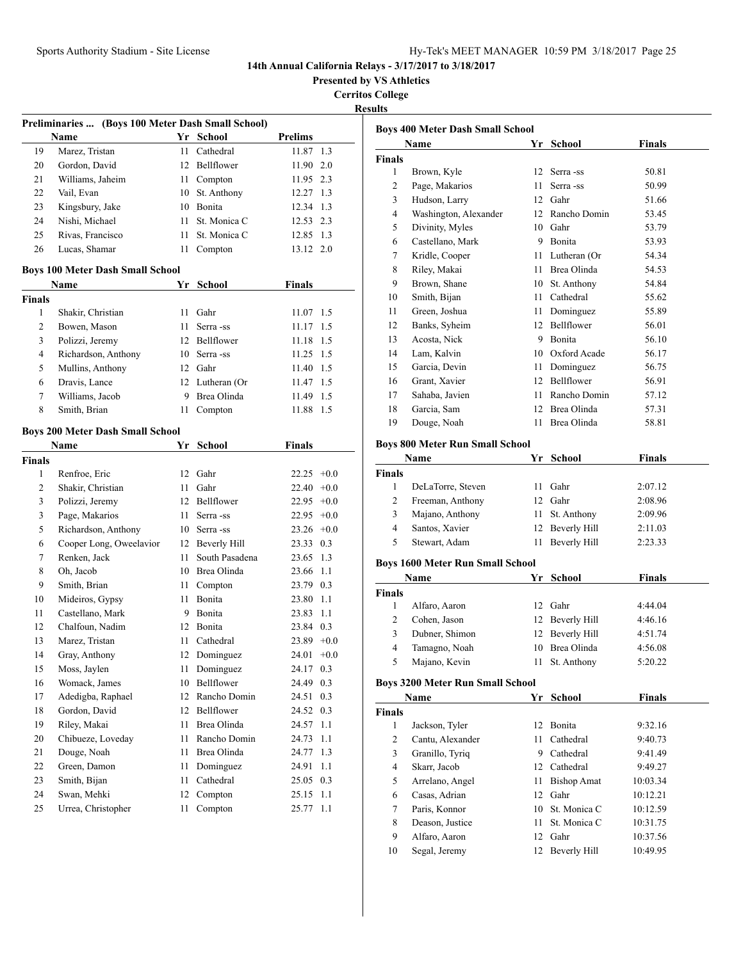**Presented by VS Athletics**

**Cerritos College**

| Preliminaries  (Boys 100 Meter Dash Small School) |                                         |      |                 |                |        |
|---------------------------------------------------|-----------------------------------------|------|-----------------|----------------|--------|
|                                                   | Name                                    |      | Yr School       | <b>Prelims</b> |        |
| 19                                                | Marez, Tristan                          | 11 - | Cathedral       | 11.87 1.3      |        |
| 20                                                | Gordon, David                           |      | 12 Bellflower   | 11.90 2.0      |        |
| 21                                                | Williams, Jaheim                        | 11   | Compton         | 11.95 2.3      |        |
| 22                                                | Vail, Evan                              | 10   | St. Anthony     | 12.27 1.3      |        |
| 23                                                | Kingsbury, Jake                         |      | 10 Bonita       | 12.34 1.3      |        |
| 24                                                | Nishi, Michael                          | 11 - | St. Monica C    | 12.53 2.3      |        |
| 25                                                | Rivas, Francisco                        | 11 - | St. Monica C    | 12.85 1.3      |        |
| 26                                                | Lucas, Shamar                           | 11   | Compton         | 13.12 2.0      |        |
|                                                   | <b>Boys 100 Meter Dash Small School</b> |      |                 |                |        |
|                                                   | Name                                    |      | Yr School       | <b>Finals</b>  |        |
| Finals                                            |                                         |      |                 |                |        |
| 1                                                 | Shakir, Christian                       | 11   | Gahr            | 11.07 1.5      |        |
| 2                                                 | Bowen, Mason                            | 11   | Serra -ss       | 11.17 1.5      |        |
| 3                                                 | Polizzi, Jeremy                         |      | 12 Bellflower   | 11.18 1.5      |        |
| 4                                                 | Richardson, Anthony                     |      | 10 Serra-ss     | $11.25$ 1.5    |        |
| 5                                                 | Mullins, Anthony                        |      | 12 Gahr         | 11.40 1.5      |        |
| 6                                                 | Dravis, Lance                           |      | 12 Lutheran (Or | 11.47 1.5      |        |
| 7                                                 | Williams, Jacob                         |      | 9 Brea Olinda   | 11.49 1.5      |        |
| 8                                                 | Smith, Brian                            | 11   | Compton         | 11.88          | 1.5    |
|                                                   | <b>Boys 200 Meter Dash Small School</b> |      |                 |                |        |
|                                                   | Name                                    | Yr   | <b>School</b>   | <b>Finals</b>  |        |
| Finals                                            |                                         |      |                 |                |        |
| 1                                                 | Renfroe, Eric                           |      | 12 Gahr         | $22.25 +0.0$   |        |
| 2                                                 | Shakir, Christian                       |      | 11 Gahr         | $22.40 +0.0$   |        |
| 3                                                 | Polizzi, Jeremy                         |      | 12 Bellflower   | $22.95 +0.0$   |        |
| 3                                                 | Page, Makarios                          |      | 11 Serra -ss    | $22.95 +0.0$   |        |
| 5                                                 | Richardson, Anthony                     |      | 10 Serra-ss     | $23.26 +0.0$   |        |
| 6                                                 | Cooper Long, Oweelavior                 |      | 12 Beverly Hill | 23.33 0.3      |        |
| 7                                                 | Renken, Jack                            | 11   | South Pasadena  | 23.65 1.3      |        |
| 8                                                 | Oh, Jacob                               |      | 10 Brea Olinda  | 23.66 1.1      |        |
| 9                                                 | Smith, Brian                            | 11 - | Compton         | 23.79 0.3      |        |
| 10                                                | Mideiros, Gypsy                         |      | 11 Bonita       | 23.80 1.1      |        |
| 11                                                | Castellano, Mark                        |      | 9 Bonita        | 23.83 1.1      |        |
| 12                                                | Chalfoun. Nadim                         |      | 12 Bonita       | 23.84 0.3      |        |
| 13                                                | Marez, Tristan                          | 11 - | Cathedral       | $23.89 +0.0$   |        |
| 14                                                | Gray, Anthony                           | 12   | Dominguez       | 24.01          | $+0.0$ |
| 15                                                | Moss, Jaylen                            | 11   | Dominguez       | 24.17          | 0.3    |
| 16                                                | Womack, James                           | 10   | Bellflower      | 24.49          | 0.3    |
| 17                                                | Adedigba, Raphael                       |      | 12 Rancho Domin | 24.51          | 0.3    |
| 18                                                | Gordon, David                           | 12   | Bellflower      | 24.52          | 0.3    |
| 19                                                | Riley, Makai                            | 11   | Brea Olinda     | 24.57          | 1.1    |
| 20                                                | Chibueze, Loveday                       | 11   | Rancho Domin    | 24.73          | 1.1    |
| 21                                                | Douge, Noah                             | 11   | Brea Olinda     | 24.77          | 1.3    |
| 22                                                | Green, Damon                            | 11   | Dominguez       | 24.91          | 1.1    |
| 23                                                | Smith, Bijan                            | 11   | Cathedral       | 25.05          | 0.3    |
| 24                                                | Swan, Mehki                             | 12   | Compton         | 25.15          | 1.1    |
| 25                                                | Urrea, Christopher                      | 11   | Compton         | 25.77          | 1.1    |

| Yr School<br>12<br>Serra -ss<br>11<br>Serra-ss<br>12 Gahr<br>12 Rancho Domin<br>10 Gahr<br>9 Bonita<br>11 Lutheran (Or<br>11 Brea Olinda<br>10 St. Anthony | <b>Finals</b><br>50.81<br>50.99<br>51.66<br>53.45                                         |
|------------------------------------------------------------------------------------------------------------------------------------------------------------|-------------------------------------------------------------------------------------------|
|                                                                                                                                                            |                                                                                           |
|                                                                                                                                                            |                                                                                           |
|                                                                                                                                                            |                                                                                           |
|                                                                                                                                                            |                                                                                           |
|                                                                                                                                                            |                                                                                           |
|                                                                                                                                                            |                                                                                           |
|                                                                                                                                                            | 53.79                                                                                     |
|                                                                                                                                                            | 53.93                                                                                     |
|                                                                                                                                                            | 54.34                                                                                     |
|                                                                                                                                                            | 54.53                                                                                     |
|                                                                                                                                                            | 54.84                                                                                     |
| 11 Cathedral                                                                                                                                               | 55.62                                                                                     |
| 11 Dominguez                                                                                                                                               | 55.89                                                                                     |
| 12 Bellflower                                                                                                                                              | 56.01                                                                                     |
| Bonita                                                                                                                                                     | 56.10                                                                                     |
| 10 Oxford Acade                                                                                                                                            | 56.17                                                                                     |
| 11<br>Dominguez                                                                                                                                            | 56.75                                                                                     |
| 12 Bellflower                                                                                                                                              | 56.91                                                                                     |
| Rancho Domin<br>11                                                                                                                                         | 57.12                                                                                     |
| 12 Brea Olinda                                                                                                                                             | 57.31                                                                                     |
| Brea Olinda                                                                                                                                                | 58.81                                                                                     |
|                                                                                                                                                            |                                                                                           |
|                                                                                                                                                            |                                                                                           |
| Yr<br>School                                                                                                                                               | <b>Finals</b>                                                                             |
|                                                                                                                                                            |                                                                                           |
| Gahr                                                                                                                                                       | 2:07.12                                                                                   |
| 12 Gahr                                                                                                                                                    | 2:08.96                                                                                   |
| St. Anthony<br>11 -                                                                                                                                        | 2:09.96                                                                                   |
| 12 Beverly Hill                                                                                                                                            | 2:11.03                                                                                   |
| Beverly Hill                                                                                                                                               | 2:23.33                                                                                   |
|                                                                                                                                                            |                                                                                           |
|                                                                                                                                                            |                                                                                           |
| Yr<br>School                                                                                                                                               | Finals                                                                                    |
| 12 Gahr                                                                                                                                                    | 4:44.04                                                                                   |
| <b>Beverly Hill</b>                                                                                                                                        |                                                                                           |
|                                                                                                                                                            | 4:46.16                                                                                   |
| <b>Beverly Hill</b><br>10 Brea Olinda                                                                                                                      | 4:51.74                                                                                   |
|                                                                                                                                                            | 4:56.08                                                                                   |
| 11 St. Anthony                                                                                                                                             | 5:20.22                                                                                   |
|                                                                                                                                                            |                                                                                           |
| Yr<br><b>School</b>                                                                                                                                        | Finals                                                                                    |
|                                                                                                                                                            |                                                                                           |
| 12 Bonita                                                                                                                                                  | 9:32.16                                                                                   |
| 11 Cathedral                                                                                                                                               | 9:40.73                                                                                   |
| 9 Cathedral                                                                                                                                                | 9:41.49                                                                                   |
| 12 Cathedral                                                                                                                                               | 9:49.27                                                                                   |
| <b>Bishop Amat</b>                                                                                                                                         | 10:03.34                                                                                  |
|                                                                                                                                                            | 10:12.21                                                                                  |
|                                                                                                                                                            | 10:12.59                                                                                  |
|                                                                                                                                                            | 10:31.75                                                                                  |
|                                                                                                                                                            | 10:37.56                                                                                  |
|                                                                                                                                                            | 10:49.95                                                                                  |
|                                                                                                                                                            | 11<br>12 Gahr<br>10 St. Monica C<br>St. Monica C<br>11 -<br>12 Gahr<br>Beverly Hill<br>12 |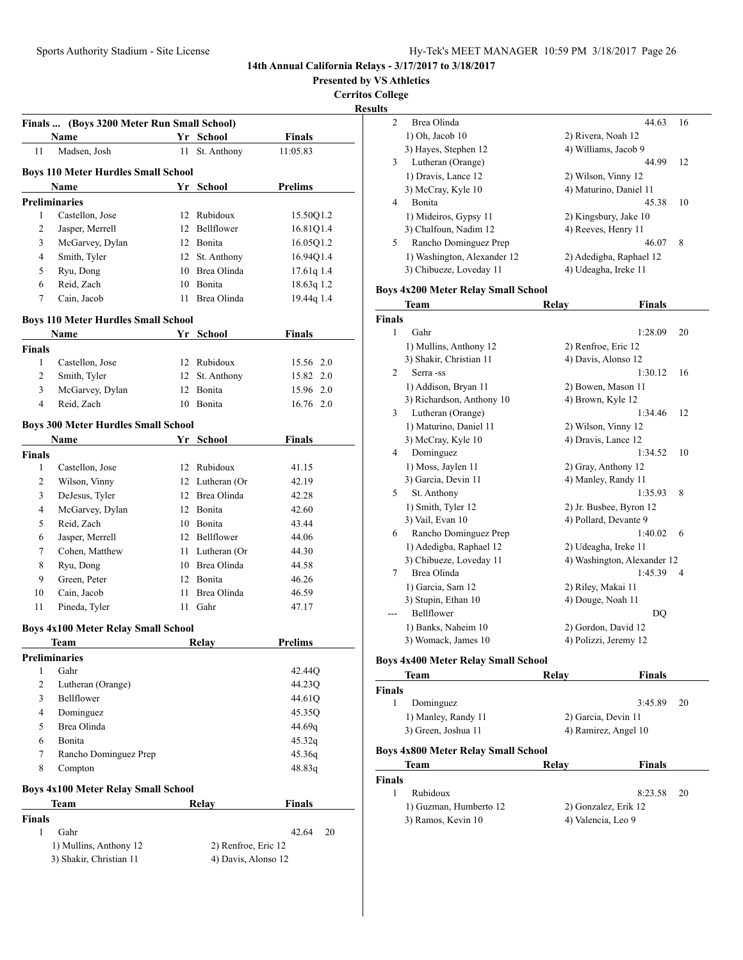**Presented by VS Athletics**

**Cerritos College**

**Results**

|                | Finals  (Boys 3200 Meter Run Small School) |    |                     |                |
|----------------|--------------------------------------------|----|---------------------|----------------|
|                | Name                                       |    | Yr School           | <b>Finals</b>  |
| 11             | Madsen, Josh                               | 11 | St. Anthony         | 11:05.83       |
|                | <b>Boys 110 Meter Hurdles Small School</b> |    |                     |                |
|                | Name                                       |    | Yr School           | <b>Prelims</b> |
|                | <b>Preliminaries</b>                       |    |                     |                |
| 1              | Castellon, Jose                            |    | 12 Rubidoux         | 15.50Q1.2      |
| 2              | Jasper, Merrell                            |    | 12 Bellflower       | 16.81Q1.4      |
| 3              | McGarvey, Dylan                            |    | 12 Bonita           | 16.05Q1.2      |
| 4              | Smith, Tyler                               |    | 12 St. Anthony      | 16.94Q1.4      |
| 5              | Ryu, Dong                                  |    | 10 Brea Olinda      | 17.61q 1.4     |
| 6              | Reid, Zach                                 |    | 10 Bonita           | 18.63q 1.2     |
| 7              | Cain, Jacob                                |    | 11 Brea Olinda      | 19.44q 1.4     |
|                |                                            |    |                     |                |
|                | <b>Boys 110 Meter Hurdles Small School</b> |    |                     |                |
|                | Name                                       |    | Yr School           | <b>Finals</b>  |
| <b>Finals</b>  |                                            |    |                     |                |
| 1              | Castellon, Jose                            |    | 12 Rubidoux         | 15.56 2.0      |
| 2              | Smith, Tyler                               | 12 | St. Anthony         | 15.82 2.0      |
| 3              | McGarvey, Dylan                            |    | 12 Bonita           | 15.96 2.0      |
| $\overline{4}$ | Reid, Zach                                 |    | 10 Bonita           | 16.76 2.0      |
|                | <b>Boys 300 Meter Hurdles Small School</b> |    |                     |                |
|                | Name                                       |    | Yr School           | <b>Finals</b>  |
| <b>Finals</b>  |                                            |    |                     |                |
| 1              | Castellon, Jose                            |    | 12 Rubidoux         | 41.15          |
| 2              | Wilson, Vinny                              |    | 12 Lutheran (Or     | 42.19          |
| 3              | DeJesus, Tyler                             |    | 12 Brea Olinda      | 42.28          |
| 4              | McGarvey, Dylan                            |    | 12 Bonita           | 42.60          |
| 5              | Reid, Zach                                 |    | 10 Bonita           | 43.44          |
| 6              | Jasper, Merrell                            |    | 12 Bellflower       | 44.06          |
| 7              | Cohen, Matthew                             |    | 11 Lutheran (Or     | 44.30          |
| 8              | Ryu, Dong                                  |    | 10 Brea Olinda      | 44.58          |
| 9              | Green, Peter                               |    | 12 Bonita           | 46.26          |
| 10             | Cain. Jacob                                | 11 | Brea Olinda         | 46.59          |
| 11             | Pineda, Tyler                              |    | 11 Gahr             | 47.17          |
|                |                                            |    |                     |                |
|                | <b>Boys 4x100 Meter Relay Small School</b> |    |                     |                |
|                | Team                                       |    | Relay               | Prelims        |
|                | <b>Preliminaries</b>                       |    |                     |                |
| 1              | Gahr                                       |    |                     | 42.44Q         |
| 2              | Lutheran (Orange)                          |    |                     | 44.23Q         |
| 3              | Bellflower                                 |    |                     | 44.61Q         |
| 4              | Dominguez                                  |    |                     | 45.35Q         |
| 5              | Brea Olinda                                |    |                     | 44.69q         |
| 6              | Bonita                                     |    |                     | 45.32q         |
| 7              | Rancho Dominguez Prep                      |    |                     | 45.36q         |
| 8              | Compton                                    |    |                     | 48.83q         |
|                | <b>Boys 4x100 Meter Relay Small School</b> |    |                     |                |
|                | Team                                       |    | Relay               | <b>Finals</b>  |
| <b>Finals</b>  |                                            |    |                     |                |
| 1              | Gahr                                       |    |                     | 42.64<br>20    |
|                | 1) Mullins, Anthony 12                     |    | 2) Renfroe, Eric 12 |                |
|                |                                            |    |                     |                |

| Brea Olinda                 | 44.63                   | 16 |
|-----------------------------|-------------------------|----|
| $1)$ Oh, Jacob $10$         | 2) Rivera, Noah 12      |    |
| 3) Hayes, Stephen 12        | 4) Williams, Jacob 9    |    |
| Lutheran (Orange)           | 44.99                   | 12 |
| 1) Dravis, Lance 12         | 2) Wilson, Vinny 12     |    |
| 3) McCray, Kyle 10          | 4) Maturino, Daniel 11  |    |
| <b>Bonita</b>               | 45.38                   | 10 |
| 1) Mideiros, Gypsy 11       | 2) Kingsbury, Jake 10   |    |
| 3) Chalfoun, Nadim 12       | 4) Reeves, Henry 11     |    |
| Rancho Dominguez Prep       | 46.07                   | 8  |
| 1) Washington, Alexander 12 | 2) Adedigba, Raphael 12 |    |
| 3) Chibueze, Loveday 11     | 4) Udeagha, Ireke 11    |    |
|                             |                         |    |

## **Boys 4x200 Meter Relay Small School**

|                | Team                      | Relay               | <b>Finals</b>               |
|----------------|---------------------------|---------------------|-----------------------------|
| <b>Finals</b>  |                           |                     |                             |
| 1              | Gahr                      |                     | 1:28.09<br>20               |
|                | 1) Mullins, Anthony 12    | 2) Renfroe, Eric 12 |                             |
|                | 3) Shakir, Christian 11   |                     | 4) Davis, Alonso 12         |
| $\overline{c}$ | Serra -ss                 |                     | 1:30.12<br>16               |
|                | 1) Addison, Bryan 11      |                     | 2) Bowen, Mason 11          |
|                | 3) Richardson, Anthony 10 | 4) Brown, Kyle 12   |                             |
| 3              | Lutheran (Orange)         |                     | 12<br>1:34.46               |
|                | 1) Maturino, Daniel 11    |                     | 2) Wilson, Vinny 12         |
|                | 3) McCray, Kyle 10        | 4) Dravis, Lance 12 |                             |
| 4              | Dominguez                 |                     | 1:34.52<br>10               |
|                | 1) Moss, Jaylen 11        |                     | 2) Gray, Anthony 12         |
|                | 3) Garcia, Devin 11       |                     | 4) Manley, Randy 11         |
| 5              | St. Anthony               |                     | 1:35.93<br>8                |
|                | 1) Smith, Tyler 12        |                     | 2) Jr. Busbee, Byron 12     |
|                | 3) Vail, Evan 10          |                     | 4) Pollard, Devante 9       |
| 6              | Rancho Dominguez Prep     |                     | 1:40.02<br>6                |
|                | 1) Adedigba, Raphael 12   |                     | 2) Udeagha, Ireke 11        |
|                | 3) Chibueze, Loveday 11   |                     | 4) Washington, Alexander 12 |
| 7              | Brea Olinda               |                     | 1:45.39<br>$\overline{4}$   |
|                | 1) Garcia, Sam 12         | 2) Riley, Makai 11  |                             |
|                | 3) Stupin, Ethan 10       | 4) Douge, Noah 11   |                             |
|                | <b>Bellflower</b>         |                     | DO                          |
|                | 1) Banks, Naheim 10       |                     | 2) Gordon, David 12         |
|                | 3) Womack, James 10       |                     | 4) Polizzi, Jeremy 12       |
|                |                           |                     |                             |

#### **Boys 4x400 Meter Relay Small School**

| Team                | Relay               | <b>Finals</b>        |
|---------------------|---------------------|----------------------|
| <b>Finals</b>       |                     |                      |
| Dominguez           |                     | $3:45.89$ 20         |
| 1) Manley, Randy 11 | 2) Garcia, Devin 11 |                      |
| 3) Green, Joshua 11 |                     | 4) Ramirez, Angel 10 |

## **Boys 4x800 Meter Relay Small School**

|               | Team                   | Relav              | Finals               |
|---------------|------------------------|--------------------|----------------------|
| <b>Finals</b> |                        |                    |                      |
|               | Rubidoux               |                    | $8:23.58$ 20         |
|               | 1) Guzman, Humberto 12 |                    | 2) Gonzalez, Erik 12 |
|               | 3) Ramos, Kevin 10     | 4) Valencia, Leo 9 |                      |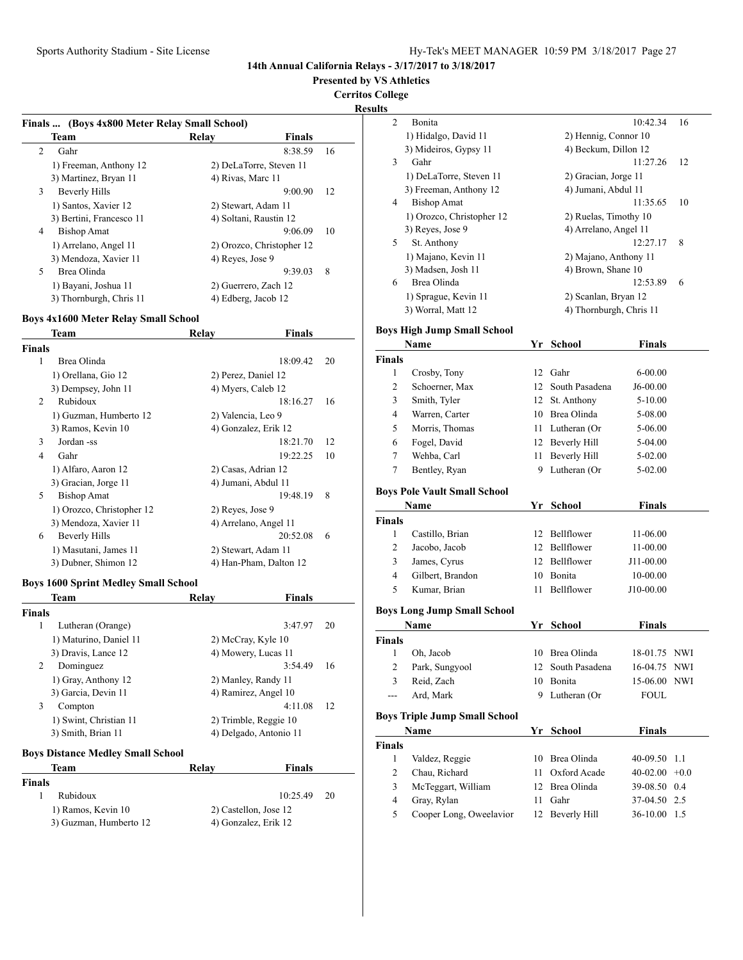**Presented by VS Athletics**

**Cerritos College**

**Results**

| Finals  (Boys 4x800 Meter Relay Small School) |                          |                         |                           |    |
|-----------------------------------------------|--------------------------|-------------------------|---------------------------|----|
|                                               | <b>Team</b>              | Relay                   | <b>Finals</b>             |    |
| 2                                             | Gahr                     |                         | 8:38.59                   | 16 |
|                                               | 1) Freeman, Anthony 12   | 2) DeLaTorre, Steven 11 |                           |    |
|                                               | 3) Martinez, Bryan 11    | 4) Rivas, Marc 11       |                           |    |
| 3                                             | Beverly Hills            |                         | 9:00.90                   | 12 |
|                                               | 1) Santos, Xavier 12     | 2) Stewart, Adam 11     |                           |    |
|                                               | 3) Bertini, Francesco 11 | 4) Soltani, Raustin 12  |                           |    |
| 4                                             | <b>Bishop Amat</b>       |                         | 9:06.09                   | 10 |
|                                               | 1) Arrelano, Angel 11    |                         | 2) Orozco, Christopher 12 |    |
|                                               | 3) Mendoza, Xavier 11    | 4) Reves, Jose 9        |                           |    |
| 5                                             | Brea Olinda              |                         | 9:39.03                   | 8  |
|                                               | 1) Bayani, Joshua 11     | 2) Guerrero, Zach 12    |                           |    |
|                                               | 3) Thornburgh, Chris 11  | 4) Edberg, Jacob 12     |                           |    |
|                                               |                          |                         |                           |    |

## **Boys 4x1600 Meter Relay Small School**

|                | Team                      | Relav<br>Finals        |    |
|----------------|---------------------------|------------------------|----|
| Finals         |                           |                        |    |
| 1              | Brea Olinda               | 18:09.42               | 20 |
|                | 1) Orellana, Gio 12       | 2) Perez, Daniel 12    |    |
|                | 3) Dempsey, John 11       | 4) Myers, Caleb 12     |    |
| 2              | Rubidoux                  | 18:16.27               | 16 |
|                | 1) Guzman, Humberto 12    | 2) Valencia, Leo 9     |    |
|                | 3) Ramos, Kevin 10        | 4) Gonzalez, Erik 12   |    |
| 3              | Jordan -ss                | 18:21.70               | 12 |
| $\overline{4}$ | Gahr                      | 19:22.25               | 10 |
|                | 1) Alfaro, Aaron 12       | 2) Casas, Adrian 12    |    |
|                | 3) Gracian, Jorge 11      | 4) Jumani, Abdul 11    |    |
| 5              | <b>Bishop Amat</b>        | 19:48.19               | 8  |
|                | 1) Orozco, Christopher 12 | 2) Reyes, Jose 9       |    |
|                | 3) Mendoza, Xavier 11     | 4) Arrelano, Angel 11  |    |
| 6              | Beverly Hills             | 20:52.08               | 6  |
|                | 1) Masutani, James 11     | 2) Stewart, Adam 11    |    |
|                | 3) Dubner, Shimon 12      | 4) Han-Pham, Dalton 12 |    |

#### **Boys 1600 Sprint Medley Small School**

|               | Team                   | Relay                | <b>Finals</b>          |    |
|---------------|------------------------|----------------------|------------------------|----|
| <b>Finals</b> |                        |                      |                        |    |
| 1             | Lutheran (Orange)      |                      | 3:47.97                | 20 |
|               | 1) Maturino, Daniel 11 | 2) McCray, Kyle 10   |                        |    |
|               | 3) Dravis, Lance 12    | 4) Mowery, Lucas 11  |                        |    |
| 2             | Dominguez              |                      | 3:54.49                | 16 |
|               | 1) Gray, Anthony 12    | 2) Manley, Randy 11  |                        |    |
|               | 3) Garcia, Devin 11    | 4) Ramirez, Angel 10 |                        |    |
| 3             | Compton                |                      | 4:11.08                | 12 |
|               | 1) Swint, Christian 11 |                      | 2) Trimble, Reggie 10  |    |
|               | 3) Smith, Brian 11     |                      | 4) Delgado, Antonio 11 |    |

# **Boys Distance Medley Small School**

|                        | Team               | Relav | Finals                |      |
|------------------------|--------------------|-------|-----------------------|------|
| <b>Finals</b>          |                    |       |                       |      |
|                        | Rubidoux           |       | 10:25.49              | - 20 |
|                        | 1) Ramos, Kevin 10 |       | 2) Castellon, Jose 12 |      |
| 3) Guzman, Humberto 12 |                    |       | 4) Gonzalez, Erik 12  |      |

| 2 | <b>Bonita</b>             | 10:42.34                | 16 |
|---|---------------------------|-------------------------|----|
|   | 1) Hidalgo, David 11      | 2) Hennig, Connor 10    |    |
|   | 3) Mideiros, Gypsy 11     | 4) Beckum, Dillon 12    |    |
| 3 | Gahr                      | 11:27.26                | 12 |
|   | 1) DeLaTorre, Steven 11   | 2) Gracian, Jorge 11    |    |
|   | 3) Freeman, Anthony 12    | 4) Jumani, Abdul 11     |    |
| 4 | <b>Bishop Amat</b>        | 11:35.65                | 10 |
|   | 1) Orozco, Christopher 12 | 2) Ruelas, Timothy 10   |    |
|   | 3) Reyes, Jose 9          | 4) Arrelano, Angel 11   |    |
| 5 | St. Anthony               | 12:27.17                | 8  |
|   | 1) Majano, Kevin 11       | 2) Majano, Anthony 11   |    |
|   | 3) Madsen, Josh 11        | 4) Brown, Shane 10      |    |
| 6 | Brea Olinda               | 12:53.89                | 6  |
|   | 1) Sprague, Kevin 11      | 2) Scanlan, Bryan 12    |    |
|   | 3) Worral, Matt 12        | 4) Thornburgh, Chris 11 |    |

#### **Boys High Jump Small School**

| Name           |                                      | Yr | <b>School</b>       | <b>Finals</b> |            |
|----------------|--------------------------------------|----|---------------------|---------------|------------|
| <b>Finals</b>  |                                      |    |                     |               |            |
| 1              | Crosby, Tony                         | 12 | Gahr                | $6 - 00.00$   |            |
| $\mathfrak{2}$ | Schoerner, Max                       | 12 | South Pasadena      | J6-00.00      |            |
| 3              | Smith, Tyler                         | 12 | St. Anthony         | 5-10.00       |            |
| $\overline{4}$ | Warren, Carter                       | 10 | Brea Olinda         | 5-08.00       |            |
| 5              | Morris, Thomas                       | 11 | Lutheran (Or        | 5-06.00       |            |
| 6              | Fogel, David                         |    | 12 Beverly Hill     | 5-04.00       |            |
| 7              | Wehba, Carl                          | 11 | <b>Beverly Hill</b> | 5-02.00       |            |
| $\tau$         | Bentley, Ryan                        | 9  | Lutheran (Or        | 5-02.00       |            |
|                | <b>Boys Pole Vault Small School</b>  |    |                     |               |            |
| <b>Name</b>    |                                      |    | Yr School           | <b>Finals</b> |            |
| <b>Finals</b>  |                                      |    |                     |               |            |
| 1              | Castillo, Brian                      | 12 | Bellflower          | 11-06.00      |            |
| $\overline{c}$ | Jacobo, Jacob                        | 12 | Bellflower          | 11-00.00      |            |
| 3              | James, Cyrus                         | 12 | Bellflower          | J11-00.00     |            |
| $\overline{4}$ | Gilbert, Brandon                     | 10 | <b>Bonita</b>       | 10-00.00      |            |
| 5              | Kumar, Brian                         | 11 | Bellflower          | J10-00.00     |            |
|                | <b>Boys Long Jump Small School</b>   |    |                     |               |            |
|                | Name                                 | Yr | <b>School</b>       | <b>Finals</b> |            |
| <b>Finals</b>  |                                      |    |                     |               |            |
| 1              | Oh, Jacob                            | 10 | Brea Olinda         | 18-01.75      | NWI        |
| $\overline{c}$ | Park, Sungyool                       | 12 | South Pasadena      | 16-04.75      | <b>NWI</b> |
| 3              | Reid, Zach                           | 10 | <b>Bonita</b>       | 15-06.00      | <b>NWI</b> |
| ---            | Ard, Mark                            | 9  | Lutheran (Or        | <b>FOUL</b>   |            |
|                | <b>Boys Triple Jump Small School</b> |    |                     |               |            |
| Name           |                                      |    | <b>School</b>       | <b>Finals</b> |            |
| <b>Finals</b>  |                                      |    |                     |               |            |
| 1              | Valdez, Reggie                       | 10 | Brea Olinda         | 40-09.50      | 1.1        |
| 2              | Chau, Richard                        | 11 | Oxford Acade        | 40-02.00      | $+0.0$     |
| 3              | McTeggart, William                   | 12 | Brea Olinda         | 39-08.50      | 0.4        |
| 4              | Gray, Rylan                          | 11 | Gahr                | 37-04.50      | 2.5        |
| 5              | Cooper Long, Oweelavior              | 12 | <b>Beverly Hill</b> | 36-10.00      | 1.5        |